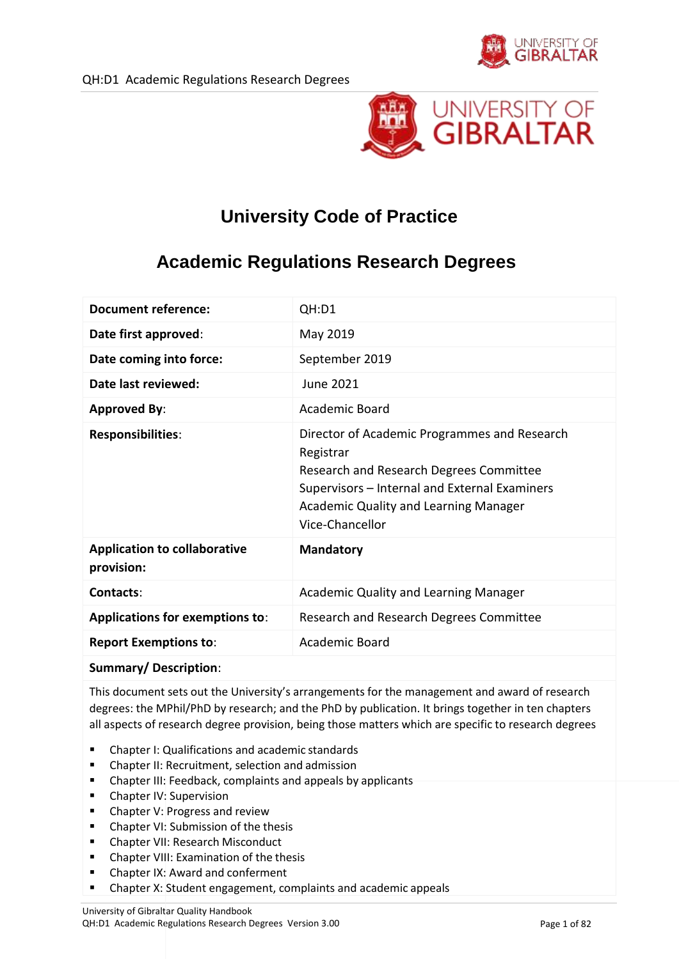

# **University Code of Practice**

# **Academic Regulations Research Degrees**

| <b>Document reference:</b>                        | QH:D1                                                                                                                                                                                                             |
|---------------------------------------------------|-------------------------------------------------------------------------------------------------------------------------------------------------------------------------------------------------------------------|
| Date first approved:                              | May 2019                                                                                                                                                                                                          |
| Date coming into force:                           | September 2019                                                                                                                                                                                                    |
| Date last reviewed:                               | <b>June 2021</b>                                                                                                                                                                                                  |
| <b>Approved By:</b>                               | <b>Academic Board</b>                                                                                                                                                                                             |
| Responsibilities:                                 | Director of Academic Programmes and Research<br>Registrar<br>Research and Research Degrees Committee<br>Supervisors - Internal and External Examiners<br>Academic Quality and Learning Manager<br>Vice-Chancellor |
| <b>Application to collaborative</b><br>provision: | <b>Mandatory</b>                                                                                                                                                                                                  |
| Contacts:                                         | Academic Quality and Learning Manager                                                                                                                                                                             |
| <b>Applications for exemptions to:</b>            | Research and Research Degrees Committee                                                                                                                                                                           |
| <b>Report Exemptions to:</b>                      | <b>Academic Board</b>                                                                                                                                                                                             |
| <b>Summary/Description:</b>                       |                                                                                                                                                                                                                   |

This document sets out the University's arrangements for the management and award of research degrees: the MPhil/PhD by research; and the PhD by publication. It brings together in ten chapters all aspects of research degree provision, being those matters which are specific to research degrees

- Chapter I: Qualifications and academic standards
- Chapter II: Recruitment, selection and admission
- Chapter III: Feedback, complaints and appeals by applicants
- Chapter IV: Supervision
- Chapter V: Progress and review
- Chapter VI: Submission of the thesis
- **EXECUTE: Chapter VII: Research Misconduct**
- **•** Chapter VIII: Examination of the thesis
- Chapter IX: Award and conferment
- Chapter X: Student engagement, complaints and academic appeals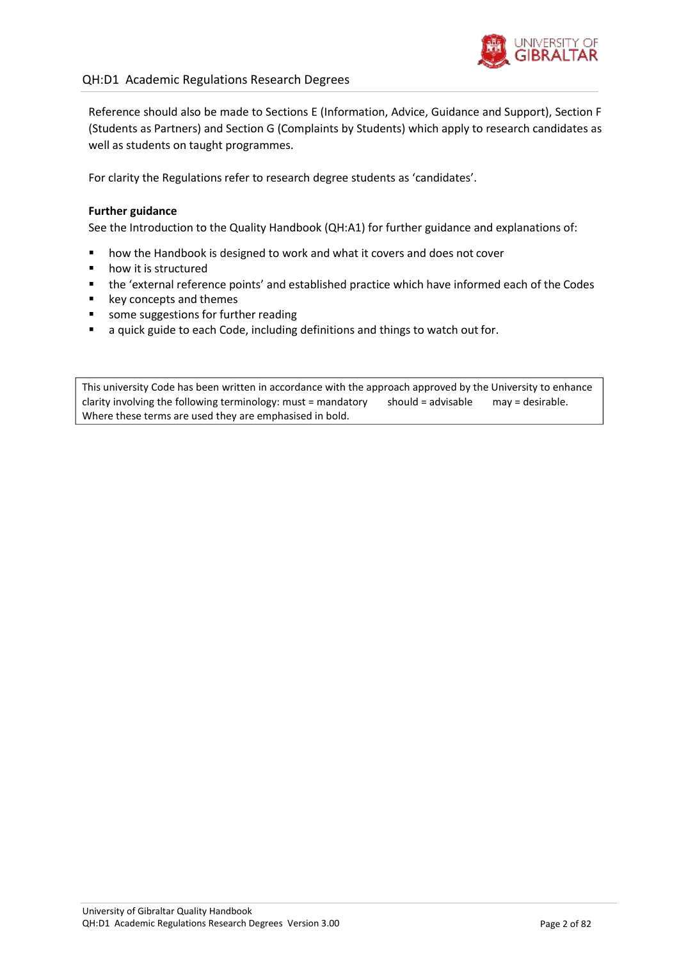

### QH:D1 Academic Regulations Research Degrees

Reference should also be made to Sections E (Information, Advice, Guidance and Support), Section F (Students as Partners) and Section G (Complaints by Students) which apply to research candidates as well as students on taught programmes.

For clarity the Regulations refer to research degree students as 'candidates'.

#### **Further guidance**

See the Introduction to the Quality Handbook (QH:A1) for further guidance and explanations of:

- **•** how the Handbook is designed to work and what it covers and does not cover
- how it is structured
- the 'external reference points' and established practice which have informed each of the Codes
- key concepts and themes
- **some suggestions for further reading**
- a quick guide to each Code, including definitions and things to watch out for.

This university Code has been written in accordance with the approach approved by the University to enhance clarity involving the following terminology: must = mandatory Where these terms are used they are emphasised in bold. should = advisable may = desirable.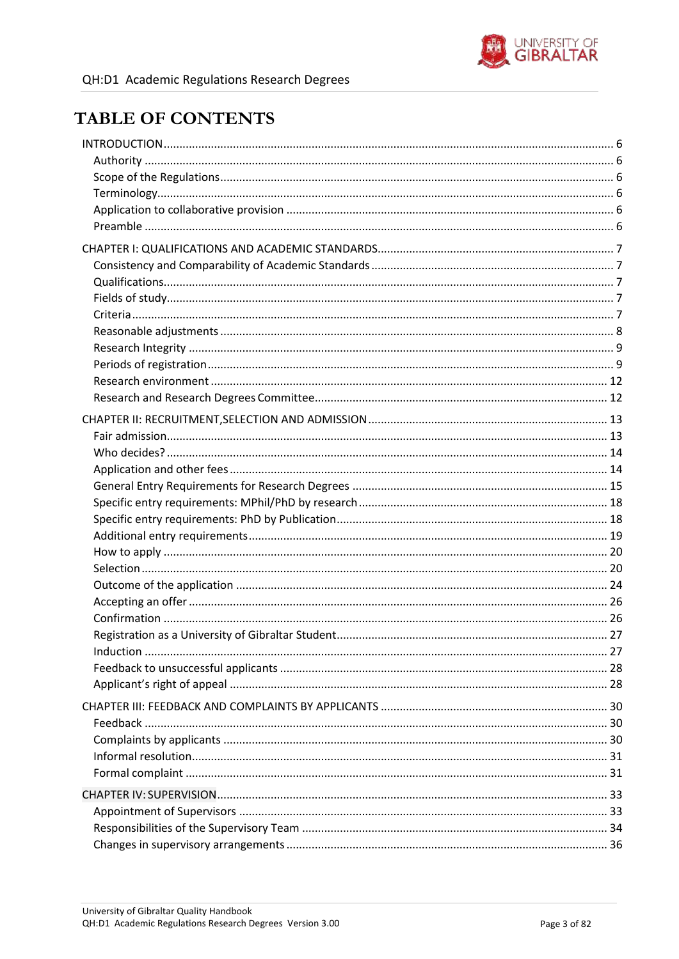

## **TABLE OF CONTENTS**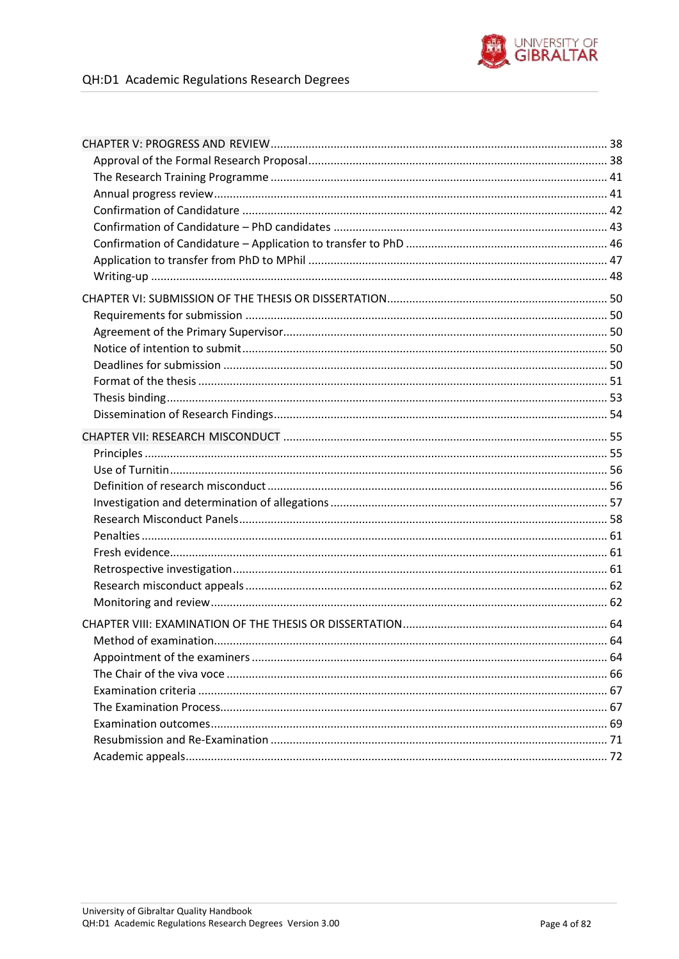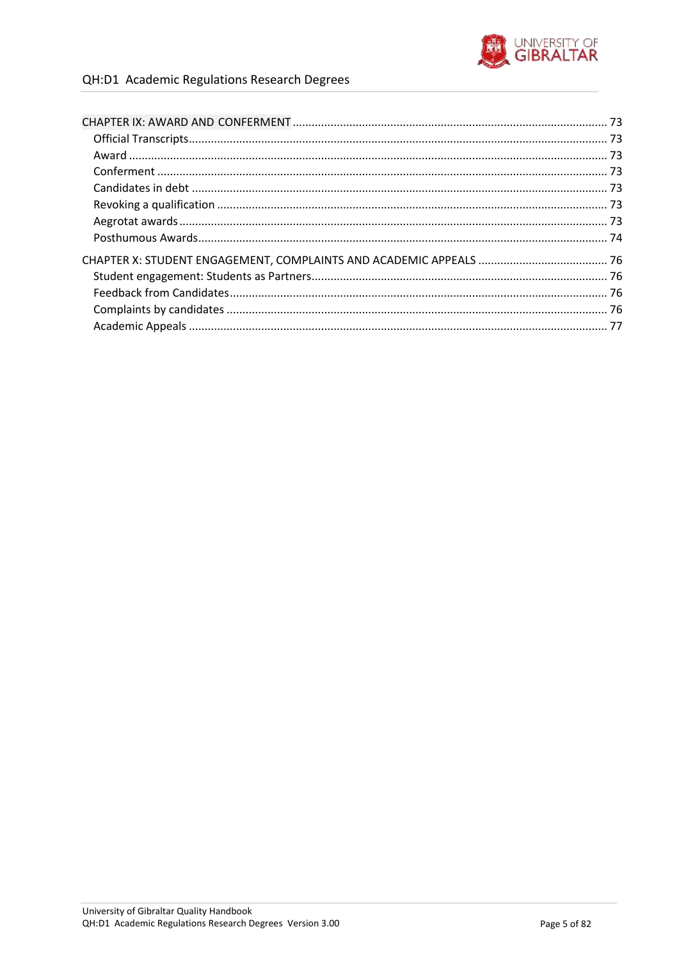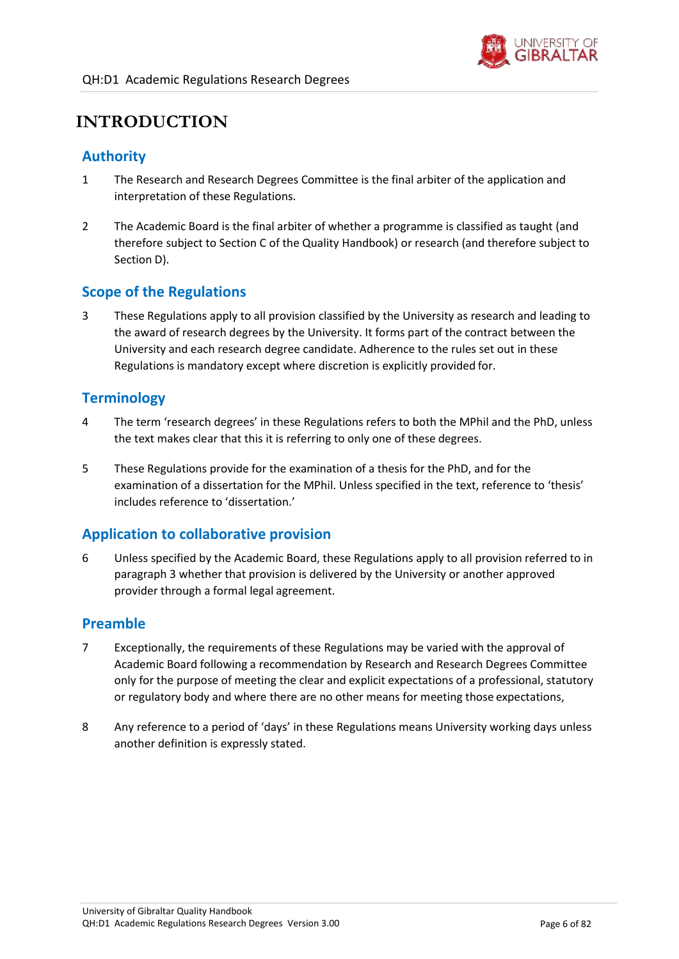

## <span id="page-5-0"></span>**INTRODUCTION**

### <span id="page-5-1"></span>**Authority**

- 1 The Research and Research Degrees Committee is the final arbiter of the application and interpretation of these Regulations.
- 2 The Academic Board is the final arbiter of whether a programme is classified as taught (and therefore subject to Section C of the Quality Handbook) or research (and therefore subject to Section D).

### <span id="page-5-2"></span>**Scope of the Regulations**

<span id="page-5-6"></span>3 These Regulations apply to all provision classified by the University as research and leading to the award of research degrees by the University. It forms part of the contract between the University and each research degree candidate. Adherence to the rules set out in these Regulations is mandatory except where discretion is explicitly provided for.

### <span id="page-5-3"></span>**Terminology**

- 4 The term 'research degrees' in these Regulations refers to both the MPhil and the PhD, unless the text makes clear that this it is referring to only one of these degrees.
- 5 These Regulations provide for the examination of a thesis for the PhD, and for the examination of a dissertation for the MPhil. Unless specified in the text, reference to 'thesis' includes reference to 'dissertation.'

### <span id="page-5-4"></span>**Application to collaborative provision**

6 Unless specified by the Academic Board, these Regulations apply to all provision referred to in paragraph [3 w](#page-5-6)hether that provision is delivered by the University or another approved provider through a formal legal agreement.

### <span id="page-5-5"></span>**Preamble**

- 7 Exceptionally, the requirements of these Regulations may be varied with the approval of Academic Board following a recommendation by Research and Research Degrees Committee only for the purpose of meeting the clear and explicit expectations of a professional, statutory or regulatory body and where there are no other means for meeting those expectations,
- 8 Any reference to a period of 'days' in these Regulations means University working days unless another definition is expressly stated.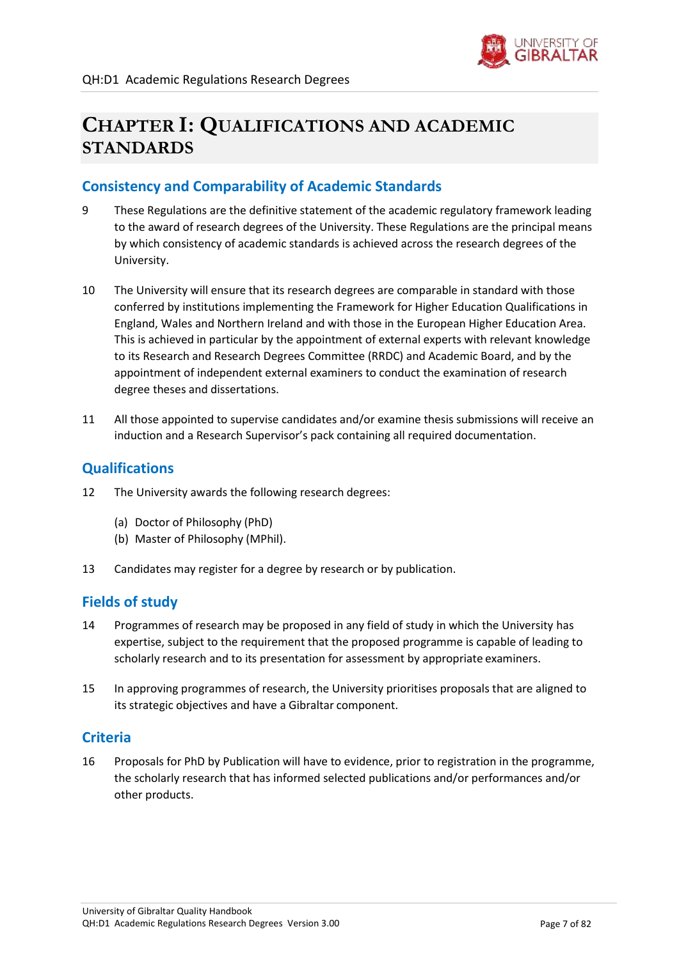

## **CHAPTER I: QUALIFICATIONS AND ACADEMIC STANDARDS**

### <span id="page-6-0"></span>**Consistency and Comparability of Academic Standards**

- 9 These Regulations are the definitive statement of the academic regulatory framework leading to the award of research degrees of the University. These Regulations are the principal means by which consistency of academic standards is achieved across the research degrees of the University.
- 10 The University will ensure that its research degrees are comparable in standard with those conferred by institutions implementing the Framework for Higher Education Qualifications in England, Wales and Northern Ireland and with those in the European Higher Education Area. This is achieved in particular by the appointment of external experts with relevant knowledge to its Research and Research Degrees Committee (RRDC) and Academic Board, and by the appointment of independent external examiners to conduct the examination of research degree theses and dissertations.
- 11 All those appointed to supervise candidates and/or examine thesis submissions will receive an induction and a Research Supervisor's pack containing all required documentation.

### <span id="page-6-1"></span>**Qualifications**

- 12 The University awards the following research degrees:
	- (a) Doctor of Philosophy (PhD)
	- (b) Master of Philosophy (MPhil).
- 13 Candidates may register for a degree by research or by publication.

### <span id="page-6-2"></span>**Fields of study**

- 14 Programmes of research may be proposed in any field of study in which the University has expertise, subject to the requirement that the proposed programme is capable of leading to scholarly research and to its presentation for assessment by appropriate examiners.
- 15 In approving programmes of research, the University prioritises proposals that are aligned to its strategic objectives and have a Gibraltar component.

### <span id="page-6-3"></span>**Criteria**

16 Proposals for PhD by Publication will have to evidence, prior to registration in the programme, the scholarly research that has informed selected publications and/or performances and/or other products.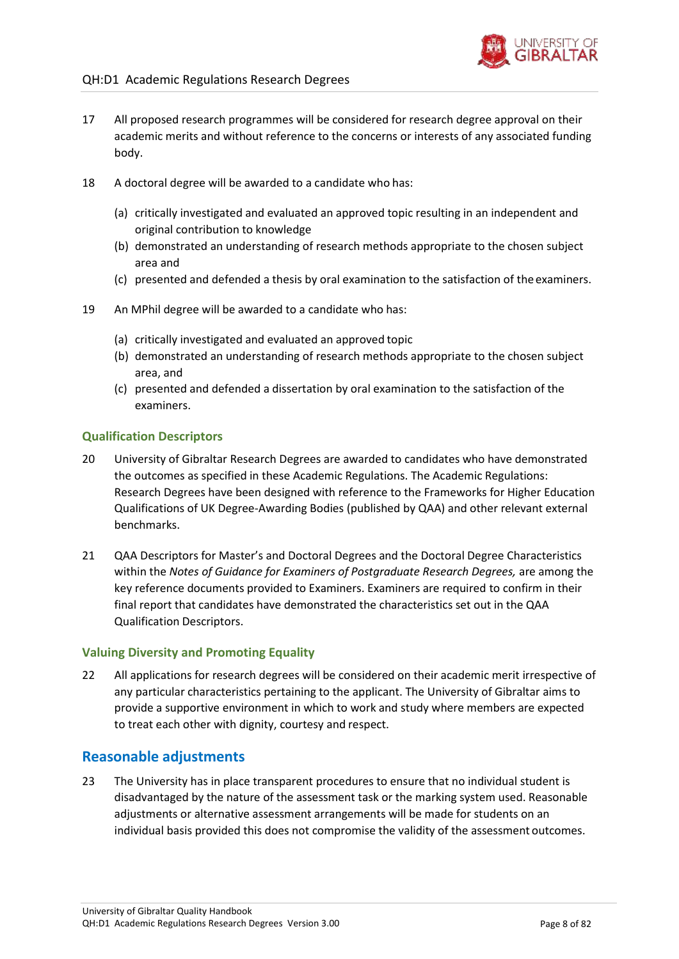

- 17 All proposed research programmes will be considered for research degree approval on their academic merits and without reference to the concerns or interests of any associated funding body.
- 18 A doctoral degree will be awarded to a candidate who has:
	- (a) critically investigated and evaluated an approved topic resulting in an independent and original contribution to knowledge
	- (b) demonstrated an understanding of research methods appropriate to the chosen subject area and
	- (c) presented and defended a thesis by oral examination to the satisfaction of the examiners.
- 19 An MPhil degree will be awarded to a candidate who has:
	- (a) critically investigated and evaluated an approved topic
	- (b) demonstrated an understanding of research methods appropriate to the chosen subject area, and
	- (c) presented and defended a dissertation by oral examination to the satisfaction of the examiners.

#### **Qualification Descriptors**

- 20 University of Gibraltar Research Degrees are awarded to candidates who have demonstrated the outcomes as specified in these Academic Regulations. The Academic Regulations: Research Degrees have been designed with reference to the Frameworks for Higher Education Qualifications of UK Degree-Awarding Bodies (published by QAA) and other relevant external benchmarks.
- 21 QAA Descriptors for Master's and Doctoral Degrees and the Doctoral Degree Characteristics within the *Notes of Guidance for Examiners of Postgraduate Research Degrees,* are among the key reference documents provided to Examiners. Examiners are required to confirm in their final report that candidates have demonstrated the characteristics set out in the QAA Qualification Descriptors.

#### **Valuing Diversity and Promoting Equality**

22 All applications for research degrees will be considered on their academic merit irrespective of any particular characteristics pertaining to the applicant. The University of Gibraltar aims to provide a supportive environment in which to work and study where members are expected to treat each other with dignity, courtesy and respect.

### <span id="page-7-0"></span>**Reasonable adjustments**

23 The University has in place transparent procedures to ensure that no individual student is disadvantaged by the nature of the assessment task or the marking system used. Reasonable adjustments or alternative assessment arrangements will be made for students on an individual basis provided this does not compromise the validity of the assessment outcomes.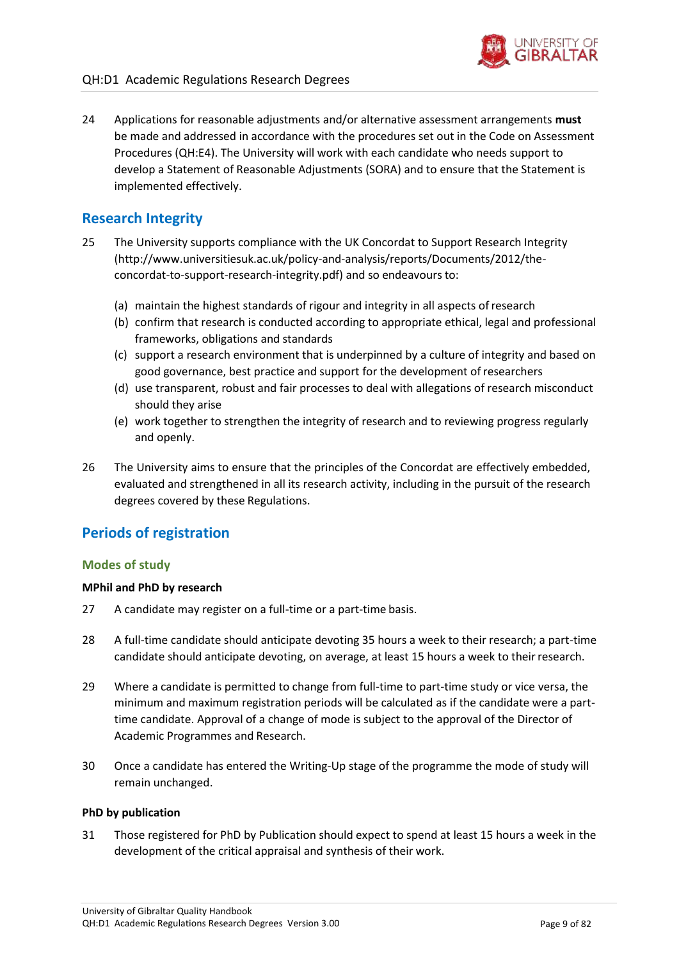

### <span id="page-8-0"></span>**Research Integrity**

implemented effectively.

- 25 The University supports compliance with the UK Concordat to Support Research Integrity [\(http://www.universitiesuk.ac.uk/policy-and-analysis/reports/Documents/2012/the](http://www.universitiesuk.ac.uk/policy-and-analysis/reports/Documents/2012/the-)concordat-to-support-research-integrity.pdf) and so endeavours to:
	- (a) maintain the highest standards of rigour and integrity in all aspects ofresearch
	- (b) confirm that research is conducted according to appropriate ethical, legal and professional frameworks, obligations and standards
	- (c) support a research environment that is underpinned by a culture of integrity and based on good governance, best practice and support for the development ofresearchers
	- (d) use transparent, robust and fair processes to deal with allegations of research misconduct should they arise
	- (e) work together to strengthen the integrity of research and to reviewing progress regularly and openly.
- 26 The University aims to ensure that the principles of the Concordat are effectively embedded, evaluated and strengthened in all its research activity, including in the pursuit of the research degrees covered by these Regulations.

### <span id="page-8-1"></span>**Periods of registration**

#### **Modes of study**

#### **MPhil and PhD by research**

- 27 A candidate may register on a full-time or a part-time basis.
- 28 A full-time candidate should anticipate devoting 35 hours a week to their research; a part-time candidate should anticipate devoting, on average, at least 15 hours a week to theirresearch.
- 29 Where a candidate is permitted to change from full-time to part-time study or vice versa, the minimum and maximum registration periods will be calculated as if the candidate were a parttime candidate. Approval of a change of mode is subject to the approval of the Director of Academic Programmes and Research.
- 30 Once a candidate has entered the Writing-Up stage of the programme the mode of study will remain unchanged.

#### **PhD by publication**

31 Those registered for PhD by Publication should expect to spend at least 15 hours a week in the development of the critical appraisal and synthesis of their work.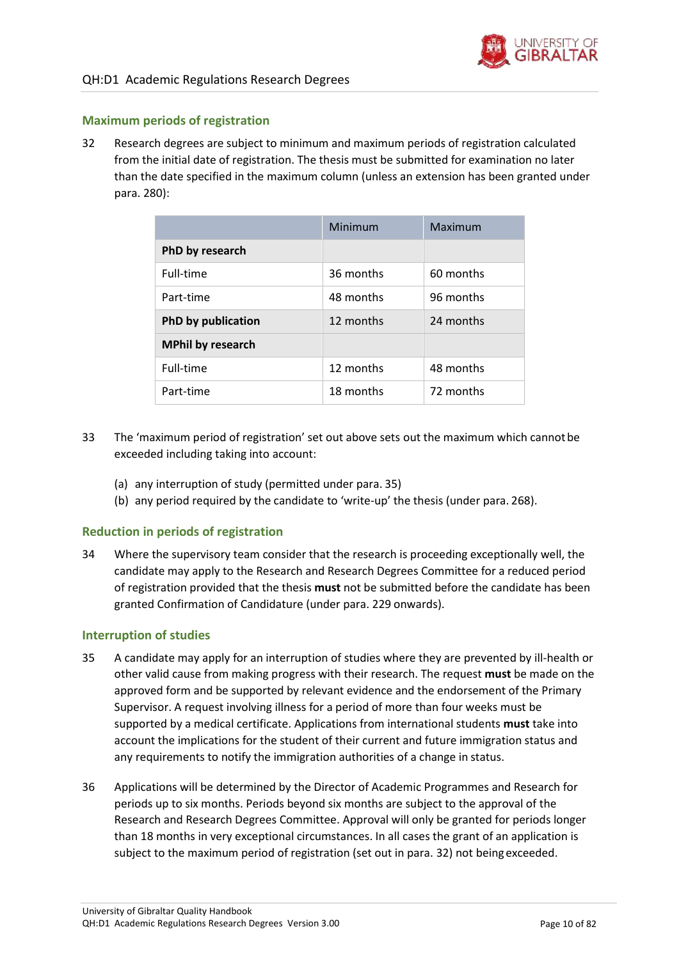

#### **Maximum periods of registration**

<span id="page-9-1"></span>32 Research degrees are subject to minimum and maximum periods of registration calculated from the initial date of registration. The thesis must be submitted for examination no later than the date specified in the maximum column (unless an extension has been granted under para. [280\)](#page-50-1):

|                           | Minimum   | Maximum   |
|---------------------------|-----------|-----------|
| PhD by research           |           |           |
| Full-time                 | 36 months | 60 months |
| Part-time                 | 48 months | 96 months |
| <b>PhD by publication</b> | 12 months | 24 months |
| <b>MPhil by research</b>  |           |           |
| Full-time                 | 12 months | 48 months |
| Part-time                 | 18 months | 72 months |

- 33 The 'maximum period of registration' set out above sets out the maximum which cannotbe exceeded including taking into account:
	- (a) any interruption of study (permitted under para. [35\)](#page-9-0)
	- (b) any period required by the candidate to 'write-up' the thesis (under para. [268\)](#page-47-1).

#### **Reduction in periods of registration**

34 Where the supervisory team consider that the research is proceeding exceptionally well, the candidate may apply to the Research and Research Degrees Committee for a reduced period of registration provided that the thesis **must** not be submitted before the candidate has been granted Confirmation of Candidature (under para[. 229](#page-41-1) onwards).

#### **Interruption of studies**

- <span id="page-9-0"></span>35 A candidate may apply for an interruption of studies where they are prevented by ill-health or other valid cause from making progress with their research. The request **must** be made on the approved form and be supported by relevant evidence and the endorsement of the Primary Supervisor. A request involving illness for a period of more than four weeks must be supported by a medical certificate. Applications from international students **must** take into account the implications for the student of their current and future immigration status and any requirements to notify the immigration authorities of a change in status.
- 36 Applications will be determined by the Director of Academic Programmes and Research for periods up to six months. Periods beyond six months are subject to the approval of the Research and Research Degrees Committee. Approval will only be granted for periods longer than 18 months in very exceptional circumstances. In all cases the grant of an application is subject to the maximum period of registration (set out in para[. 32\)](#page-9-1) not being exceeded.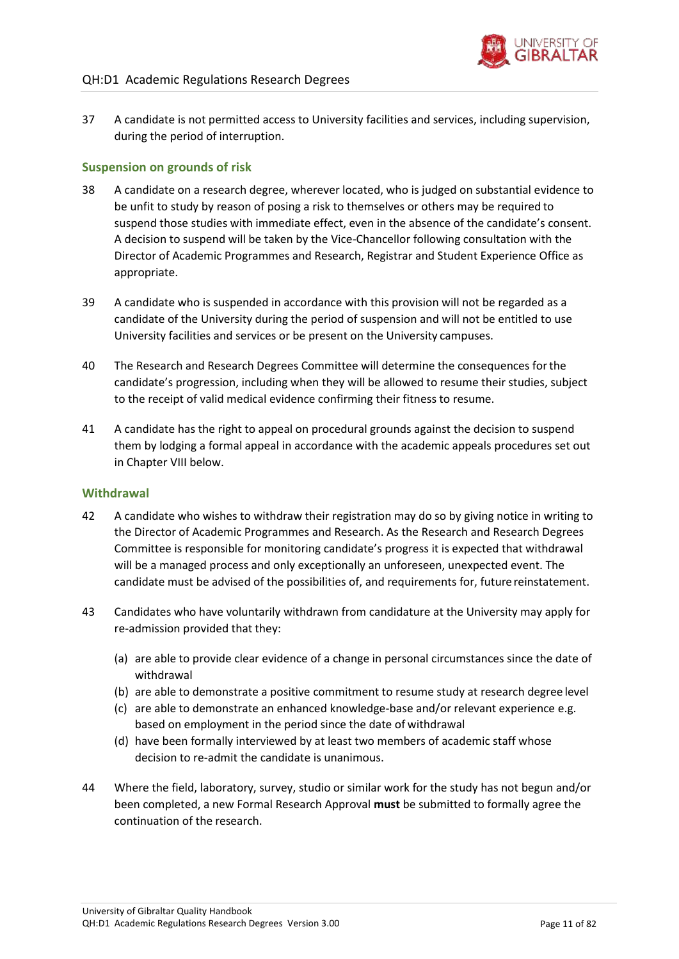37 A candidate is not permitted access to University facilities and services, including supervision, during the period of interruption.

### **Suspension on grounds of risk**

- 38 A candidate on a research degree, wherever located, who is judged on substantial evidence to be unfit to study by reason of posing a risk to themselves or others may be required to suspend those studies with immediate effect, even in the absence of the candidate's consent. A decision to suspend will be taken by the Vice-Chancellor following consultation with the Director of Academic Programmes and Research, Registrar and Student Experience Office as appropriate.
- 39 A candidate who is suspended in accordance with this provision will not be regarded as a candidate of the University during the period of suspension and will not be entitled to use University facilities and services or be present on the University campuses.
- 40 The Research and Research Degrees Committee will determine the consequences forthe candidate's progression, including when they will be allowed to resume their studies, subject to the receipt of valid medical evidence confirming their fitness to resume.
- 41 A candidate has the right to appeal on procedural grounds against the decision to suspend them by lodging a formal appeal in accordance with the academic appeals procedures set out in Chapter VIII below.

#### **Withdrawal**

- 42 A candidate who wishes to withdraw their registration may do so by giving notice in writing to the Director of Academic Programmes and Research. As the Research and Research Degrees Committee is responsible for monitoring candidate's progress it is expected that withdrawal will be a managed process and only exceptionally an unforeseen, unexpected event. The candidate must be advised of the possibilities of, and requirements for, future reinstatement.
- 43 Candidates who have voluntarily withdrawn from candidature at the University may apply for re-admission provided that they:
	- (a) are able to provide clear evidence of a change in personal circumstances since the date of withdrawal
	- (b) are able to demonstrate a positive commitment to resume study at research degree level
	- (c) are able to demonstrate an enhanced knowledge-base and/or relevant experience e.g. based on employment in the period since the date of withdrawal
	- (d) have been formally interviewed by at least two members of academic staff whose decision to re-admit the candidate is unanimous.
- 44 Where the field, laboratory, survey, studio or similar work for the study has not begun and/or been completed, a new Formal Research Approval **must** be submitted to formally agree the continuation of the research.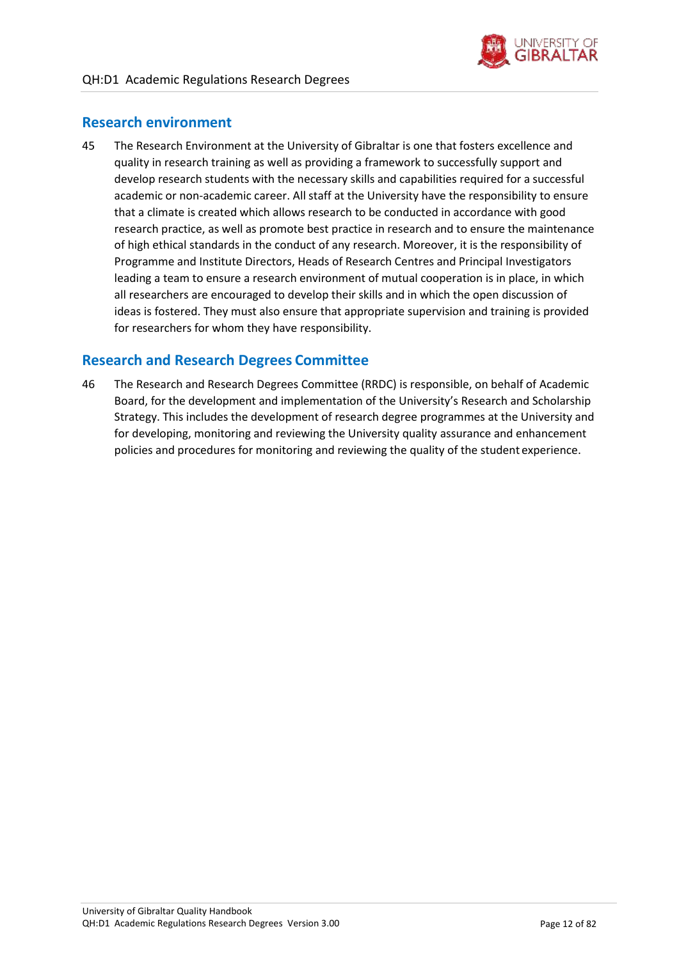

### <span id="page-11-0"></span>**Research environment**

45 The Research Environment at the University of Gibraltar is one that fosters excellence and quality in research training as well as providing a framework to successfully support and develop research students with the necessary skills and capabilities required for a successful academic or non-academic career. All staff at the University have the responsibility to ensure that a climate is created which allows research to be conducted in accordance with good research practice, as well as promote best practice in research and to ensure the maintenance of high ethical standards in the conduct of any research. Moreover, it is the responsibility of Programme and Institute Directors, Heads of Research Centres and Principal Investigators leading a team to ensure a research environment of mutual cooperation is in place, in which all researchers are encouraged to develop their skills and in which the open discussion of ideas is fostered. They must also ensure that appropriate supervision and training is provided for researchers for whom they have responsibility.

### <span id="page-11-1"></span>**Research and Research Degrees Committee**

46 The Research and Research Degrees Committee (RRDC) is responsible, on behalf of Academic Board, for the development and implementation of the University's Research and Scholarship Strategy. This includes the development of research degree programmes at the University and for developing, monitoring and reviewing the University quality assurance and enhancement policies and procedures for monitoring and reviewing the quality of the student experience.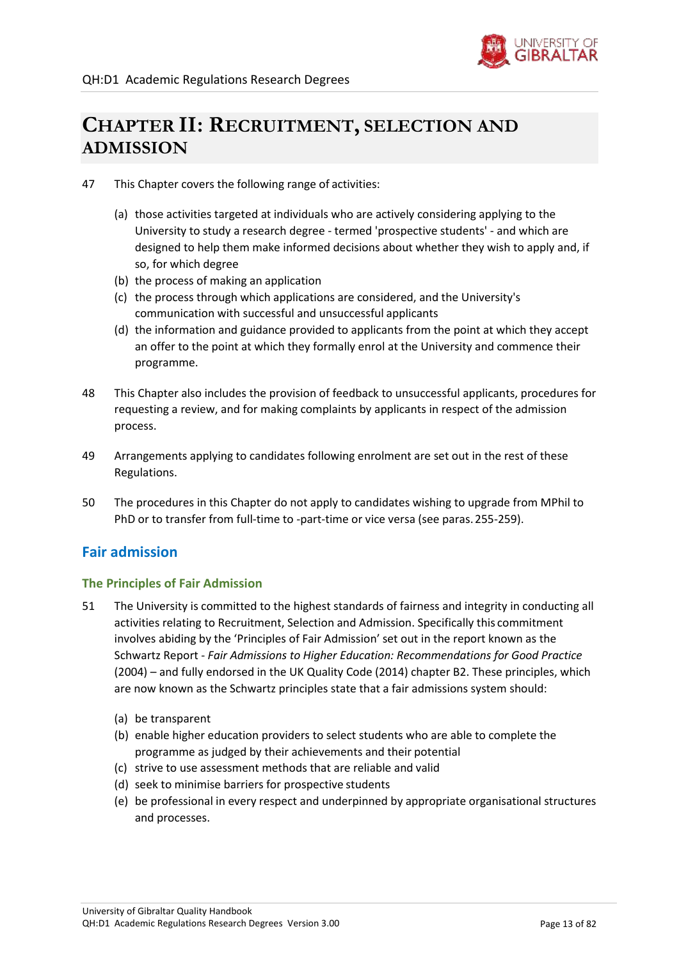

# **CHAPTER II: RECRUITMENT, SELECTION AND ADMISSION**

- 47 This Chapter covers the following range of activities:
	- (a) those activities targeted at individuals who are actively considering applying to the University to study a research degree - termed 'prospective students' - and which are designed to help them make informed decisions about whether they wish to apply and, if so, for which degree
	- (b) the process of making an application
	- (c) the process through which applications are considered, and the University's communication with successful and unsuccessful applicants
	- (d) the information and guidance provided to applicants from the point at which they accept an offer to the point at which they formally enrol at the University and commence their programme.
- 48 This Chapter also includes the provision of feedback to unsuccessful applicants, procedures for requesting a review, and for making complaints by applicants in respect of the admission process.
- 49 Arrangements applying to candidates following enrolment are set out in the rest of these Regulations.
- 50 The procedures in this Chapter do not apply to candidates wishing to upgrade from MPhil to PhD or to transfer from full-time to -part-time or vice versa (see paras[.255](#page-45-1)[-259\)](#page-46-1).

### <span id="page-12-0"></span>**Fair admission**

### **The Principles of Fair Admission**

- 51 The University is committed to the highest standards of fairness and integrity in conducting all activities relating to Recruitment, Selection and Admission. Specifically this commitment involves abiding by the 'Principles of Fair Admission' set out in the report known as the Schwartz Report - *Fair Admissions to Higher Education: Recommendations for Good Practice*  (2004) – and fully endorsed in the UK Quality Code (2014) chapter B2. These principles, which are now known as the Schwartz principles state that a fair admissions system should:
	- (a) be transparent
	- (b) enable higher education providers to select students who are able to complete the programme as judged by their achievements and their potential
	- (c) strive to use assessment methods that are reliable and valid
	- (d) seek to minimise barriers for prospective students
	- (e) be professional in every respect and underpinned by appropriate organisational structures and processes.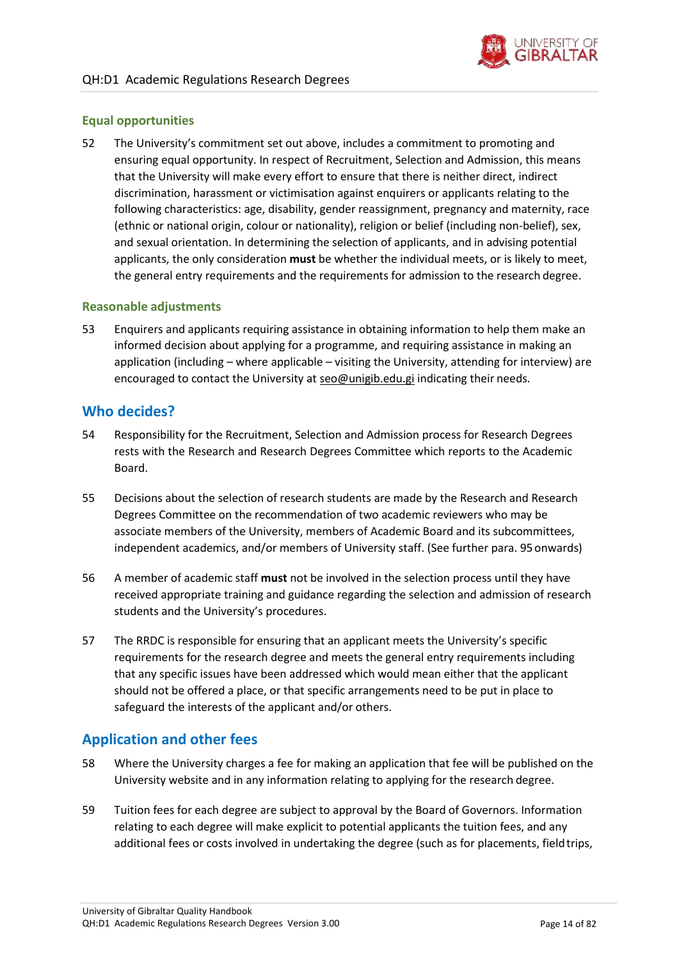

### **Equal opportunities**

52 The University's commitment set out above, includes a commitment to promoting and ensuring equal opportunity. In respect of Recruitment, Selection and Admission, this means that the University will make every effort to ensure that there is neither direct, indirect discrimination, harassment or victimisation against enquirers or applicants relating to the following characteristics: age, disability, gender reassignment, pregnancy and maternity, race (ethnic or national origin, colour or nationality), religion or belief (including non-belief), sex, and sexual orientation. In determining the selection of applicants, and in advising potential applicants, the only consideration **must** be whether the individual meets, or is likely to meet, the general entry requirements and the requirements for admission to the research degree.

#### **Reasonable adjustments**

53 Enquirers and applicants requiring assistance in obtaining information to help them make an informed decision about applying for a programme, and requiring assistance in making an application (including – where applicable – visiting the University, attending for interview) are encouraged to contact the University at [seo@unigib.edu.gi](mailto:seo@unigib.edu.gi) indicating their needs.

### <span id="page-13-0"></span>**Who decides?**

- 54 Responsibility for the Recruitment, Selection and Admission process for Research Degrees rests with the Research and Research Degrees Committee which reports to the Academic Board.
- 55 Decisions about the selection of research students are made by the Research and Research Degrees Committee on the recommendation of two academic reviewers who may be associate members of the University, members of Academic Board and its subcommittees, independent academics, and/or members of University staff. (See further para. [95o](#page-19-2)nwards)
- 56 A member of academic staff **must** not be involved in the selection process until they have received appropriate training and guidance regarding the selection and admission of research students and the University's procedures.
- 57 The RRDC is responsible for ensuring that an applicant meets the University's specific requirements for the research degree and meets the general entry requirements including that any specific issues have been addressed which would mean either that the applicant should not be offered a place, or that specific arrangements need to be put in place to safeguard the interests of the applicant and/or others.

### <span id="page-13-1"></span>**Application and other fees**

- 58 Where the University charges a fee for making an application that fee will be published on the University website and in any information relating to applying for the research degree.
- 59 Tuition fees for each degree are subject to approval by the Board of Governors. Information relating to each degree will make explicit to potential applicants the tuition fees, and any additional fees or costs involved in undertaking the degree (such as for placements, fieldtrips,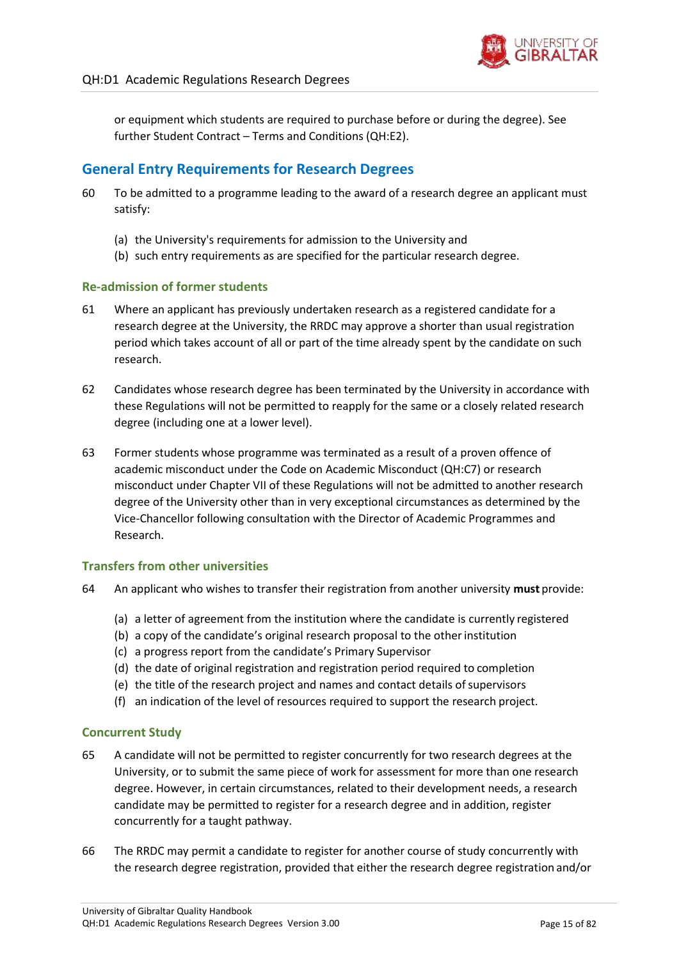

or equipment which students are required to purchase before or during the degree). See further Student Contract – Terms and Conditions (QH:E2).

### <span id="page-14-0"></span>**General Entry Requirements for Research Degrees**

- 60 To be admitted to a programme leading to the award of a research degree an applicant must satisfy:
	- (a) the University's requirements for admission to the University and
	- (b) such entry requirements as are specified for the particular research degree.

### **Re-admission of former students**

- 61 Where an applicant has previously undertaken research as a registered candidate for a research degree at the University, the RRDC may approve a shorter than usual registration period which takes account of all or part of the time already spent by the candidate on such research.
- 62 Candidates whose research degree has been terminated by the University in accordance with these Regulations will not be permitted to reapply for the same or a closely related research degree (including one at a lower level).
- 63 Former students whose programme was terminated as a result of a proven offence of academic misconduct under the Code on Academic Misconduct (QH:C7) or research misconduct under Chapter VII of these Regulations will not be admitted to another research degree of the University other than in very exceptional circumstances as determined by the Vice-Chancellor following consultation with the Director of Academic Programmes and Research.

### **Transfers from other universities**

- 64 An applicant who wishes to transfer their registration from another university **must** provide:
	- (a) a letter of agreement from the institution where the candidate is currently registered
	- (b) a copy of the candidate's original research proposal to the otherinstitution
	- (c) a progress report from the candidate's Primary Supervisor
	- (d) the date of original registration and registration period required to completion
	- (e) the title of the research project and names and contact details of supervisors
	- (f) an indication of the level of resources required to support the research project.

#### **Concurrent Study**

- 65 A candidate will not be permitted to register concurrently for two research degrees at the University, or to submit the same piece of work for assessment for more than one research degree. However, in certain circumstances, related to their development needs, a research candidate may be permitted to register for a research degree and in addition, register concurrently for a taught pathway.
- 66 The RRDC may permit a candidate to register for another course of study concurrently with the research degree registration, provided that either the research degree registration and/or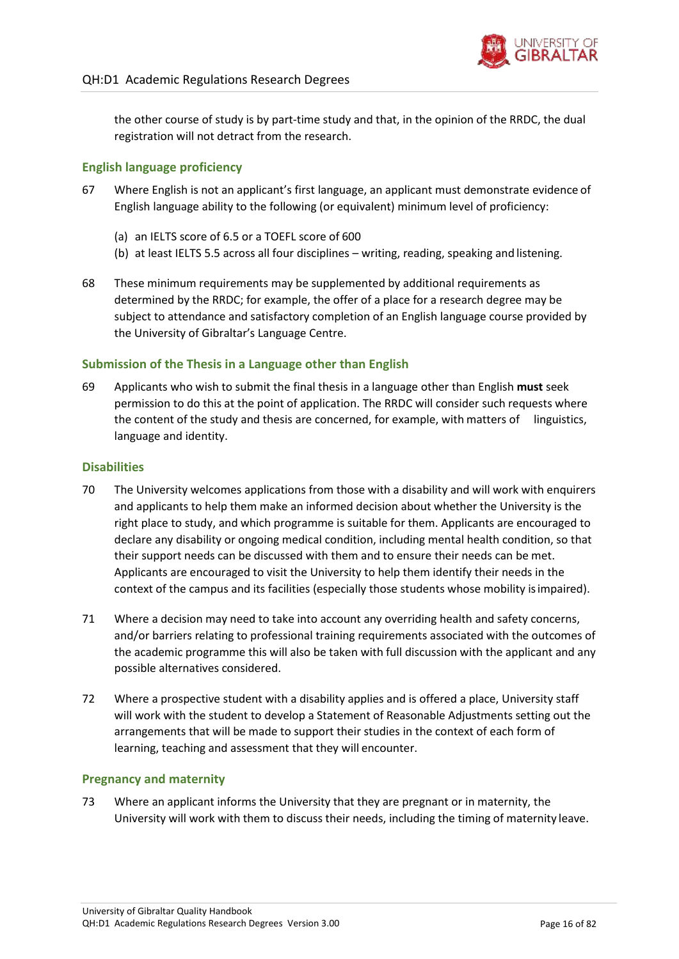the other course of study is by part-time study and that, in the opinion of the RRDC, the dual registration will not detract from the research.

### **English language proficiency**

- 67 Where English is not an applicant's first language, an applicant must demonstrate evidence of English language ability to the following (or equivalent) minimum level of proficiency:
	- (a) an IELTS score of 6.5 or a TOEFL score of 600
	- (b) at least IELTS 5.5 across all four disciplines writing, reading, speaking and listening.
- 68 These minimum requirements may be supplemented by additional requirements as determined by the RRDC; for example, the offer of a place for a research degree may be subject to attendance and satisfactory completion of an English language course provided by the University of Gibraltar's Language Centre.

### **Submission of the Thesis in a Language other than English**

69 Applicants who wish to submit the final thesis in a language other than English **must** seek permission to do this at the point of application. The RRDC will consider such requests where the content of the study and thesis are concerned, for example, with matters of linguistics, language and identity.

#### **Disabilities**

- 70 The University welcomes applications from those with a disability and will work with enquirers and applicants to help them make an informed decision about whether the University is the right place to study, and which programme is suitable for them. Applicants are encouraged to declare any disability or ongoing medical condition, including mental health condition, so that their support needs can be discussed with them and to ensure their needs can be met. Applicants are encouraged to visit the University to help them identify their needs in the context of the campus and its facilities (especially those students whose mobility isimpaired).
- 71 Where a decision may need to take into account any overriding health and safety concerns, and/or barriers relating to professional training requirements associated with the outcomes of the academic programme this will also be taken with full discussion with the applicant and any possible alternatives considered.
- 72 Where a prospective student with a disability applies and is offered a place, University staff will work with the student to develop a Statement of Reasonable Adjustments setting out the arrangements that will be made to support their studies in the context of each form of learning, teaching and assessment that they will encounter.

#### **Pregnancy and maternity**

73 Where an applicant informs the University that they are pregnant or in maternity, the University will work with them to discuss their needs, including the timing of maternity leave.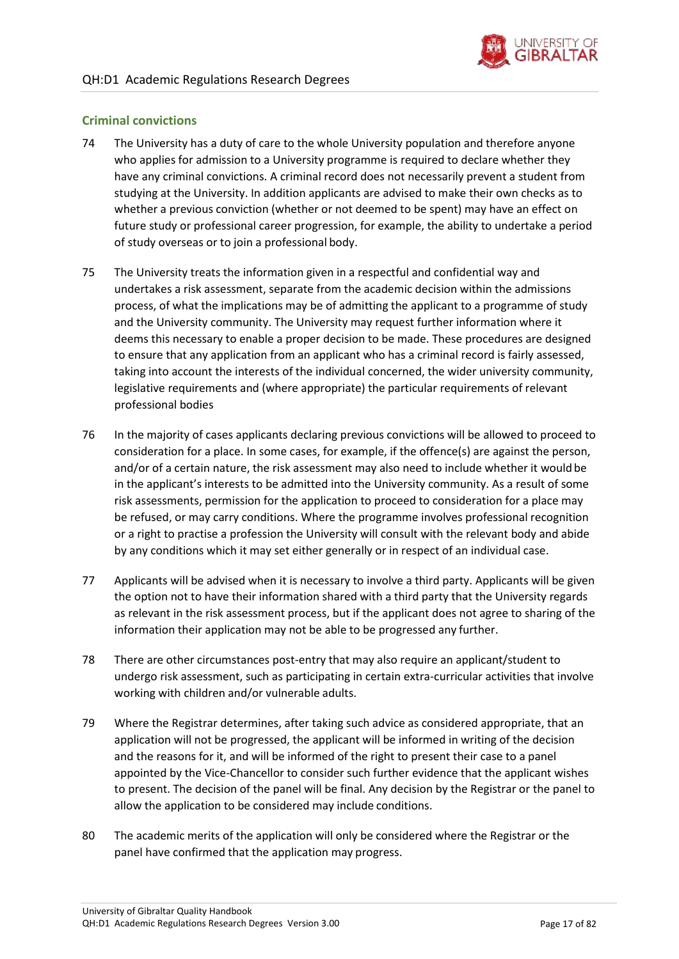

### **Criminal convictions**

- 74 The University has a duty of care to the whole University population and therefore anyone who applies for admission to a University programme is required to declare whether they have any criminal convictions. A criminal record does not necessarily prevent a student from studying at the University. In addition applicants are advised to make their own checks as to whether a previous conviction (whether or not deemed to be spent) may have an effect on future study or professional career progression, for example, the ability to undertake a period of study overseas or to join a professional body.
- 75 The University treats the information given in a respectful and confidential way and undertakes a risk assessment, separate from the academic decision within the admissions process, of what the implications may be of admitting the applicant to a programme of study and the University community. The University may request further information where it deems this necessary to enable a proper decision to be made. These procedures are designed to ensure that any application from an applicant who has a criminal record is fairly assessed, taking into account the interests of the individual concerned, the wider university community, legislative requirements and (where appropriate) the particular requirements of relevant professional bodies
- 76 In the majority of cases applicants declaring previous convictions will be allowed to proceed to consideration for a place. In some cases, for example, if the offence(s) are against the person, and/or of a certain nature, the risk assessment may also need to include whether it would be in the applicant's interests to be admitted into the University community. As a result of some risk assessments, permission for the application to proceed to consideration for a place may be refused, or may carry conditions. Where the programme involves professional recognition or a right to practise a profession the University will consult with the relevant body and abide by any conditions which it may set either generally or in respect of an individual case.
- 77 Applicants will be advised when it is necessary to involve a third party. Applicants will be given the option not to have their information shared with a third party that the University regards as relevant in the risk assessment process, but if the applicant does not agree to sharing of the information their application may not be able to be progressed any further.
- 78 There are other circumstances post-entry that may also require an applicant/student to undergo risk assessment, such as participating in certain extra-curricular activities that involve working with children and/or vulnerable adults.
- 79 Where the Registrar determines, after taking such advice as considered appropriate, that an application will not be progressed, the applicant will be informed in writing of the decision and the reasons for it, and will be informed of the right to present their case to a panel appointed by the Vice-Chancellor to consider such further evidence that the applicant wishes to present. The decision of the panel will be final. Any decision by the Registrar or the panel to allow the application to be considered may include conditions.
- 80 The academic merits of the application will only be considered where the Registrar or the panel have confirmed that the application may progress.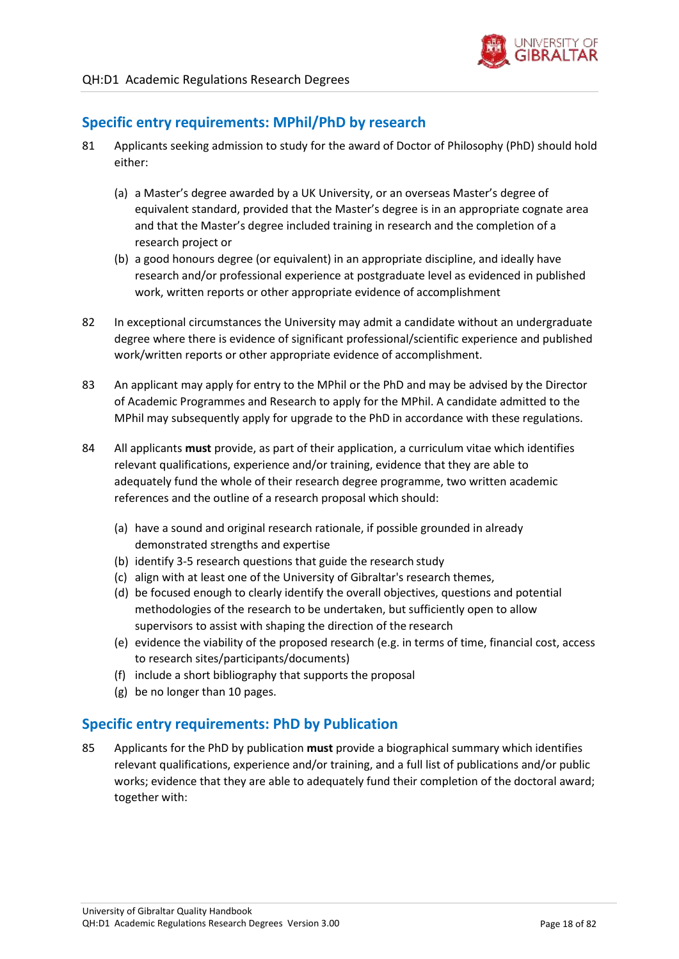

### <span id="page-17-0"></span>**Specific entry requirements: MPhil/PhD by research**

- 81 Applicants seeking admission to study for the award of Doctor of Philosophy (PhD) should hold either:
	- (a) a Master's degree awarded by a UK University, or an overseas Master's degree of equivalent standard, provided that the Master's degree is in an appropriate cognate area and that the Master's degree included training in research and the completion of a research project or
	- (b) a good honours degree (or equivalent) in an appropriate discipline, and ideally have research and/or professional experience at postgraduate level as evidenced in published work, written reports or other appropriate evidence of accomplishment
- 82 In exceptional circumstances the University may admit a candidate without an undergraduate degree where there is evidence of significant professional/scientific experience and published work/written reports or other appropriate evidence of accomplishment.
- 83 An applicant may apply for entry to the MPhil or the PhD and may be advised by the Director of Academic Programmes and Research to apply for the MPhil. A candidate admitted to the MPhil may subsequently apply for upgrade to the PhD in accordance with these regulations.
- 84 All applicants **must** provide, as part of their application, a curriculum vitae which identifies relevant qualifications, experience and/or training, evidence that they are able to adequately fund the whole of their research degree programme, two written academic references and the outline of a research proposal which should:
	- (a) have a sound and original research rationale, if possible grounded in already demonstrated strengths and expertise
	- (b) identify 3-5 research questions that guide the research study
	- (c) align with at least one of the University of Gibraltar's research themes,
	- (d) be focused enough to clearly identify the overall objectives, questions and potential methodologies of the research to be undertaken, but sufficiently open to allow supervisors to assist with shaping the direction of the research
	- (e) evidence the viability of the proposed research (e.g. in terms of time, financial cost, access to research sites/participants/documents)
	- (f) include a short bibliography that supports the proposal
	- (g) be no longer than 10 pages.

### <span id="page-17-1"></span>**Specific entry requirements: PhD by Publication**

85 Applicants for the PhD by publication **must** provide a biographical summary which identifies relevant qualifications, experience and/or training, and a full list of publications and/or public works; evidence that they are able to adequately fund their completion of the doctoral award; together with: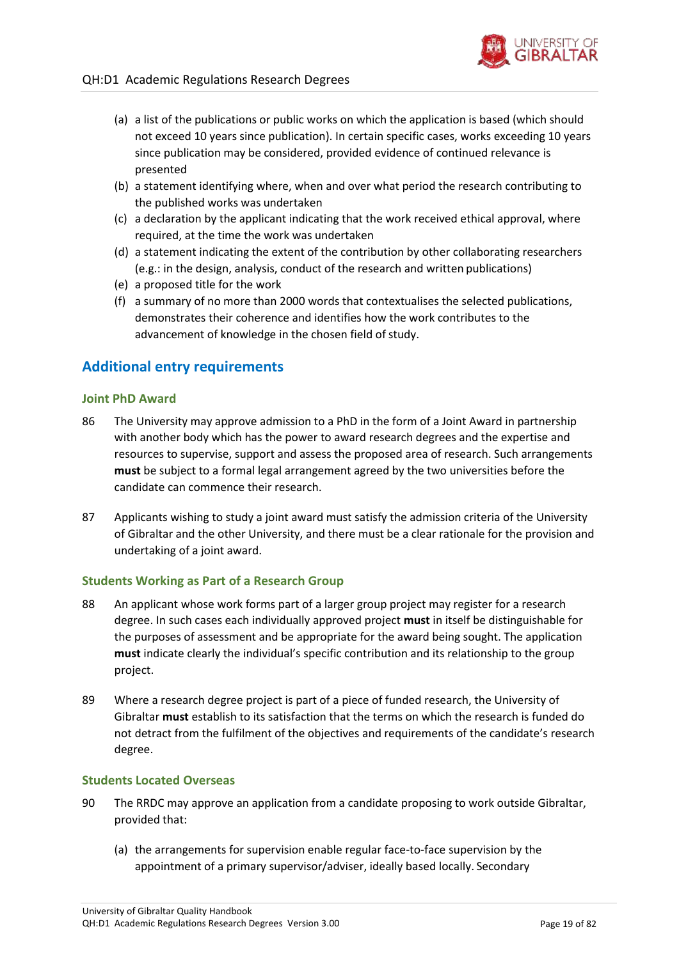- (a) a list of the publications or public works on which the application is based (which should not exceed 10 years since publication). In certain specific cases, works exceeding 10 years since publication may be considered, provided evidence of continued relevance is presented
- (b) a statement identifying where, when and over what period the research contributing to the published works was undertaken
- (c) a declaration by the applicant indicating that the work received ethical approval, where required, at the time the work was undertaken
- (d) a statement indicating the extent of the contribution by other collaborating researchers (e.g.: in the design, analysis, conduct of the research and written publications)
- (e) a proposed title for the work
- (f) a summary of no more than 2000 words that contextualises the selected publications, demonstrates their coherence and identifies how the work contributes to the advancement of knowledge in the chosen field of study.

### <span id="page-18-0"></span>**Additional entry requirements**

#### **Joint PhD Award**

- 86 The University may approve admission to a PhD in the form of a Joint Award in partnership with another body which has the power to award research degrees and the expertise and resources to supervise, support and assess the proposed area of research. Such arrangements **must** be subject to a formal legal arrangement agreed by the two universities before the candidate can commence their research.
- 87 Applicants wishing to study a joint award must satisfy the admission criteria of the University of Gibraltar and the other University, and there must be a clear rationale for the provision and undertaking of a joint award.

#### **Students Working as Part of a Research Group**

- 88 An applicant whose work forms part of a larger group project may register for a research degree. In such cases each individually approved project **must** in itself be distinguishable for the purposes of assessment and be appropriate for the award being sought. The application **must** indicate clearly the individual's specific contribution and its relationship to the group project.
- 89 Where a research degree project is part of a piece of funded research, the University of Gibraltar **must** establish to its satisfaction that the terms on which the research is funded do not detract from the fulfilment of the objectives and requirements of the candidate's research degree.

#### **Students Located Overseas**

- 90 The RRDC may approve an application from a candidate proposing to work outside Gibraltar, provided that:
	- (a) the arrangements for supervision enable regular face-to-face supervision by the appointment of a primary supervisor/adviser, ideally based locally. Secondary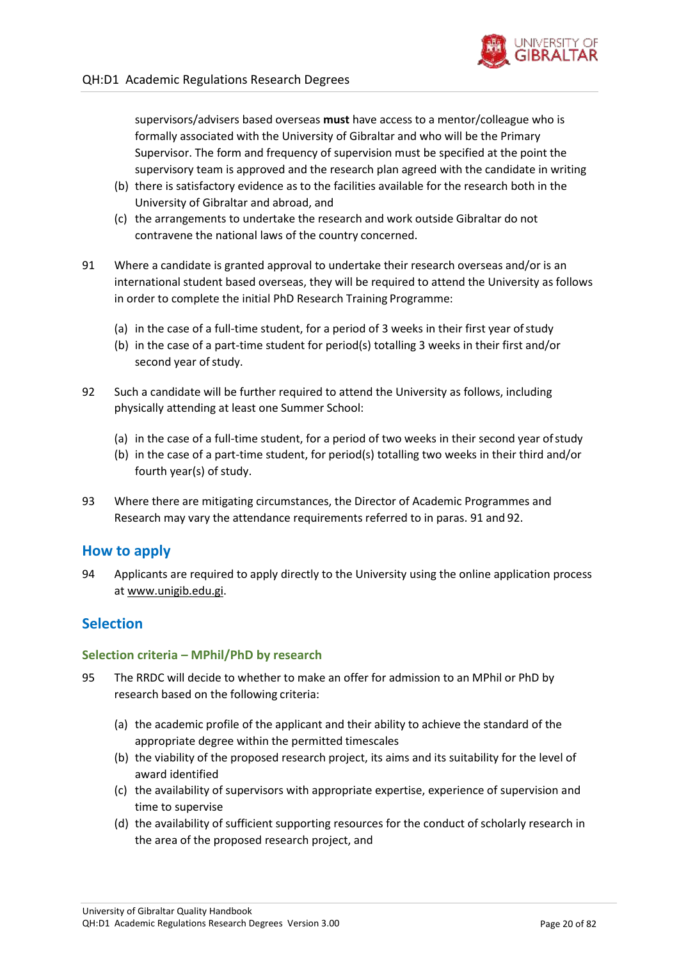

supervisors/advisers based overseas **must** have access to a mentor/colleague who is formally associated with the University of Gibraltar and who will be the Primary Supervisor. The form and frequency of supervision must be specified at the point the supervisory team is approved and the research plan agreed with the candidate in writing

- (b) there is satisfactory evidence as to the facilities available for the research both in the University of Gibraltar and abroad, and
- (c) the arrangements to undertake the research and work outside Gibraltar do not contravene the national laws of the country concerned.
- <span id="page-19-3"></span>91 Where a candidate is granted approval to undertake their research overseas and/or is an international student based overseas, they will be required to attend the University as follows in order to complete the initial PhD Research Training Programme:
	- (a) in the case of a full-time student, for a period of 3 weeks in their first year ofstudy
	- (b) in the case of a part-time student for period(s) totalling 3 weeks in their first and/or second year of study.
- <span id="page-19-4"></span>92 Such a candidate will be further required to attend the University as follows, including physically attending at least one Summer School:
	- (a) in the case of a full-time student, for a period of two weeks in their second year ofstudy
	- (b) in the case of a part-time student, for period(s) totalling two weeks in their third and/or fourth year(s) of study.
- 93 Where there are mitigating circumstances, the Director of Academic Programmes and Research may vary the attendance requirements referred to in paras[. 91 a](#page-19-3)nd [92.](#page-19-4)

### <span id="page-19-0"></span>**How to apply**

94 Applicants are required to apply directly to the University using the online application process at [www.unigib.edu.gi.](http://www.unigib.edu.gi/)

### <span id="page-19-1"></span>**Selection**

### **Selection criteria – MPhil/PhD by research**

- <span id="page-19-2"></span>95 The RRDC will decide to whether to make an offer for admission to an MPhil or PhD by research based on the following criteria:
	- (a) the academic profile of the applicant and their ability to achieve the standard of the appropriate degree within the permitted timescales
	- (b) the viability of the proposed research project, its aims and its suitability for the level of award identified
	- (c) the availability of supervisors with appropriate expertise, experience of supervision and time to supervise
	- (d) the availability of sufficient supporting resources for the conduct of scholarly research in the area of the proposed research project, and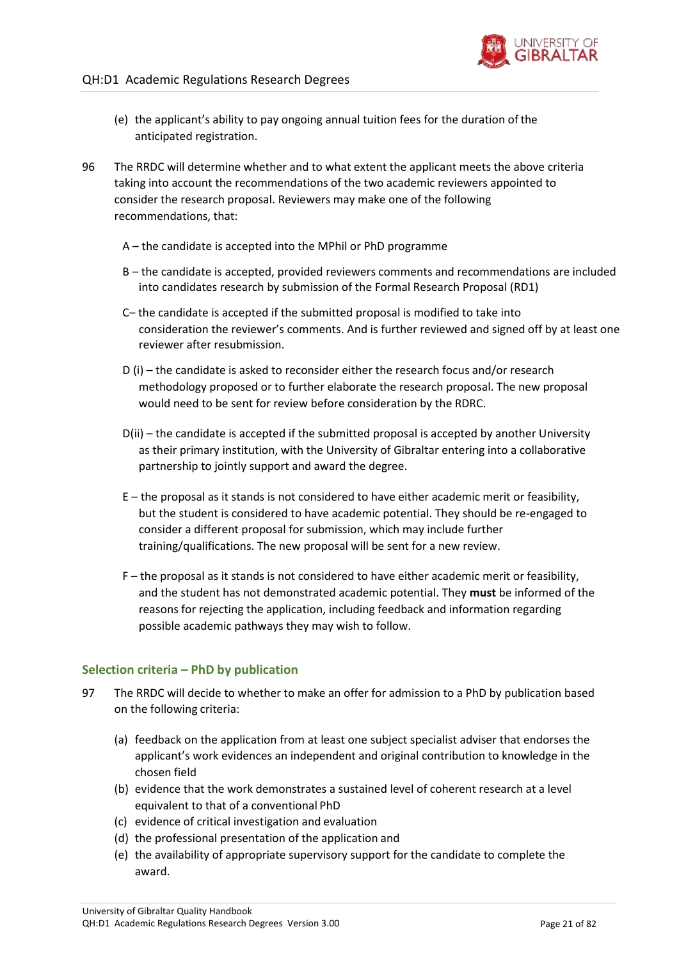

- (e) the applicant's ability to pay ongoing annual tuition fees for the duration of the anticipated registration.
- 96 The RRDC will determine whether and to what extent the applicant meets the above criteria taking into account the recommendations of the two academic reviewers appointed to consider the research proposal. Reviewers may make one of the following recommendations, that:
	- A the candidate is accepted into the MPhil or PhD programme
	- B the candidate is accepted, provided reviewers comments and recommendations are included into candidates research by submission of the Formal Research Proposal (RD1)
	- C– the candidate is accepted if the submitted proposal is modified to take into consideration the reviewer's comments. And is further reviewed and signed off by at least one reviewer after resubmission.
	- D (i) the candidate is asked to reconsider either the research focus and/or research methodology proposed or to further elaborate the research proposal. The new proposal would need to be sent for review before consideration by the RDRC.
	- D(ii) the candidate is accepted if the submitted proposal is accepted by another University as their primary institution, with the University of Gibraltar entering into a collaborative partnership to jointly support and award the degree.
	- E the proposal as it stands is not considered to have either academic merit or feasibility, but the student is considered to have academic potential. They should be re-engaged to consider a different proposal for submission, which may include further training/qualifications. The new proposal will be sent for a new review.
	- F the proposal as it stands is not considered to have either academic merit or feasibility, and the student has not demonstrated academic potential. They **must** be informed of the reasons for rejecting the application, including feedback and information regarding possible academic pathways they may wish to follow.

### **Selection criteria – PhD by publication**

- 97 The RRDC will decide to whether to make an offer for admission to a PhD by publication based on the following criteria:
	- (a) feedback on the application from at least one subject specialist adviser that endorses the applicant's work evidences an independent and original contribution to knowledge in the chosen field
	- (b) evidence that the work demonstrates a sustained level of coherent research at a level equivalent to that of a conventional PhD
	- (c) evidence of critical investigation and evaluation
	- (d) the professional presentation of the application and
	- (e) the availability of appropriate supervisory support for the candidate to complete the award.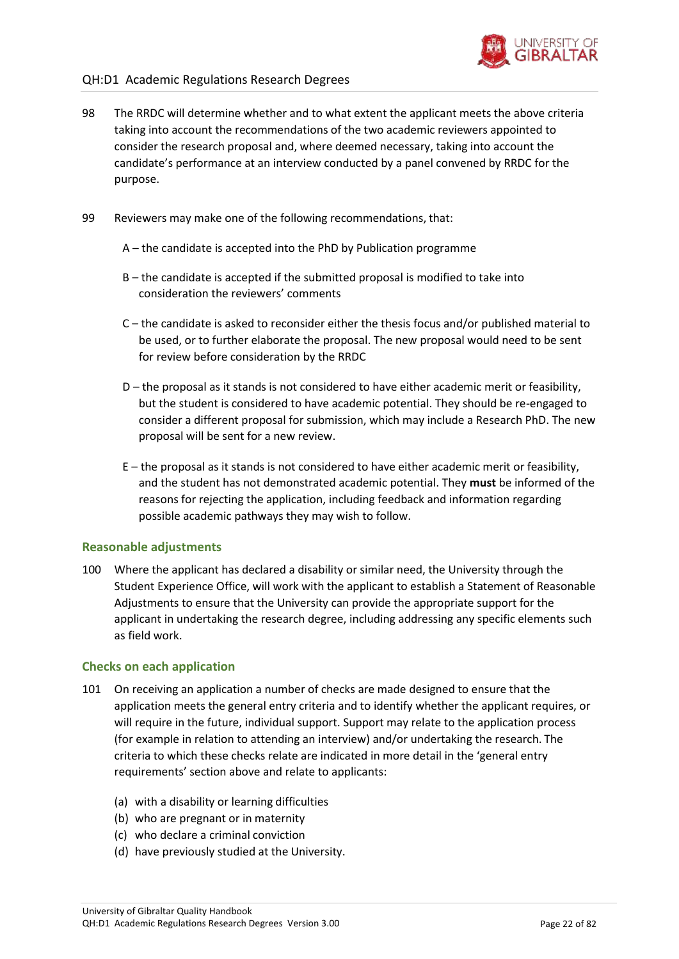

### QH:D1 Academic Regulations Research Degrees

- 98 The RRDC will determine whether and to what extent the applicant meets the above criteria taking into account the recommendations of the two academic reviewers appointed to consider the research proposal and, where deemed necessary, taking into account the candidate's performance at an interview conducted by a panel convened by RRDC for the purpose.
- 99 Reviewers may make one of the following recommendations, that:
	- A the candidate is accepted into the PhD by Publication programme
	- B the candidate is accepted if the submitted proposal is modified to take into consideration the reviewers' comments
	- C the candidate is asked to reconsider either the thesis focus and/or published material to be used, or to further elaborate the proposal. The new proposal would need to be sent for review before consideration by the RRDC
	- D the proposal as it stands is not considered to have either academic merit or feasibility, but the student is considered to have academic potential. They should be re-engaged to consider a different proposal for submission, which may include a Research PhD. The new proposal will be sent for a new review.
	- E the proposal as it stands is not considered to have either academic merit or feasibility, and the student has not demonstrated academic potential. They **must** be informed of the reasons for rejecting the application, including feedback and information regarding possible academic pathways they may wish to follow.

#### **Reasonable adjustments**

100 Where the applicant has declared a disability or similar need, the University through the Student Experience Office, will work with the applicant to establish a Statement of Reasonable Adjustments to ensure that the University can provide the appropriate support for the applicant in undertaking the research degree, including addressing any specific elements such as field work.

#### **Checks on each application**

- 101 On receiving an application a number of checks are made designed to ensure that the application meets the general entry criteria and to identify whether the applicant requires, or will require in the future, individual support. Support may relate to the application process (for example in relation to attending an interview) and/or undertaking the research. The criteria to which these checks relate are indicated in more detail in the 'general entry requirements' section above and relate to applicants:
	- (a) with a disability or learning difficulties
	- (b) who are pregnant or in maternity
	- (c) who declare a criminal conviction
	- (d) have previously studied at the University.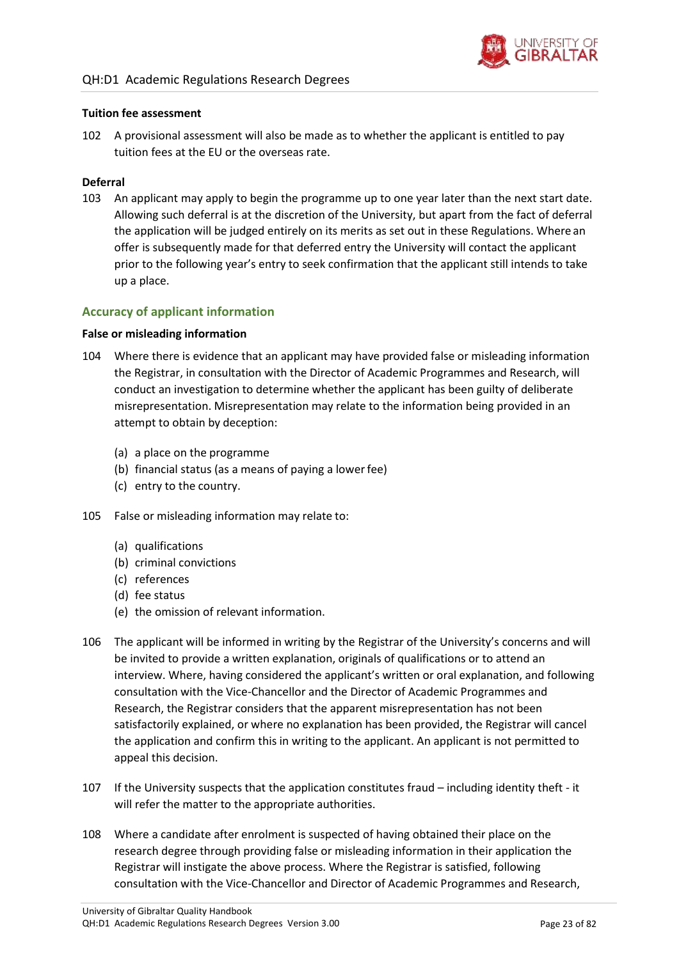

#### **Tuition fee assessment**

102 A provisional assessment will also be made as to whether the applicant is entitled to pay tuition fees at the EU or the overseas rate.

#### **Deferral**

103 An applicant may apply to begin the programme up to one year later than the next start date. Allowing such deferral is at the discretion of the University, but apart from the fact of deferral the application will be judged entirely on its merits as set out in these Regulations. Where an offer is subsequently made for that deferred entry the University will contact the applicant prior to the following year's entry to seek confirmation that the applicant still intends to take up a place.

### **Accuracy of applicant information**

#### **False or misleading information**

- 104 Where there is evidence that an applicant may have provided false or misleading information the Registrar, in consultation with the Director of Academic Programmes and Research, will conduct an investigation to determine whether the applicant has been guilty of deliberate misrepresentation. Misrepresentation may relate to the information being provided in an attempt to obtain by deception:
	- (a) a place on the programme
	- (b) financial status (as a means of paying a lowerfee)
	- (c) entry to the country.
- 105 False or misleading information may relate to:
	- (a) qualifications
	- (b) criminal convictions
	- (c) references
	- (d) fee status
	- (e) the omission of relevant information.
- 106 The applicant will be informed in writing by the Registrar of the University's concerns and will be invited to provide a written explanation, originals of qualifications or to attend an interview. Where, having considered the applicant's written or oral explanation, and following consultation with the Vice-Chancellor and the Director of Academic Programmes and Research, the Registrar considers that the apparent misrepresentation has not been satisfactorily explained, or where no explanation has been provided, the Registrar will cancel the application and confirm this in writing to the applicant. An applicant is not permitted to appeal this decision.
- 107 If the University suspects that the application constitutes fraud including identity theft it will refer the matter to the appropriate authorities.
- 108 Where a candidate after enrolment is suspected of having obtained their place on the research degree through providing false or misleading information in their application the Registrar will instigate the above process. Where the Registrar is satisfied, following consultation with the Vice-Chancellor and Director of Academic Programmes and Research,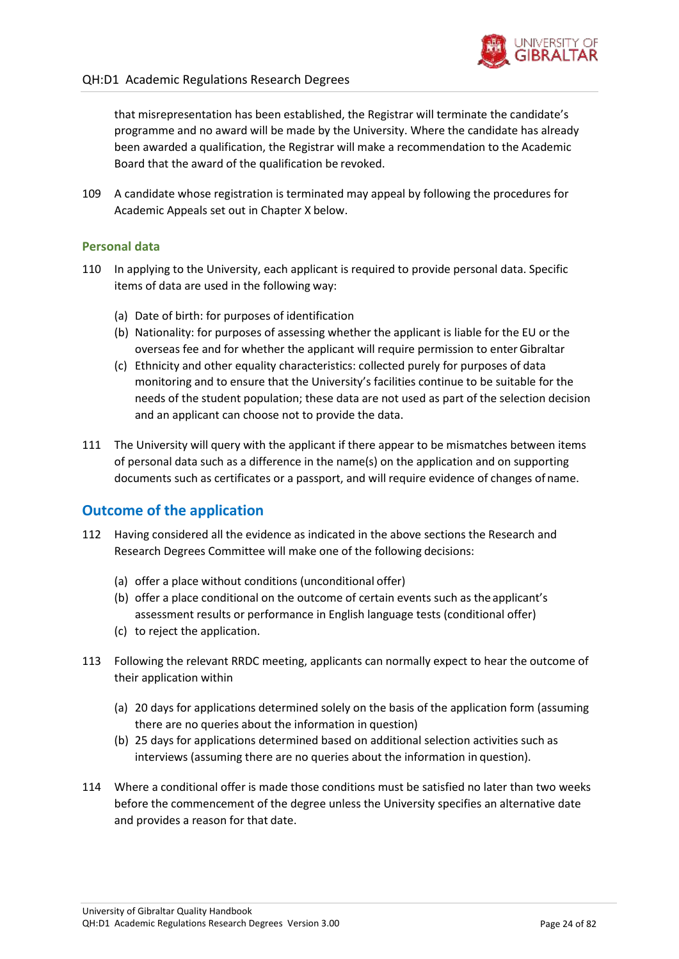

that misrepresentation has been established, the Registrar will terminate the candidate's programme and no award will be made by the University. Where the candidate has already been awarded a qualification, the Registrar will make a recommendation to the Academic Board that the award of the qualification be revoked.

109 A candidate whose registration is terminated may appeal by following the procedures for Academic Appeals set out in Chapter X below.

### **Personal data**

- 110 In applying to the University, each applicant is required to provide personal data. Specific items of data are used in the following way:
	- (a) Date of birth: for purposes of identification
	- (b) Nationality: for purposes of assessing whether the applicant is liable for the EU or the overseas fee and for whether the applicant will require permission to enterGibraltar
	- (c) Ethnicity and other equality characteristics: collected purely for purposes of data monitoring and to ensure that the University's facilities continue to be suitable for the needs of the student population; these data are not used as part of the selection decision and an applicant can choose not to provide the data.
- 111 The University will query with the applicant if there appear to be mismatches between items of personal data such as a difference in the name(s) on the application and on supporting documents such as certificates or a passport, and will require evidence of changes of name.

### <span id="page-23-0"></span>**Outcome of the application**

- 112 Having considered all the evidence as indicated in the above sections the Research and Research Degrees Committee will make one of the following decisions:
	- (a) offer a place without conditions (unconditional offer)
	- (b) offer a place conditional on the outcome of certain events such as the applicant's assessment results or performance in English language tests (conditional offer)
	- (c) to reject the application.
- 113 Following the relevant RRDC meeting, applicants can normally expect to hear the outcome of their application within
	- (a) 20 days for applications determined solely on the basis of the application form (assuming there are no queries about the information in question)
	- (b) 25 days for applications determined based on additional selection activities such as interviews (assuming there are no queries about the information in question).
- 114 Where a conditional offer is made those conditions must be satisfied no later than two weeks before the commencement of the degree unless the University specifies an alternative date and provides a reason for that date.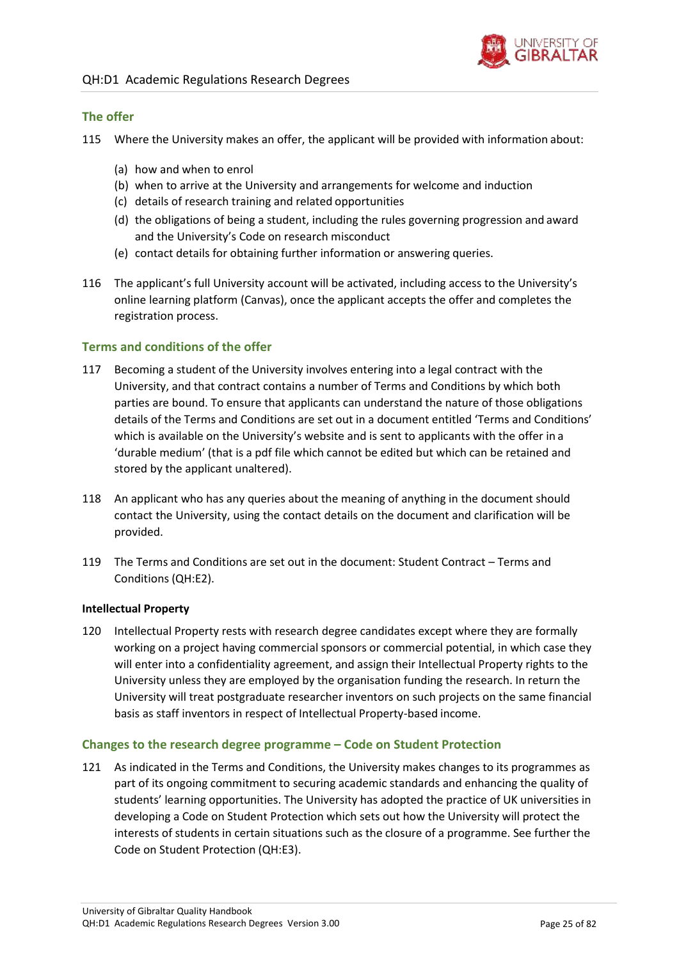

### **The offer**

- 115 Where the University makes an offer, the applicant will be provided with information about:
	- (a) how and when to enrol
	- (b) when to arrive at the University and arrangements for welcome and induction
	- (c) details of research training and related opportunities
	- (d) the obligations of being a student, including the rules governing progression and award and the University's Code on research misconduct
	- (e) contact details for obtaining further information or answering queries.
- 116 The applicant's full University account will be activated, including access to the University's online learning platform (Canvas), once the applicant accepts the offer and completes the registration process.

### **Terms and conditions of the offer**

- 117 Becoming a student of the University involves entering into a legal contract with the University, and that contract contains a number of Terms and Conditions by which both parties are bound. To ensure that applicants can understand the nature of those obligations details of the Terms and Conditions are set out in a document entitled 'Terms and Conditions' which is available on the University's website and is sent to applicants with the offer in a 'durable medium' (that is a pdf file which cannot be edited but which can be retained and stored by the applicant unaltered).
- 118 An applicant who has any queries about the meaning of anything in the document should contact the University, using the contact details on the document and clarification will be provided.
- 119 The Terms and Conditions are set out in the document: Student Contract Terms and Conditions (QH:E2).

#### **Intellectual Property**

120 Intellectual Property rests with research degree candidates except where they are formally working on a project having commercial sponsors or commercial potential, in which case they will enter into a confidentiality agreement, and assign their Intellectual Property rights to the University unless they are employed by the organisation funding the research. In return the University will treat postgraduate researcher inventors on such projects on the same financial basis as staff inventors in respect of Intellectual Property-based income.

#### **Changes to the research degree programme – Code on Student Protection**

121 As indicated in the Terms and Conditions, the University makes changes to its programmes as part of its ongoing commitment to securing academic standards and enhancing the quality of students' learning opportunities. The University has adopted the practice of UK universities in developing a Code on Student Protection which sets out how the University will protect the interests of students in certain situations such as the closure of a programme. See further the Code on Student Protection (QH:E3).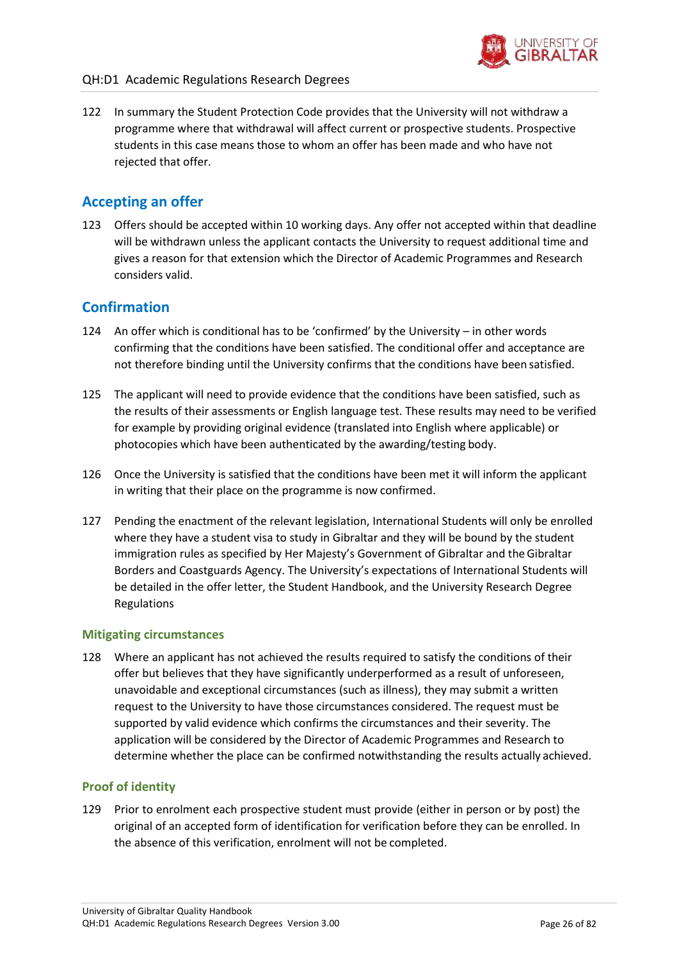

122 In summary the Student Protection Code provides that the University will not withdraw a programme where that withdrawal will affect current or prospective students. Prospective students in this case means those to whom an offer has been made and who have not rejected that offer.

### <span id="page-25-0"></span>**Accepting an offer**

123 Offers should be accepted within 10 working days. Any offer not accepted within that deadline will be withdrawn unless the applicant contacts the University to request additional time and gives a reason for that extension which the Director of Academic Programmes and Research considers valid.

### <span id="page-25-1"></span>**Confirmation**

- 124 An offer which is conditional has to be 'confirmed' by the University in other words confirming that the conditions have been satisfied. The conditional offer and acceptance are not therefore binding until the University confirms that the conditions have been satisfied.
- 125 The applicant will need to provide evidence that the conditions have been satisfied, such as the results of their assessments or English language test. These results may need to be verified for example by providing original evidence (translated into English where applicable) or photocopies which have been authenticated by the awarding/testing body.
- 126 Once the University is satisfied that the conditions have been met it will inform the applicant in writing that their place on the programme is now confirmed.
- 127 Pending the enactment of the relevant legislation, International Students will only be enrolled where they have a student visa to study in Gibraltar and they will be bound by the student immigration rules as specified by Her Majesty's Government of Gibraltar and theGibraltar Borders and Coastguards Agency. The University's expectations of International Students will be detailed in the offer letter, the Student Handbook, and the University Research Degree Regulations

### **Mitigating circumstances**

128 Where an applicant has not achieved the results required to satisfy the conditions of their offer but believes that they have significantly underperformed as a result of unforeseen, unavoidable and exceptional circumstances (such as illness), they may submit a written request to the University to have those circumstances considered. The request must be supported by valid evidence which confirms the circumstances and their severity. The application will be considered by the Director of Academic Programmes and Research to determine whether the place can be confirmed notwithstanding the results actually achieved.

### **Proof of identity**

129 Prior to enrolment each prospective student must provide (either in person or by post) the original of an accepted form of identification for verification before they can be enrolled. In the absence of this verification, enrolment will not be completed.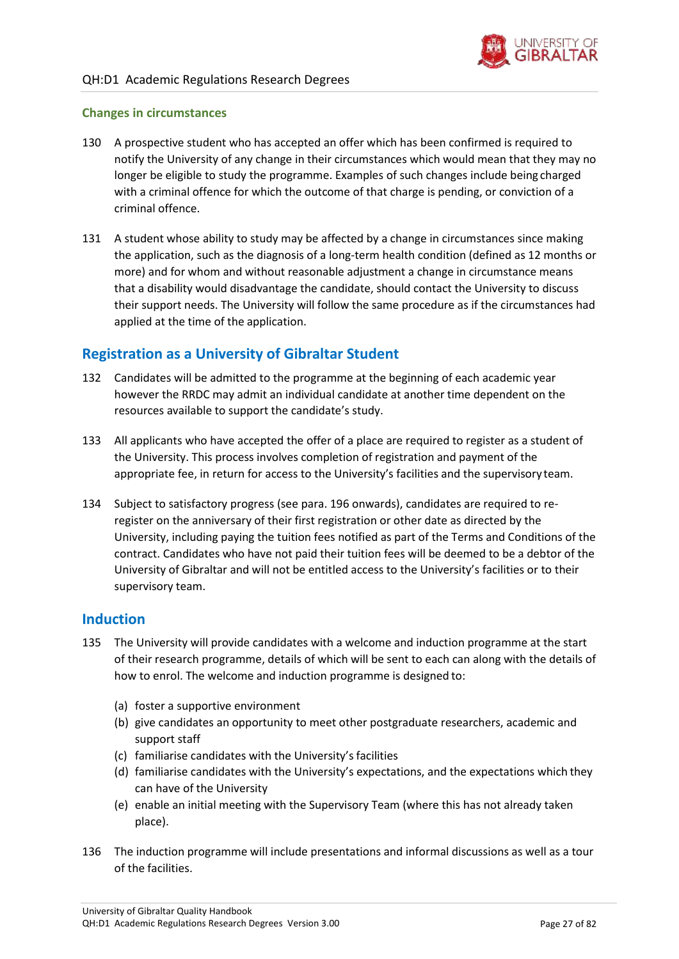

### **Changes in circumstances**

- 130 A prospective student who has accepted an offer which has been confirmed is required to notify the University of any change in their circumstances which would mean that they may no longer be eligible to study the programme. Examples of such changes include being charged with a criminal offence for which the outcome of that charge is pending, or conviction of a criminal offence.
- 131 A student whose ability to study may be affected by a change in circumstances since making the application, such as the diagnosis of a long-term health condition (defined as 12 months or more) and for whom and without reasonable adjustment a change in circumstance means that a disability would disadvantage the candidate, should contact the University to discuss their support needs. The University will follow the same procedure as if the circumstances had applied at the time of the application.

### <span id="page-26-0"></span>**Registration as a University of Gibraltar Student**

- 132 Candidates will be admitted to the programme at the beginning of each academic year however the RRDC may admit an individual candidate at another time dependent on the resources available to support the candidate's study.
- 133 All applicants who have accepted the offer of a place are required to register as a student of the University. This process involves completion of registration and payment of the appropriate fee, in return for access to the University's facilities and the supervisory team.
- 134 Subject to satisfactory progress (see para[. 196 o](#page-37-2)nwards), candidates are required to reregister on the anniversary of their first registration or other date as directed by the University, including paying the tuition fees notified as part of the Terms and Conditions of the contract. Candidates who have not paid their tuition fees will be deemed to be a debtor of the University of Gibraltar and will not be entitled access to the University's facilities or to their supervisory team.

### <span id="page-26-1"></span>**Induction**

- 135 The University will provide candidates with a welcome and induction programme at the start of their research programme, details of which will be sent to each can along with the details of how to enrol. The welcome and induction programme is designed to:
	- (a) foster a supportive environment
	- (b) give candidates an opportunity to meet other postgraduate researchers, academic and support staff
	- (c) familiarise candidates with the University'sfacilities
	- (d) familiarise candidates with the University's expectations, and the expectations which they can have of the University
	- (e) enable an initial meeting with the Supervisory Team (where this has not already taken place).
- 136 The induction programme will include presentations and informal discussions as well as a tour of the facilities.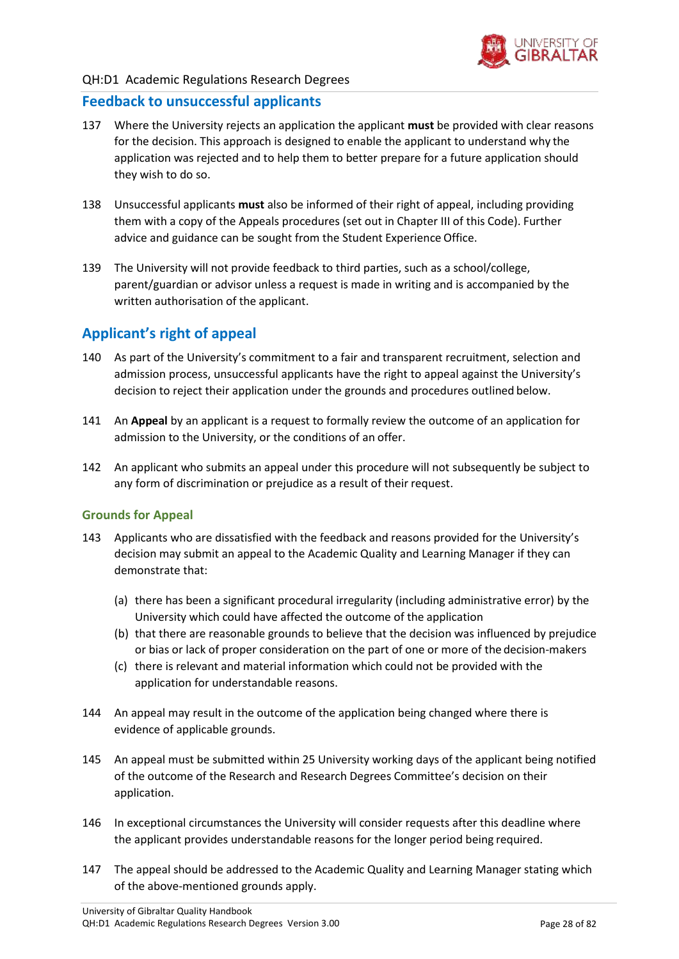

### QH:D1 Academic Regulations Research Degrees

### <span id="page-27-0"></span>**Feedback to unsuccessful applicants**

- 137 Where the University rejects an application the applicant **must** be provided with clear reasons for the decision. This approach is designed to enable the applicant to understand why the application was rejected and to help them to better prepare for a future application should they wish to do so.
- 138 Unsuccessful applicants **must** also be informed of their right of appeal, including providing them with a copy of the Appeals procedures (set out in Chapter III of this Code). Further advice and guidance can be sought from the Student Experience Office.
- 139 The University will not provide feedback to third parties, such as a school/college, parent/guardian or advisor unless a request is made in writing and is accompanied by the written authorisation of the applicant.

### <span id="page-27-1"></span>**Applicant's right of appeal**

- 140 As part of the University's commitment to a fair and transparent recruitment, selection and admission process, unsuccessful applicants have the right to appeal against the University's decision to reject their application under the grounds and procedures outlined below.
- 141 An **Appeal** by an applicant is a request to formally review the outcome of an application for admission to the University, or the conditions of an offer.
- 142 An applicant who submits an appeal under this procedure will not subsequently be subject to any form of discrimination or prejudice as a result of their request.

#### **Grounds for Appeal**

- 143 Applicants who are dissatisfied with the feedback and reasons provided for the University's decision may submit an appeal to the Academic Quality and Learning Manager if they can demonstrate that:
	- (a) there has been a significant procedural irregularity (including administrative error) by the University which could have affected the outcome of the application
	- (b) that there are reasonable grounds to believe that the decision was influenced by prejudice or bias or lack of proper consideration on the part of one or more of the decision-makers
	- (c) there is relevant and material information which could not be provided with the application for understandable reasons.
- 144 An appeal may result in the outcome of the application being changed where there is evidence of applicable grounds.
- 145 An appeal must be submitted within 25 University working days of the applicant being notified of the outcome of the Research and Research Degrees Committee's decision on their application.
- 146 In exceptional circumstances the University will consider requests after this deadline where the applicant provides understandable reasons for the longer period being required.
- 147 The appeal should be addressed to the Academic Quality and Learning Manager stating which of the above-mentioned grounds apply.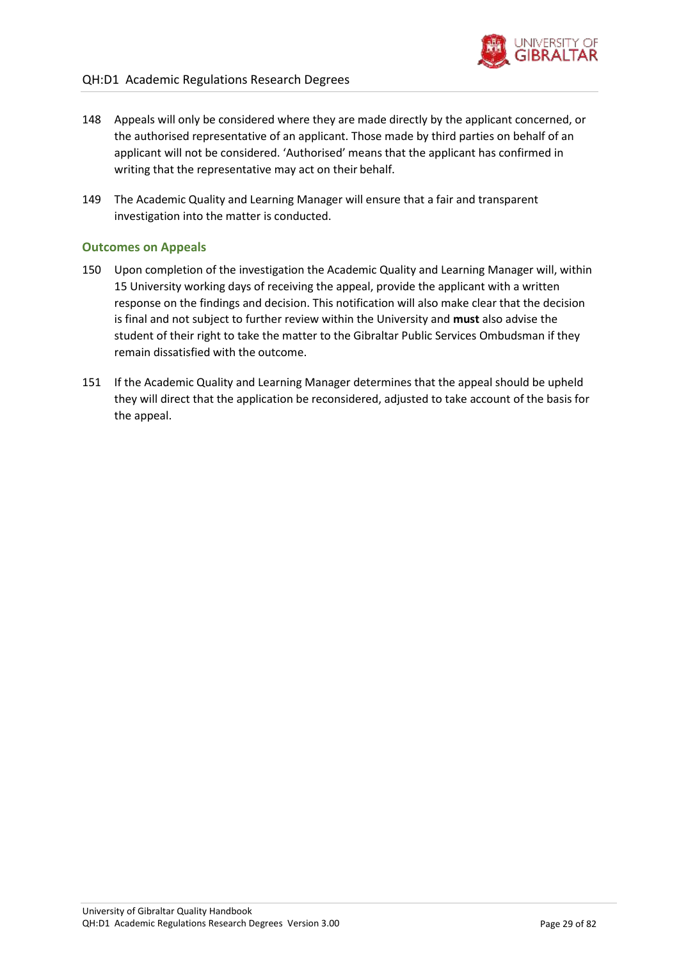

- 148 Appeals will only be considered where they are made directly by the applicant concerned, or the authorised representative of an applicant. Those made by third parties on behalf of an applicant will not be considered. 'Authorised' means that the applicant has confirmed in writing that the representative may act on their behalf.
- 149 The Academic Quality and Learning Manager will ensure that a fair and transparent investigation into the matter is conducted.

### **Outcomes on Appeals**

- 150 Upon completion of the investigation the Academic Quality and Learning Manager will, within 15 University working days of receiving the appeal, provide the applicant with a written response on the findings and decision. This notification will also make clear that the decision is final and not subject to further review within the University and **must** also advise the student of their right to take the matter to the Gibraltar Public Services Ombudsman if they remain dissatisfied with the outcome.
- 151 If the Academic Quality and Learning Manager determines that the appeal should be upheld they will direct that the application be reconsidered, adjusted to take account of the basis for the appeal.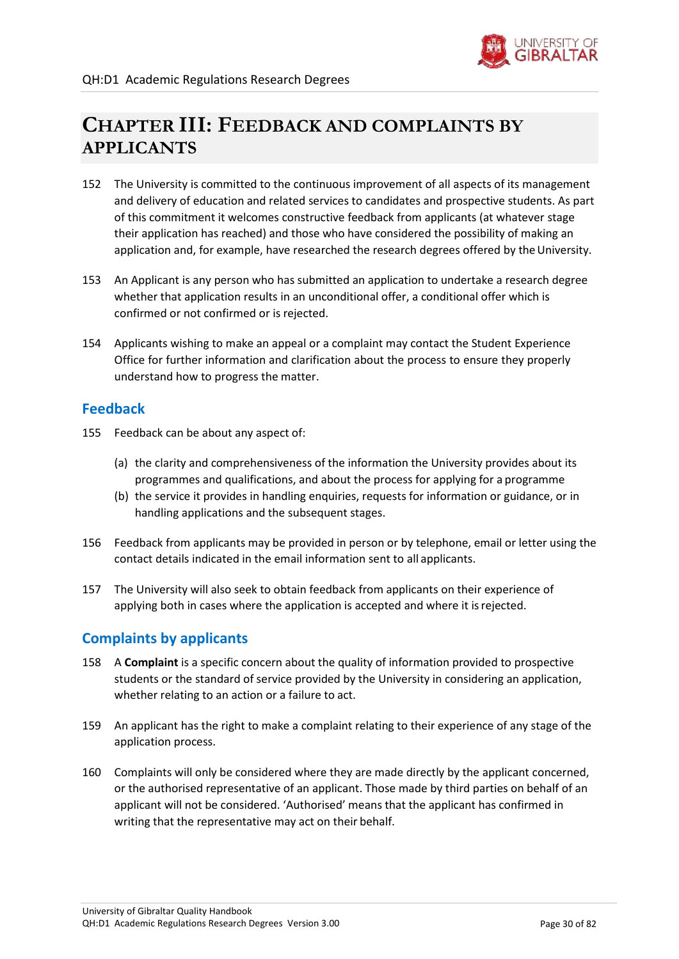

# **CHAPTER III: FEEDBACK AND COMPLAINTS BY APPLICANTS**

- 152 The University is committed to the continuous improvement of all aspects of its management and delivery of education and related services to candidates and prospective students. As part of this commitment it welcomes constructive feedback from applicants (at whatever stage their application has reached) and those who have considered the possibility of making an application and, for example, have researched the research degrees offered by the University.
- 153 An Applicant is any person who has submitted an application to undertake a research degree whether that application results in an unconditional offer, a conditional offer which is confirmed or not confirmed or is rejected.
- 154 Applicants wishing to make an appeal or a complaint may contact the Student Experience Office for further information and clarification about the process to ensure they properly understand how to progress the matter.

### <span id="page-29-0"></span>**Feedback**

- 155 Feedback can be about any aspect of:
	- (a) the clarity and comprehensiveness of the information the University provides about its programmes and qualifications, and about the process for applying for a programme
	- (b) the service it provides in handling enquiries, requests for information or guidance, or in handling applications and the subsequent stages.
- 156 Feedback from applicants may be provided in person or by telephone, email or letter using the contact details indicated in the email information sent to all applicants.
- 157 The University will also seek to obtain feedback from applicants on their experience of applying both in cases where the application is accepted and where it isrejected.

### <span id="page-29-1"></span>**Complaints by applicants**

- 158 A **Complaint** is a specific concern about the quality of information provided to prospective students or the standard of service provided by the University in considering an application, whether relating to an action or a failure to act.
- 159 An applicant has the right to make a complaint relating to their experience of any stage of the application process.
- 160 Complaints will only be considered where they are made directly by the applicant concerned, or the authorised representative of an applicant. Those made by third parties on behalf of an applicant will not be considered. 'Authorised' means that the applicant has confirmed in writing that the representative may act on their behalf.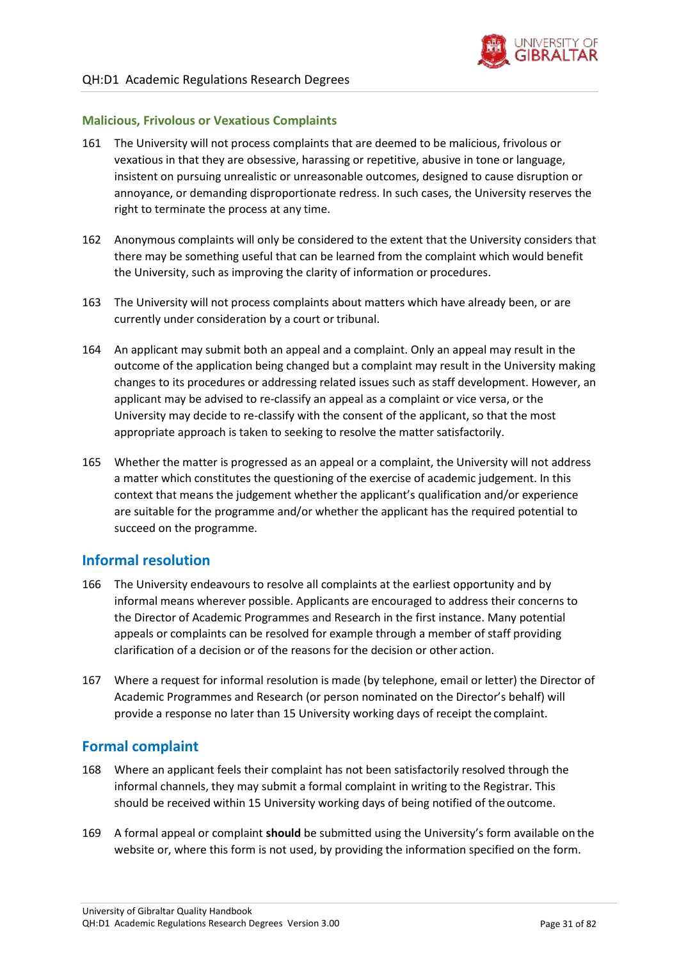

### **Malicious, Frivolous or Vexatious Complaints**

- 161 The University will not process complaints that are deemed to be malicious, frivolous or vexatious in that they are obsessive, harassing or repetitive, abusive in tone or language, insistent on pursuing unrealistic or unreasonable outcomes, designed to cause disruption or annoyance, or demanding disproportionate redress. In such cases, the University reserves the right to terminate the process at any time.
- 162 Anonymous complaints will only be considered to the extent that the University considers that there may be something useful that can be learned from the complaint which would benefit the University, such as improving the clarity of information or procedures.
- 163 The University will not process complaints about matters which have already been, or are currently under consideration by a court or tribunal.
- 164 An applicant may submit both an appeal and a complaint. Only an appeal may result in the outcome of the application being changed but a complaint may result in the University making changes to its procedures or addressing related issues such as staff development. However, an applicant may be advised to re-classify an appeal as a complaint or vice versa, or the University may decide to re-classify with the consent of the applicant, so that the most appropriate approach is taken to seeking to resolve the matter satisfactorily.
- 165 Whether the matter is progressed as an appeal or a complaint, the University will not address a matter which constitutes the questioning of the exercise of academic judgement. In this context that means the judgement whether the applicant's qualification and/or experience are suitable for the programme and/or whether the applicant has the required potential to succeed on the programme.

### <span id="page-30-0"></span>**Informal resolution**

- 166 The University endeavours to resolve all complaints at the earliest opportunity and by informal means wherever possible. Applicants are encouraged to address their concerns to the Director of Academic Programmes and Research in the first instance. Many potential appeals or complaints can be resolved for example through a member of staff providing clarification of a decision or of the reasons for the decision or other action.
- 167 Where a request for informal resolution is made (by telephone, email or letter) the Director of Academic Programmes and Research (or person nominated on the Director's behalf) will provide a response no later than 15 University working days of receipt the complaint.

### <span id="page-30-1"></span>**Formal complaint**

- 168 Where an applicant feels their complaint has not been satisfactorily resolved through the informal channels, they may submit a formal complaint in writing to the Registrar. This should be received within 15 University working days of being notified of the outcome.
- 169 A formal appeal or complaint **should** be submitted using the University's form available on the website or, where this form is not used, by providing the information specified on the form.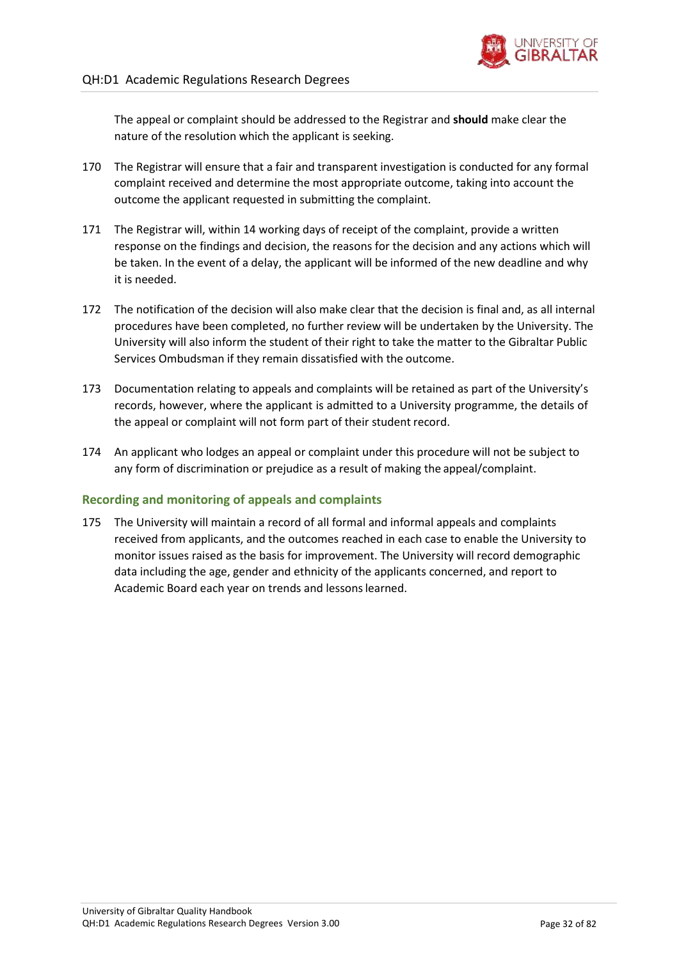The appeal or complaint should be addressed to the Registrar and **should** make clear the nature of the resolution which the applicant is seeking.

- 170 The Registrar will ensure that a fair and transparent investigation is conducted for any formal complaint received and determine the most appropriate outcome, taking into account the outcome the applicant requested in submitting the complaint.
- 171 The Registrar will, within 14 working days of receipt of the complaint, provide a written response on the findings and decision, the reasons for the decision and any actions which will be taken. In the event of a delay, the applicant will be informed of the new deadline and why it is needed.
- 172 The notification of the decision will also make clear that the decision is final and, as all internal procedures have been completed, no further review will be undertaken by the University. The University will also inform the student of their right to take the matter to the Gibraltar Public Services Ombudsman if they remain dissatisfied with the outcome.
- 173 Documentation relating to appeals and complaints will be retained as part of the University's records, however, where the applicant is admitted to a University programme, the details of the appeal or complaint will not form part of their student record.
- 174 An applicant who lodges an appeal or complaint under this procedure will not be subject to any form of discrimination or prejudice as a result of making the appeal/complaint.

### **Recording and monitoring of appeals and complaints**

175 The University will maintain a record of all formal and informal appeals and complaints received from applicants, and the outcomes reached in each case to enable the University to monitor issues raised as the basis for improvement. The University will record demographic data including the age, gender and ethnicity of the applicants concerned, and report to Academic Board each year on trends and lessonslearned.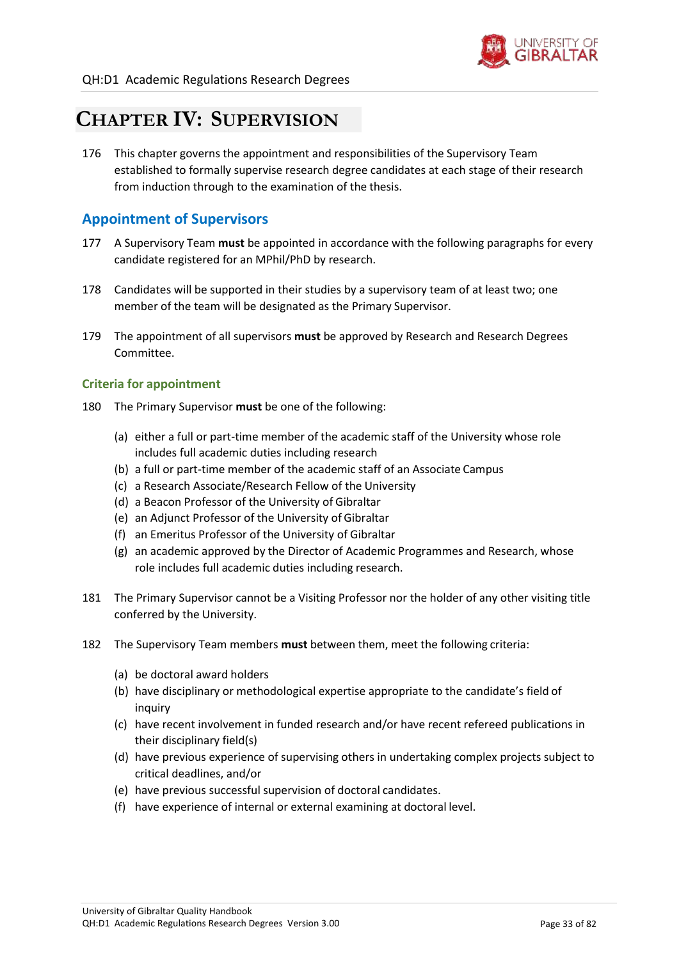

# <span id="page-32-0"></span>**CHAPTER IV: SUPERVISION**

176 This chapter governs the appointment and responsibilities of the Supervisory Team established to formally supervise research degree candidates at each stage of their research from induction through to the examination of the thesis.

### <span id="page-32-1"></span>**Appointment of Supervisors**

- 177 A Supervisory Team **must** be appointed in accordance with the following paragraphs for every candidate registered for an MPhil/PhD by research.
- 178 Candidates will be supported in their studies by a supervisory team of at least two; one member of the team will be designated as the Primary Supervisor.
- 179 The appointment of all supervisors **must** be approved by Research and Research Degrees Committee.

### **Criteria for appointment**

- <span id="page-32-2"></span>180 The Primary Supervisor **must** be one of the following:
	- (a) either a full or part-time member of the academic staff of the University whose role includes full academic duties including research
	- (b) a full or part-time member of the academic staff of an Associate Campus
	- (c) a Research Associate/Research Fellow of the University
	- (d) a Beacon Professor of the University of Gibraltar
	- (e) an Adjunct Professor of the University of Gibraltar
	- (f) an Emeritus Professor of the University of Gibraltar
	- (g) an academic approved by the Director of Academic Programmes and Research, whose role includes full academic duties including research.
- 181 The Primary Supervisor cannot be a Visiting Professor nor the holder of any other visiting title conferred by the University.
- 182 The Supervisory Team members **must** between them, meet the following criteria:
	- (a) be doctoral award holders
	- (b) have disciplinary or methodological expertise appropriate to the candidate's field of inquiry
	- (c) have recent involvement in funded research and/or have recent refereed publications in their disciplinary field(s)
	- (d) have previous experience of supervising others in undertaking complex projects subject to critical deadlines, and/or
	- (e) have previous successful supervision of doctoral candidates.
	- (f) have experience of internal or external examining at doctoral level.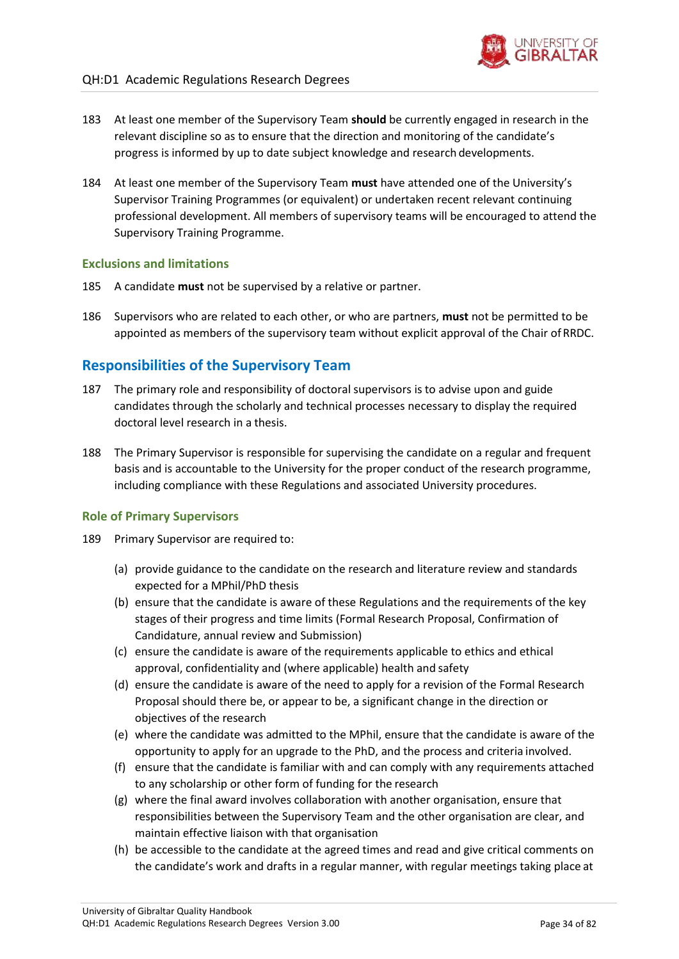- 183 At least one member of the Supervisory Team **should** be currently engaged in research in the relevant discipline so as to ensure that the direction and monitoring of the candidate's progress is informed by up to date subject knowledge and research developments.
- 184 At least one member of the Supervisory Team **must** have attended one of the University's Supervisor Training Programmes (or equivalent) or undertaken recent relevant continuing professional development. All members of supervisory teams will be encouraged to attend the Supervisory Training Programme.

### **Exclusions and limitations**

- 185 A candidate **must** not be supervised by a relative or partner.
- 186 Supervisors who are related to each other, or who are partners, **must** not be permitted to be appointed as members of the supervisory team without explicit approval of the Chair of RRDC.

### <span id="page-33-0"></span>**Responsibilities of the Supervisory Team**

- 187 The primary role and responsibility of doctoral supervisors is to advise upon and guide candidates through the scholarly and technical processes necessary to display the required doctoral level research in a thesis.
- 188 The Primary Supervisor is responsible for supervising the candidate on a regular and frequent basis and is accountable to the University for the proper conduct of the research programme, including compliance with these Regulations and associated University procedures.

### **Role of Primary Supervisors**

- 189 Primary Supervisor are required to:
	- (a) provide guidance to the candidate on the research and literature review and standards expected for a MPhil/PhD thesis
	- (b) ensure that the candidate is aware of these Regulations and the requirements of the key stages of their progress and time limits (Formal Research Proposal, Confirmation of Candidature, annual review and Submission)
	- (c) ensure the candidate is aware of the requirements applicable to ethics and ethical approval, confidentiality and (where applicable) health and safety
	- (d) ensure the candidate is aware of the need to apply for a revision of the Formal Research Proposal should there be, or appear to be, a significant change in the direction or objectives of the research
	- (e) where the candidate was admitted to the MPhil, ensure that the candidate is aware of the opportunity to apply for an upgrade to the PhD, and the process and criteria involved.
	- (f) ensure that the candidate is familiar with and can comply with any requirements attached to any scholarship or other form of funding for the research
	- (g) where the final award involves collaboration with another organisation, ensure that responsibilities between the Supervisory Team and the other organisation are clear, and maintain effective liaison with that organisation
	- (h) be accessible to the candidate at the agreed times and read and give critical comments on the candidate's work and drafts in a regular manner, with regular meetings taking place at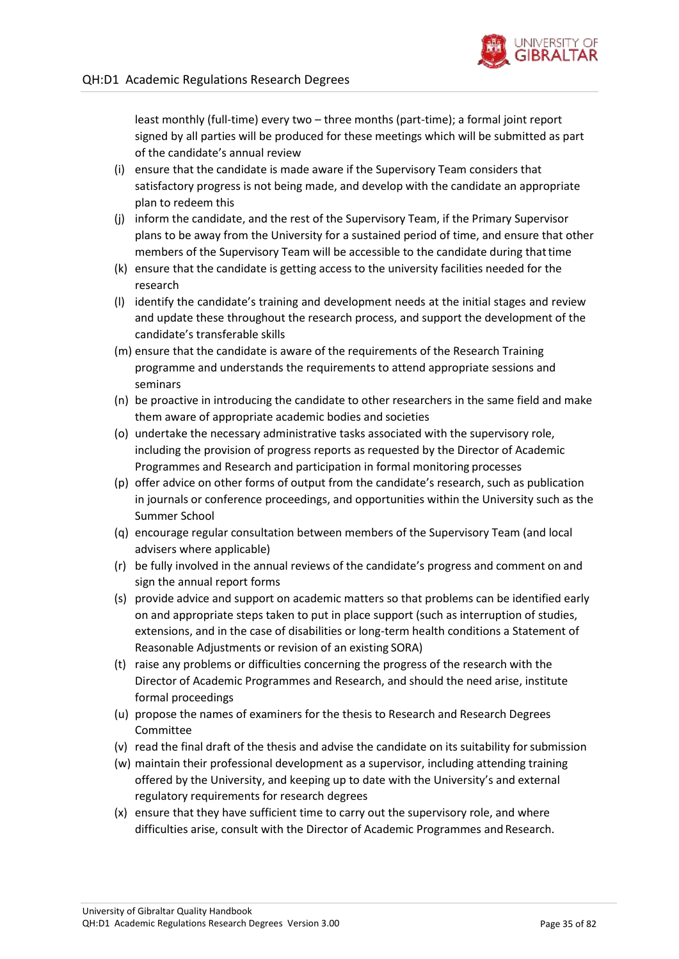

least monthly (full-time) every two – three months (part-time); a formal joint report signed by all parties will be produced for these meetings which will be submitted as part of the candidate's annual review

- (i) ensure that the candidate is made aware if the Supervisory Team considers that satisfactory progress is not being made, and develop with the candidate an appropriate plan to redeem this
- (j) inform the candidate, and the rest of the Supervisory Team, if the Primary Supervisor plans to be away from the University for a sustained period of time, and ensure that other members of the Supervisory Team will be accessible to the candidate during thattime
- (k) ensure that the candidate is getting access to the university facilities needed for the research
- (l) identify the candidate's training and development needs at the initial stages and review and update these throughout the research process, and support the development of the candidate's transferable skills
- (m) ensure that the candidate is aware of the requirements of the Research Training programme and understands the requirements to attend appropriate sessions and seminars
- (n) be proactive in introducing the candidate to other researchers in the same field and make them aware of appropriate academic bodies and societies
- (o) undertake the necessary administrative tasks associated with the supervisory role, including the provision of progress reports as requested by the Director of Academic Programmes and Research and participation in formal monitoring processes
- (p) offer advice on other forms of output from the candidate's research, such as publication in journals or conference proceedings, and opportunities within the University such as the Summer School
- (q) encourage regular consultation between members of the Supervisory Team (and local advisers where applicable)
- (r) be fully involved in the annual reviews of the candidate's progress and comment on and sign the annual report forms
- (s) provide advice and support on academic matters so that problems can be identified early on and appropriate steps taken to put in place support (such as interruption of studies, extensions, and in the case of disabilities or long-term health conditions a Statement of Reasonable Adjustments or revision of an existing SORA)
- (t) raise any problems or difficulties concerning the progress of the research with the Director of Academic Programmes and Research, and should the need arise, institute formal proceedings
- (u) propose the names of examiners for the thesis to Research and Research Degrees Committee
- (v) read the final draft of the thesis and advise the candidate on its suitability forsubmission
- (w) maintain their professional development as a supervisor, including attending training offered by the University, and keeping up to date with the University's and external regulatory requirements for research degrees
- (x) ensure that they have sufficient time to carry out the supervisory role, and where difficulties arise, consult with the Director of Academic Programmes and Research.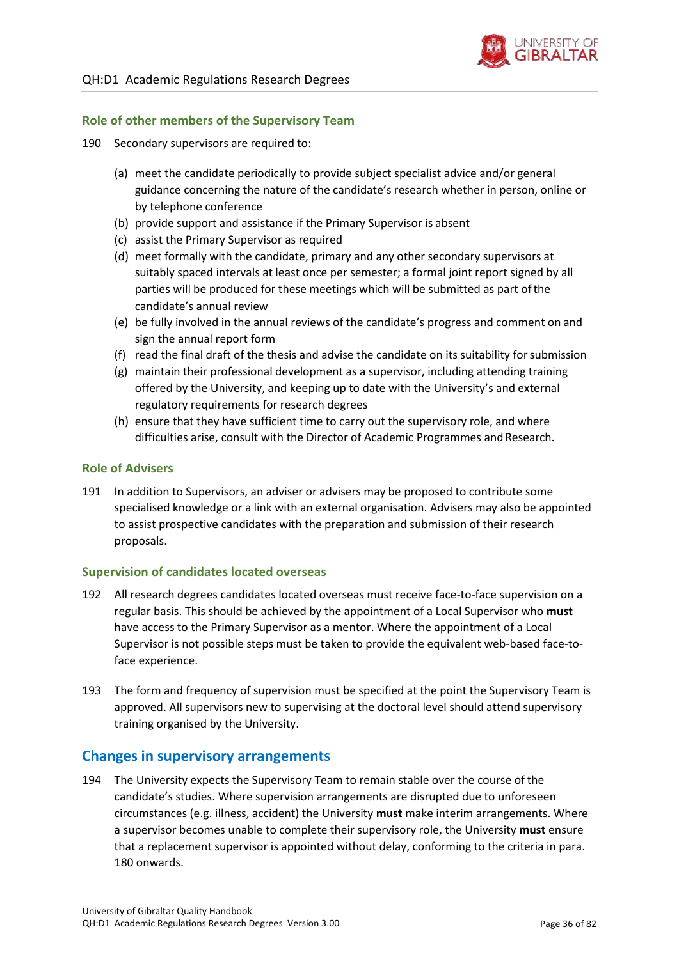

### **Role of other members of the Supervisory Team**

- 190 Secondary supervisors are required to:
	- (a) meet the candidate periodically to provide subject specialist advice and/or general guidance concerning the nature of the candidate's research whether in person, online or by telephone conference
	- (b) provide support and assistance if the Primary Supervisor is absent
	- (c) assist the Primary Supervisor as required
	- (d) meet formally with the candidate, primary and any other secondary supervisors at suitably spaced intervals at least once per semester; a formal joint report signed by all parties will be produced for these meetings which will be submitted as part ofthe candidate's annual review
	- (e) be fully involved in the annual reviews of the candidate's progress and comment on and sign the annual report form
	- (f) read the final draft of the thesis and advise the candidate on its suitability forsubmission
	- (g) maintain their professional development as a supervisor, including attending training offered by the University, and keeping up to date with the University's and external regulatory requirements for research degrees
	- (h) ensure that they have sufficient time to carry out the supervisory role, and where difficulties arise, consult with the Director of Academic Programmes and Research.

### **Role of Advisers**

191 In addition to Supervisors, an adviser or advisers may be proposed to contribute some specialised knowledge or a link with an external organisation. Advisers may also be appointed to assist prospective candidates with the preparation and submission of their research proposals.

#### **Supervision of candidates located overseas**

- 192 All research degrees candidates located overseas must receive face-to-face supervision on a regular basis. This should be achieved by the appointment of a Local Supervisor who **must**  have access to the Primary Supervisor as a mentor. Where the appointment of a Local Supervisor is not possible steps must be taken to provide the equivalent web-based face-toface experience.
- 193 The form and frequency of supervision must be specified at the point the Supervisory Team is approved. All supervisors new to supervising at the doctoral level should attend supervisory training organised by the University.

### <span id="page-35-0"></span>**Changes in supervisory arrangements**

194 The University expects the Supervisory Team to remain stable over the course of the candidate's studies. Where supervision arrangements are disrupted due to unforeseen circumstances (e.g. illness, accident) the University **must** make interim arrangements. Where a supervisor becomes unable to complete their supervisory role, the University **must** ensure that a replacement supervisor is appointed without delay, conforming to the criteria in para[.](#page-32-2) [180 o](#page-32-2)nwards.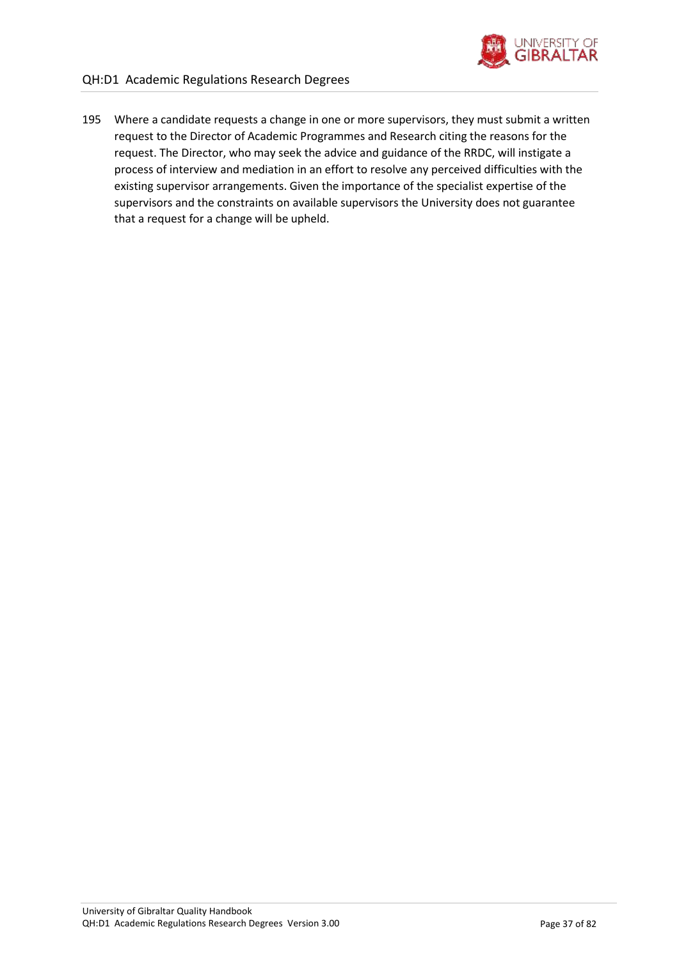

195 Where a candidate requests a change in one or more supervisors, they must submit a written request to the Director of Academic Programmes and Research citing the reasons for the request. The Director, who may seek the advice and guidance of the RRDC, will instigate a process of interview and mediation in an effort to resolve any perceived difficulties with the existing supervisor arrangements. Given the importance of the specialist expertise of the supervisors and the constraints on available supervisors the University does not guarantee that a request for a change will be upheld.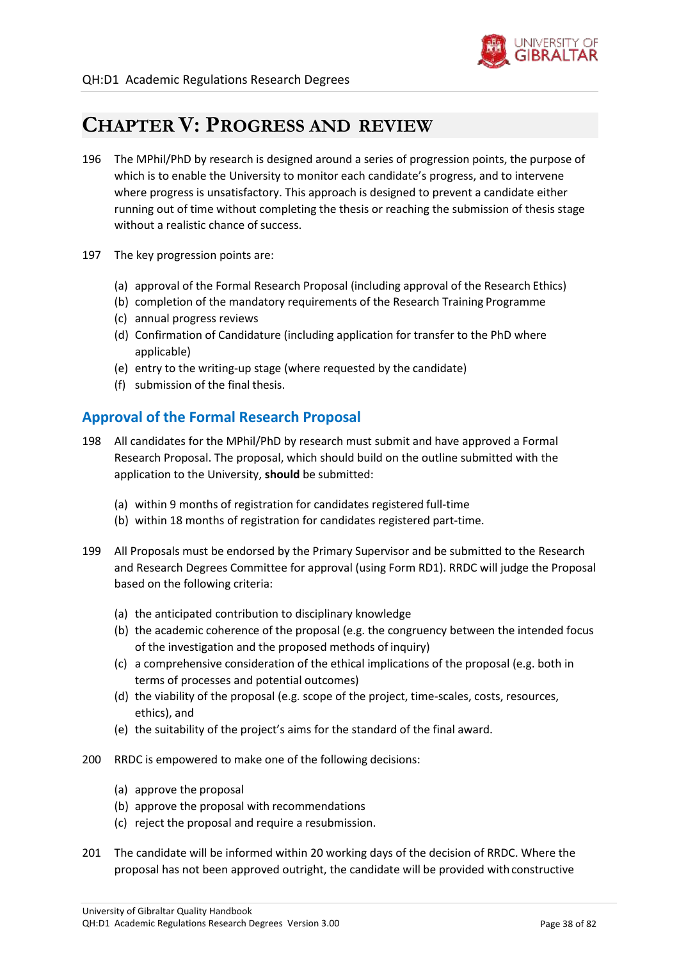

# **CHAPTER V: PROGRESS AND REVIEW**

- 196 The MPhil/PhD by research is designed around a series of progression points, the purpose of which is to enable the University to monitor each candidate's progress, and to intervene where progress is unsatisfactory. This approach is designed to prevent a candidate either running out of time without completing the thesis or reaching the submission of thesis stage without a realistic chance of success.
- 197 The key progression points are:
	- (a) approval of the Formal Research Proposal (including approval of the Research Ethics)
	- (b) completion of the mandatory requirements of the Research Training Programme
	- (c) annual progress reviews
	- (d) Confirmation of Candidature (including application for transfer to the PhD where applicable)
	- (e) entry to the writing-up stage (where requested by the candidate)
	- (f) submission of the final thesis.

# **Approval of the Formal Research Proposal**

- <span id="page-37-2"></span>198 All candidates for the MPhil/PhD by research must submit and have approved a Formal Research Proposal. The proposal, which should build on the outline submitted with the application to the University, **should** be submitted:
	- (a) within 9 months of registration for candidates registered full-time
	- (b) within 18 months of registration for candidates registered part-time.
- <span id="page-37-0"></span>199 All Proposals must be endorsed by the Primary Supervisor and be submitted to the Research and Research Degrees Committee for approval (using Form RD1). RRDC will judge the Proposal based on the following criteria:
	- (a) the anticipated contribution to disciplinary knowledge
	- (b) the academic coherence of the proposal (e.g. the congruency between the intended focus of the investigation and the proposed methods of inquiry)
	- (c) a comprehensive consideration of the ethical implications of the proposal (e.g. both in terms of processes and potential outcomes)
	- (d) the viability of the proposal (e.g. scope of the project, time-scales, costs, resources, ethics), and
	- (e) the suitability of the project's aims for the standard of the final award.
- <span id="page-37-1"></span>200 RRDC is empowered to make one of the following decisions:
	- (a) approve the proposal
	- (b) approve the proposal with recommendations
	- (c) reject the proposal and require a resubmission.
- 201 The candidate will be informed within 20 working days of the decision of RRDC. Where the proposal has not been approved outright, the candidate will be provided with constructive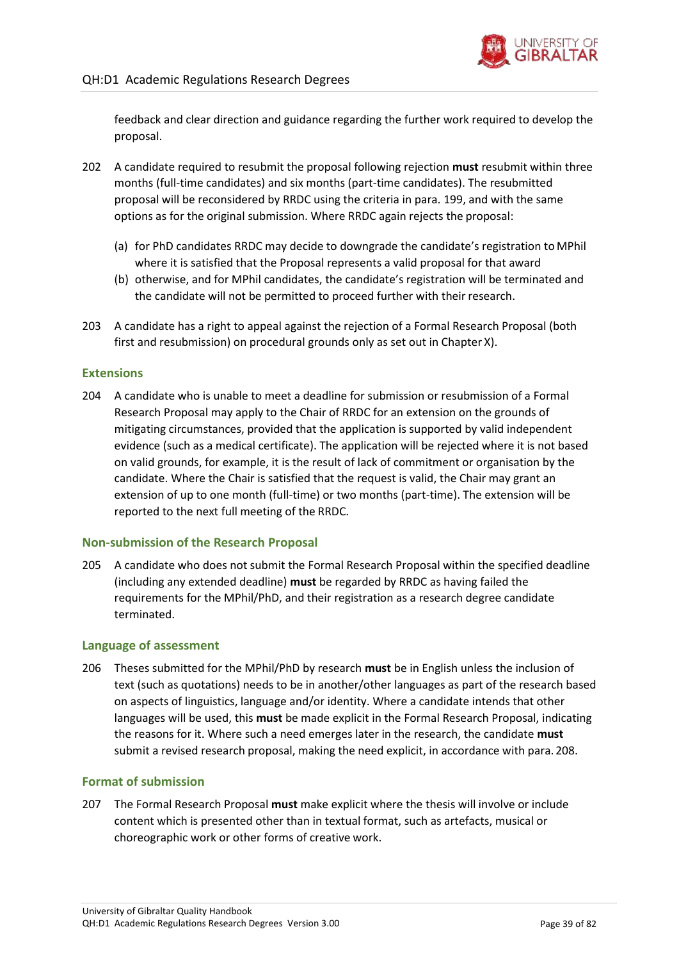

feedback and clear direction and guidance regarding the further work required to develop the proposal.

- 202 A candidate required to resubmit the proposal following rejection **must** resubmit within three months (full-time candidates) and six months (part-time candidates). The resubmitted proposal will be reconsidered by RRDC using the criteria in para. [199,](#page-37-0) and with the same options as for the original submission. Where RRDC again rejects the proposal:
	- (a) for PhD candidates RRDC may decide to downgrade the candidate's registration to MPhil where it is satisfied that the Proposal represents a valid proposal for that award
	- (b) otherwise, and for MPhil candidates, the candidate's registration will be terminated and the candidate will not be permitted to proceed further with their research.
- 203 A candidate has a right to appeal against the rejection of a Formal Research Proposal (both first and resubmission) on procedural grounds only as set out in Chapter X).

### **Extensions**

204 A candidate who is unable to meet a deadline for submission or resubmission of a Formal Research Proposal may apply to the Chair of RRDC for an extension on the grounds of mitigating circumstances, provided that the application is supported by valid independent evidence (such as a medical certificate). The application will be rejected where it is not based on valid grounds, for example, it is the result of lack of commitment or organisation by the candidate. Where the Chair is satisfied that the request is valid, the Chair may grant an extension of up to one month (full-time) or two months (part-time). The extension will be reported to the next full meeting of the RRDC.

### **Non-submission of the Research Proposal**

205 A candidate who does not submit the Formal Research Proposal within the specified deadline (including any extended deadline) **must** be regarded by RRDC as having failed the requirements for the MPhil/PhD, and their registration as a research degree candidate terminated.

### **Language of assessment**

206 Theses submitted for the MPhil/PhD by research **must** be in English unless the inclusion of text (such as quotations) needs to be in another/other languages as part of the research based on aspects of linguistics, language and/or identity. Where a candidate intends that other languages will be used, this **must** be made explicit in the Formal Research Proposal, indicating the reasons for it. Where such a need emerges later in the research, the candidate **must**  submit a revised research proposal, making the need explicit, in accordance with para. [208.](#page-39-0)

## **Format of submission**

207 The Formal Research Proposal **must** make explicit where the thesis will involve or include content which is presented other than in textual format, such as artefacts, musical or choreographic work or other forms of creative work.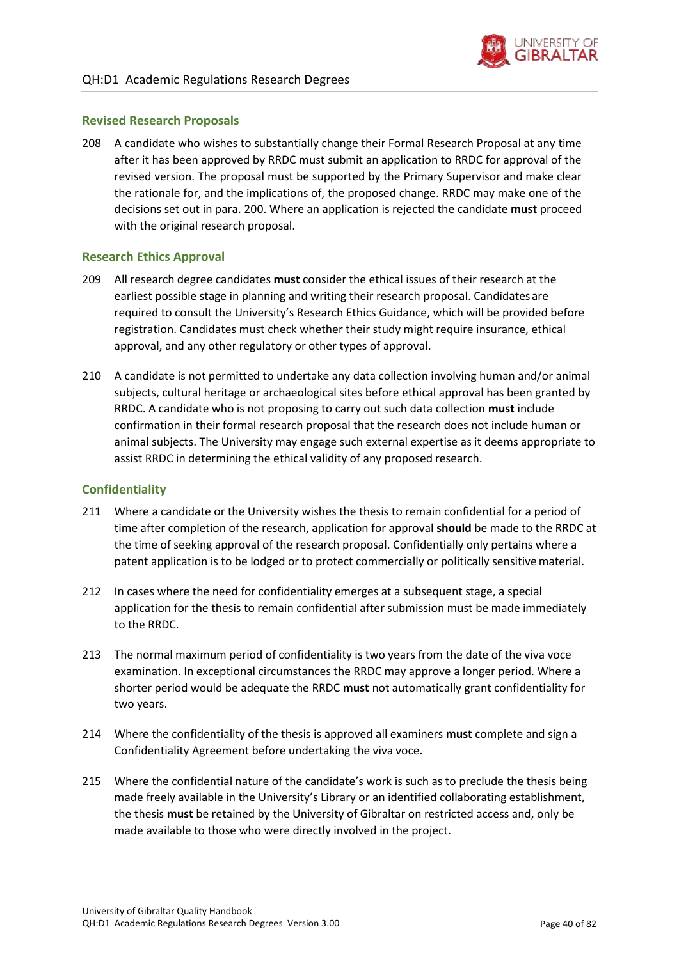

### **Revised Research Proposals**

<span id="page-39-0"></span>208 A candidate who wishes to substantially change their Formal Research Proposal at any time after it has been approved by RRDC must submit an application to RRDC for approval of the revised version. The proposal must be supported by the Primary Supervisor and make clear the rationale for, and the implications of, the proposed change. RRDC may make one of the decisions set out in para. [200.](#page-37-1) Where an application is rejected the candidate **must** proceed with the original research proposal.

### **Research Ethics Approval**

- 209 All research degree candidates **must** consider the ethical issues of their research at the earliest possible stage in planning and writing their research proposal. Candidates are required to consult the University's Research Ethics Guidance, which will be provided before registration. Candidates must check whether their study might require insurance, ethical approval, and any other regulatory or other types of approval.
- 210 A candidate is not permitted to undertake any data collection involving human and/or animal subjects, cultural heritage or archaeological sites before ethical approval has been granted by RRDC. A candidate who is not proposing to carry out such data collection **must** include confirmation in their formal research proposal that the research does not include human or animal subjects. The University may engage such external expertise as it deems appropriate to assist RRDC in determining the ethical validity of any proposed research.

### **Confidentiality**

- <span id="page-39-1"></span>211 Where a candidate or the University wishes the thesis to remain confidential for a period of time after completion of the research, application for approval **should** be made to the RRDC at the time of seeking approval of the research proposal. Confidentially only pertains where a patent application is to be lodged or to protect commercially or politically sensitivematerial.
- 212 In cases where the need for confidentiality emerges at a subsequent stage, a special application for the thesis to remain confidential after submission must be made immediately to the RRDC.
- 213 The normal maximum period of confidentiality is two years from the date of the viva voce examination. In exceptional circumstances the RRDC may approve a longer period. Where a shorter period would be adequate the RRDC **must** not automatically grant confidentiality for two years.
- 214 Where the confidentiality of the thesis is approved all examiners **must** complete and sign a Confidentiality Agreement before undertaking the viva voce.
- 215 Where the confidential nature of the candidate's work is such as to preclude the thesis being made freely available in the University's Library or an identified collaborating establishment, the thesis **must** be retained by the University of Gibraltar on restricted access and, only be made available to those who were directly involved in the project.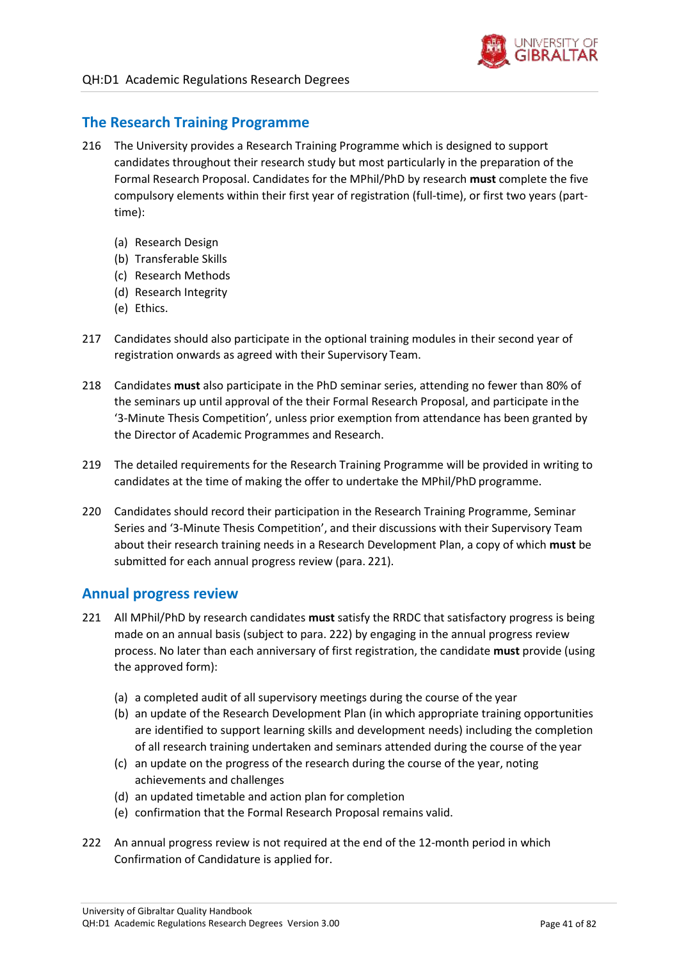

## **The Research Training Programme**

- <span id="page-40-2"></span>216 The University provides a Research Training Programme which is designed to support candidates throughout their research study but most particularly in the preparation of the Formal Research Proposal. Candidates for the MPhil/PhD by research **must** complete the five compulsory elements within their first year of registration (full-time), or first two years (parttime):
	- (a) Research Design
	- (b) Transferable Skills
	- (c) Research Methods
	- (d) Research Integrity
	- (e) Ethics.
- 217 Candidates should also participate in the optional training modules in their second year of registration onwards as agreed with their Supervisory Team.
- 218 Candidates **must** also participate in the PhD seminar series, attending no fewer than 80% of the seminars up until approval of the their Formal Research Proposal, and participate inthe '3-Minute Thesis Competition', unless prior exemption from attendance has been granted by the Director of Academic Programmes and Research.
- 219 The detailed requirements for the Research Training Programme will be provided in writing to candidates at the time of making the offer to undertake the MPhil/PhD programme.
- 220 Candidates should record their participation in the Research Training Programme, Seminar Series and '3-Minute Thesis Competition', and their discussions with their Supervisory Team about their research training needs in a Research Development Plan, a copy of which **must** be submitted for each annual progress review (para. [221\)](#page-40-0).

### **Annual progress review**

- <span id="page-40-0"></span>221 All MPhil/PhD by research candidates **must** satisfy the RRDC that satisfactory progress is being made on an annual basis (subject to para. [222\)](#page-40-1) by engaging in the annual progress review process. No later than each anniversary of first registration, the candidate **must** provide (using the approved form):
	- (a) a completed audit of all supervisory meetings during the course of the year
	- (b) an update of the Research Development Plan (in which appropriate training opportunities are identified to support learning skills and development needs) including the completion of all research training undertaken and seminars attended during the course of the year
	- (c) an update on the progress of the research during the course of the year, noting achievements and challenges
	- (d) an updated timetable and action plan for completion
	- (e) confirmation that the Formal Research Proposal remains valid.
- <span id="page-40-1"></span>222 An annual progress review is not required at the end of the 12-month period in which Confirmation of Candidature is applied for.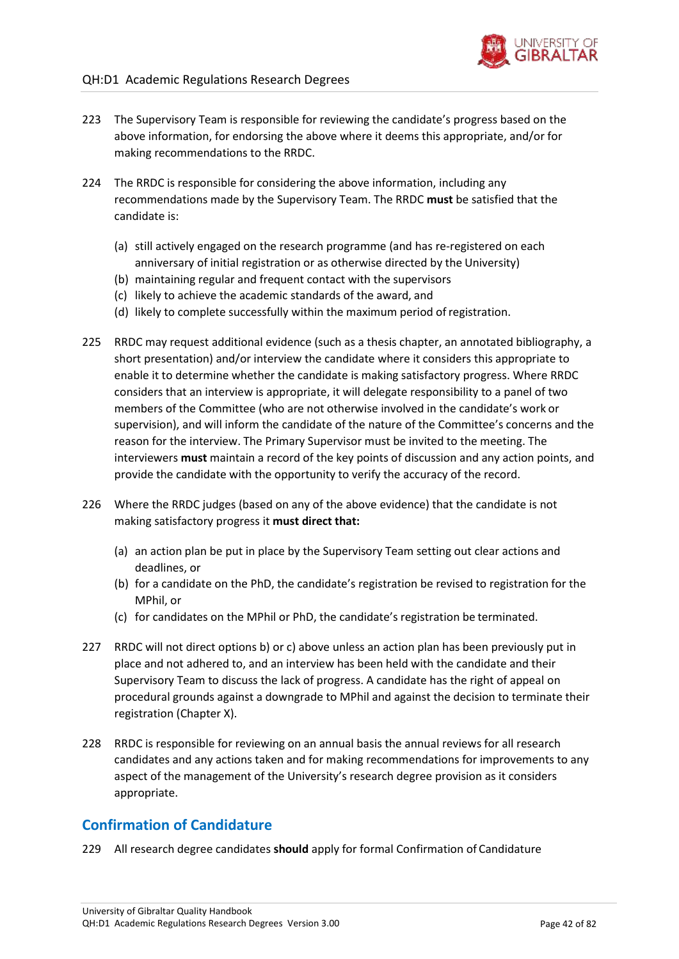- 223 The Supervisory Team is responsible for reviewing the candidate's progress based on the above information, for endorsing the above where it deems this appropriate, and/or for making recommendations to the RRDC.
- 224 The RRDC is responsible for considering the above information, including any recommendations made by the Supervisory Team. The RRDC **must** be satisfied that the candidate is:
	- (a) still actively engaged on the research programme (and has re-registered on each anniversary of initial registration or as otherwise directed by the University)
	- (b) maintaining regular and frequent contact with the supervisors
	- (c) likely to achieve the academic standards of the award, and
	- (d) likely to complete successfully within the maximum period ofregistration.
- 225 RRDC may request additional evidence (such as a thesis chapter, an annotated bibliography, a short presentation) and/or interview the candidate where it considers this appropriate to enable it to determine whether the candidate is making satisfactory progress. Where RRDC considers that an interview is appropriate, it will delegate responsibility to a panel of two members of the Committee (who are not otherwise involved in the candidate's work or supervision), and will inform the candidate of the nature of the Committee's concerns and the reason for the interview. The Primary Supervisor must be invited to the meeting. The interviewers **must** maintain a record of the key points of discussion and any action points, and provide the candidate with the opportunity to verify the accuracy of the record.
- 226 Where the RRDC judges (based on any of the above evidence) that the candidate is not making satisfactory progress it **must direct that:**
	- (a) an action plan be put in place by the Supervisory Team setting out clear actions and deadlines, or
	- (b) for a candidate on the PhD, the candidate's registration be revised to registration for the MPhil, or
	- (c) for candidates on the MPhil or PhD, the candidate's registration be terminated.
- 227 RRDC will not direct options b) or c) above unless an action plan has been previously put in place and not adhered to, and an interview has been held with the candidate and their Supervisory Team to discuss the lack of progress. A candidate has the right of appeal on procedural grounds against a downgrade to MPhil and against the decision to terminate their registration (Chapter X).
- 228 RRDC is responsible for reviewing on an annual basis the annual reviews for all research candidates and any actions taken and for making recommendations for improvements to any aspect of the management of the University's research degree provision as it considers appropriate.

# **Confirmation of Candidature**

<span id="page-41-0"></span>229 All research degree candidates **should** apply for formal Confirmation of Candidature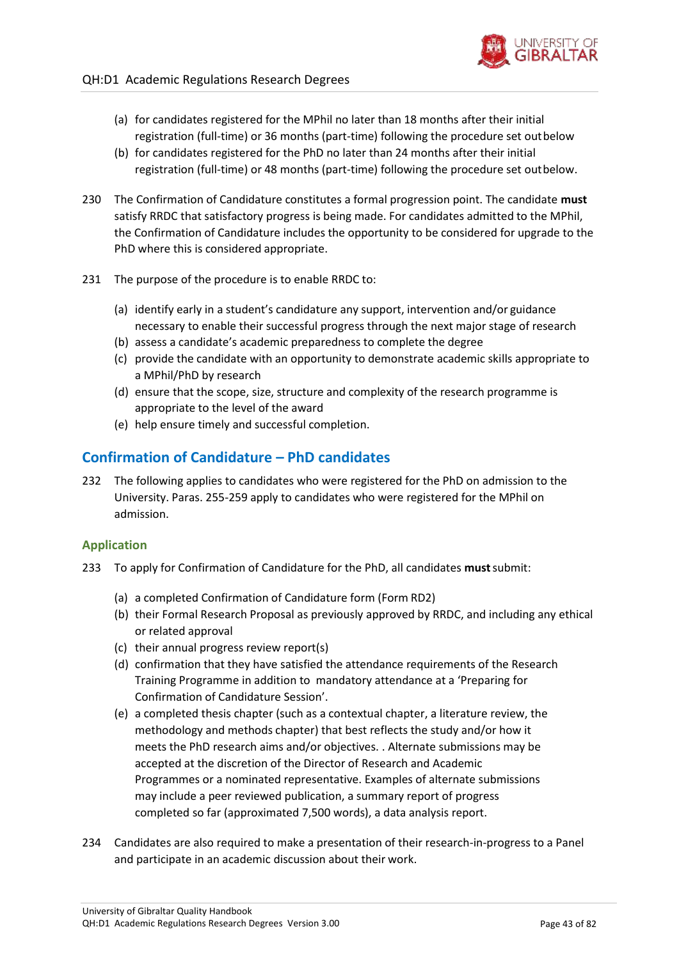

- (a) for candidates registered for the MPhil no later than 18 months after their initial registration (full-time) or 36 months (part-time) following the procedure set outbelow
- (b) for candidates registered for the PhD no later than 24 months after their initial registration (full-time) or 48 months (part-time) following the procedure set outbelow.
- 230 The Confirmation of Candidature constitutes a formal progression point. The candidate **must**  satisfy RRDC that satisfactory progress is being made. For candidates admitted to the MPhil, the Confirmation of Candidature includes the opportunity to be considered for upgrade to the PhD where this is considered appropriate.
- 231 The purpose of the procedure is to enable RRDC to:
	- (a) identify early in a student's candidature any support, intervention and/or guidance necessary to enable their successful progress through the next major stage of research
	- (b) assess a candidate's academic preparedness to complete the degree
	- (c) provide the candidate with an opportunity to demonstrate academic skills appropriate to a MPhil/PhD by research
	- (d) ensure that the scope, size, structure and complexity of the research programme is appropriate to the level of the award
	- (e) help ensure timely and successful completion.

# **Confirmation of Candidature – PhD candidates**

232 The following applies to candidates who were registered for the PhD on admission to the University. Paras. [255](#page-45-0)[-259](#page-46-0) apply to candidates who were registered for the MPhil on admission.

### **Application**

- <span id="page-42-0"></span>233 To apply for Confirmation of Candidature for the PhD, all candidates **must**submit:
	- (a) a completed Confirmation of Candidature form (Form RD2)
	- (b) their Formal Research Proposal as previously approved by RRDC, and including any ethical or related approval
	- (c) their annual progress review report(s)
	- (d) confirmation that they have satisfied the attendance requirements of the Research Training Programme in addition to mandatory attendance at a 'Preparing for Confirmation of Candidature Session'.
	- (e) a completed thesis chapter (such as a contextual chapter, a literature review, the methodology and methods chapter) that best reflects the study and/or how it meets the PhD research aims and/or objectives. . Alternate submissions may be accepted at the discretion of the Director of Research and Academic Programmes or a nominated representative. Examples of alternate submissions may include a peer reviewed publication, a summary report of progress completed so far (approximated 7,500 words), a data analysis report.
- 234 Candidates are also required to make a presentation of their research-in-progress to a Panel and participate in an academic discussion about their work.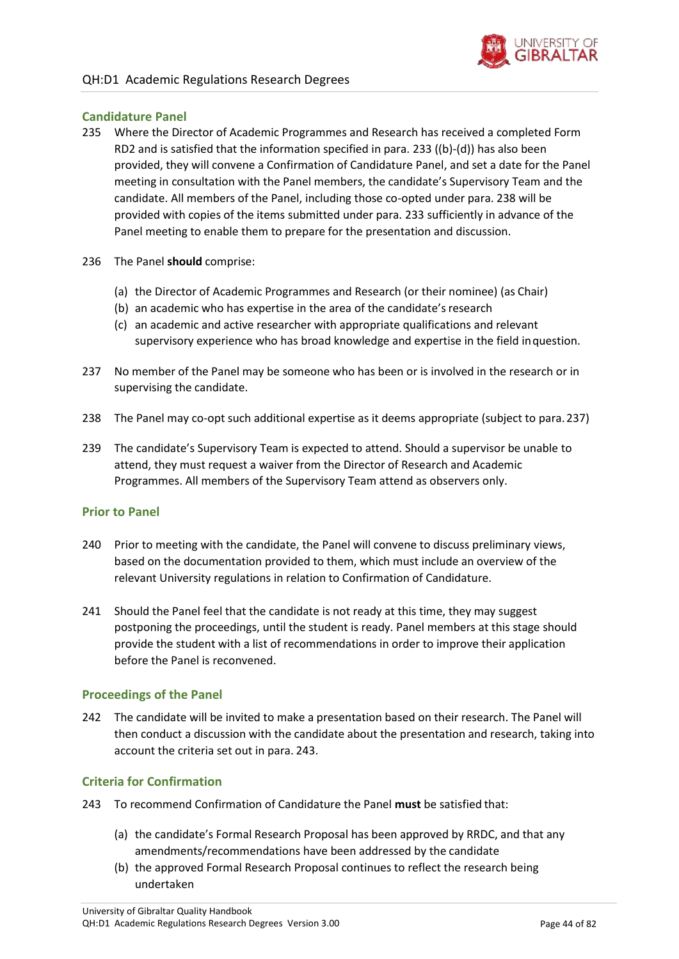

### **Candidature Panel**

- 235 Where the Director of Academic Programmes and Research has received a completed Form RD2 and is satisfied that the information specified in para. [233 \(](#page-42-0)(b)-(d)) has also been provided, they will convene a Confirmation of Candidature Panel, and set a date for the Panel meeting in consultation with the Panel members, the candidate's Supervisory Team and the candidate. All members of the Panel, including those co-opted under para[. 238 w](#page-43-0)ill be provided with copies of the items submitted under para. [233 s](#page-42-0)ufficiently in advance of the Panel meeting to enable them to prepare for the presentation and discussion.
- 236 The Panel **should** comprise:
	- (a) the Director of Academic Programmes and Research (or their nominee) (as Chair)
	- (b) an academic who has expertise in the area of the candidate's research
	- (c) an academic and active researcher with appropriate qualifications and relevant supervisory experience who has broad knowledge and expertise in the field inquestion.
- <span id="page-43-1"></span>237 No member of the Panel may be someone who has been or is involved in the research or in supervising the candidate.
- <span id="page-43-0"></span>238 The Panel may co-opt such additional expertise as it deems appropriate (subject to para[.237\)](#page-43-1)
- 239 The candidate's Supervisory Team is expected to attend. Should a supervisor be unable to attend, they must request a waiver from the Director of Research and Academic Programmes. All members of the Supervisory Team attend as observers only.

#### **Prior to Panel**

- 240 Prior to meeting with the candidate, the Panel will convene to discuss preliminary views, based on the documentation provided to them, which must include an overview of the relevant University regulations in relation to Confirmation of Candidature.
- 241 Should the Panel feel that the candidate is not ready at this time, they may suggest postponing the proceedings, until the student is ready. Panel members at this stage should provide the student with a list of recommendations in order to improve their application before the Panel is reconvened.

### **Proceedings of the Panel**

242 The candidate will be invited to make a presentation based on their research. The Panel will then conduct a discussion with the candidate about the presentation and research, taking into account the criteria set out in para. [243.](#page-43-2)

### **Criteria for Confirmation**

- <span id="page-43-2"></span>243 To recommend Confirmation of Candidature the Panel **must** be satisfied that:
	- (a) the candidate's Formal Research Proposal has been approved by RRDC, and that any amendments/recommendations have been addressed by the candidate
	- (b) the approved Formal Research Proposal continues to reflect the research being undertaken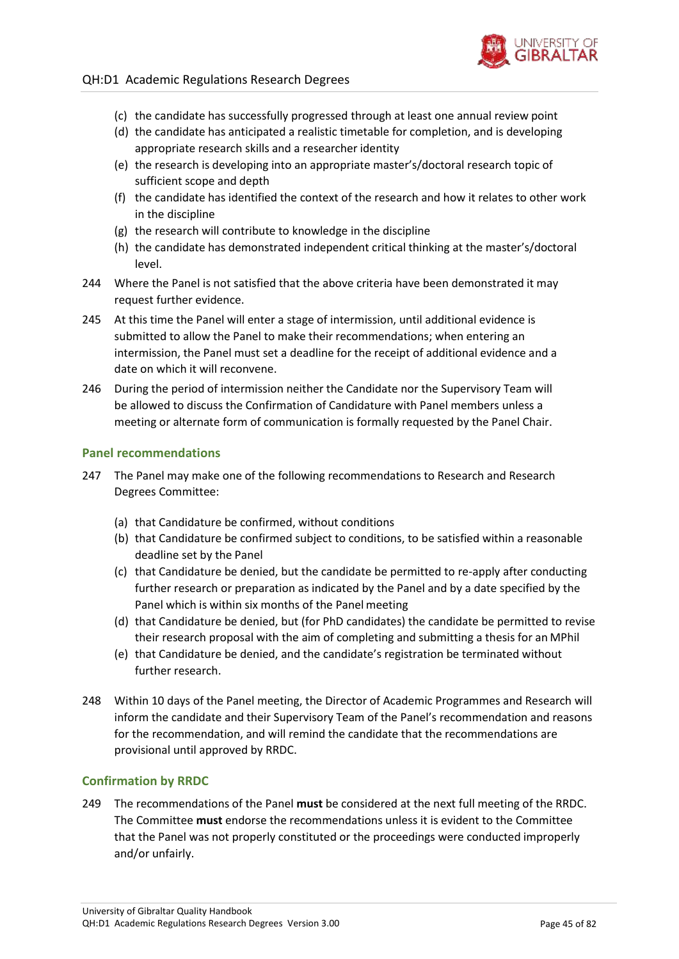

### QH:D1 Academic Regulations Research Degrees

- (c) the candidate has successfully progressed through at least one annual review point
- (d) the candidate has anticipated a realistic timetable for completion, and is developing appropriate research skills and a researcher identity
- (e) the research is developing into an appropriate master's/doctoral research topic of sufficient scope and depth
- (f) the candidate has identified the context of the research and how it relates to other work in the discipline
- (g) the research will contribute to knowledge in the discipline
- (h) the candidate has demonstrated independent critical thinking at the master's/doctoral level.
- 244 Where the Panel is not satisfied that the above criteria have been demonstrated it may request further evidence.
- 245 At this time the Panel will enter a stage of intermission, until additional evidence is submitted to allow the Panel to make their recommendations; when entering an intermission, the Panel must set a deadline for the receipt of additional evidence and a date on which it will reconvene.
- 246 During the period of intermission neither the Candidate nor the Supervisory Team will be allowed to discuss the Confirmation of Candidature with Panel members unless a meeting or alternate form of communication is formally requested by the Panel Chair.

### **Panel recommendations**

- 247 The Panel may make one of the following recommendations to Research and Research Degrees Committee:
	- (a) that Candidature be confirmed, without conditions
	- (b) that Candidature be confirmed subject to conditions, to be satisfied within a reasonable deadline set by the Panel
	- (c) that Candidature be denied, but the candidate be permitted to re-apply after conducting further research or preparation as indicated by the Panel and by a date specified by the Panel which is within six months of the Panel meeting
	- (d) that Candidature be denied, but (for PhD candidates) the candidate be permitted to revise their research proposal with the aim of completing and submitting a thesis for an MPhil
	- (e) that Candidature be denied, and the candidate's registration be terminated without further research.
- 248 Within 10 days of the Panel meeting, the Director of Academic Programmes and Research will inform the candidate and their Supervisory Team of the Panel's recommendation and reasons for the recommendation, and will remind the candidate that the recommendations are provisional until approved by RRDC.

### **Confirmation by RRDC**

<span id="page-44-0"></span>249 The recommendations of the Panel **must** be considered at the next full meeting of the RRDC. The Committee **must** endorse the recommendations unless it is evident to the Committee that the Panel was not properly constituted or the proceedings were conducted improperly and/or unfairly.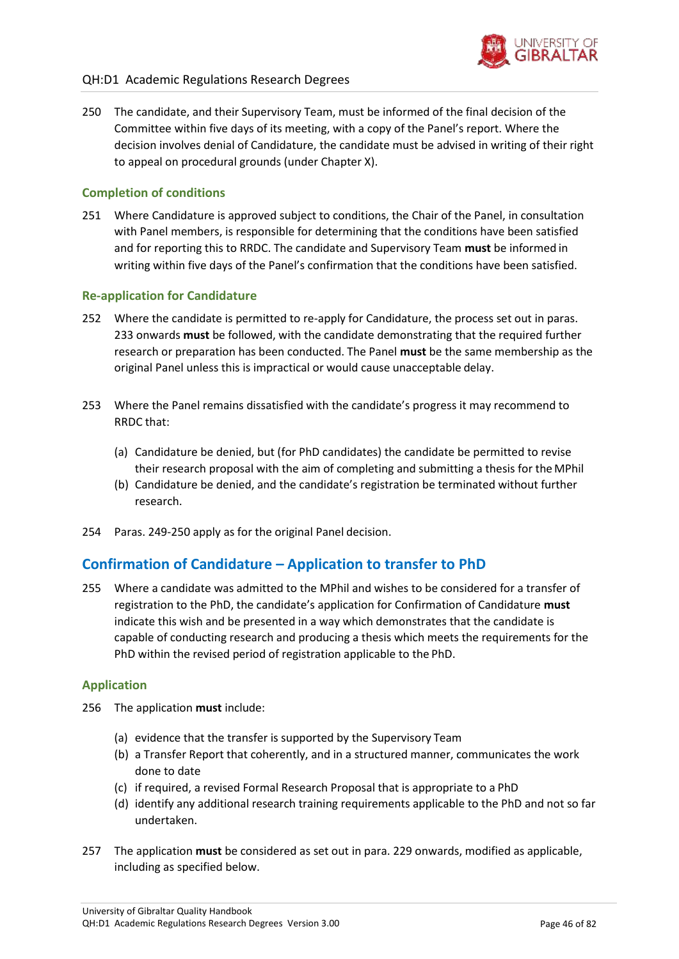

<span id="page-45-1"></span>250 The candidate, and their Supervisory Team, must be informed of the final decision of the Committee within five days of its meeting, with a copy of the Panel's report. Where the decision involves denial of Candidature, the candidate must be advised in writing of their right to appeal on procedural grounds (under Chapter X).

## **Completion of conditions**

251 Where Candidature is approved subject to conditions, the Chair of the Panel, in consultation with Panel members, is responsible for determining that the conditions have been satisfied and for reporting this to RRDC. The candidate and Supervisory Team **must** be informed in writing within five days of the Panel's confirmation that the conditions have been satisfied.

### **Re-application for Candidature**

- 252 Where the candidate is permitted to re-apply for Candidature, the process set out in paras[.](#page-42-0) [233 o](#page-42-0)nwards **must** be followed, with the candidate demonstrating that the required further research or preparation has been conducted. The Panel **must** be the same membership as the original Panel unless this is impractical or would cause unacceptable delay.
- 253 Where the Panel remains dissatisfied with the candidate's progress it may recommend to RRDC that:
	- (a) Candidature be denied, but (for PhD candidates) the candidate be permitted to revise their research proposal with the aim of completing and submitting a thesis for the MPhil
	- (b) Candidature be denied, and the candidate's registration be terminated without further research.
- 254 Paras. [249-](#page-44-0)[250](#page-45-1) apply as for the original Panel decision.

# **Confirmation of Candidature – Application to transfer to PhD**

<span id="page-45-0"></span>255 Where a candidate was admitted to the MPhil and wishes to be considered for a transfer of registration to the PhD, the candidate's application for Confirmation of Candidature **must**  indicate this wish and be presented in a way which demonstrates that the candidate is capable of conducting research and producing a thesis which meets the requirements for the PhD within the revised period of registration applicable to the PhD.

### **Application**

- 256 The application **must** include:
	- (a) evidence that the transfer is supported by the Supervisory Team
	- (b) a Transfer Report that coherently, and in a structured manner, communicates the work done to date
	- (c) if required, a revised Formal Research Proposal that is appropriate to a PhD
	- (d) identify any additional research training requirements applicable to the PhD and not so far undertaken.
- 257 The application **must** be considered as set out in para[. 229 o](#page-41-0)nwards, modified as applicable, including as specified below.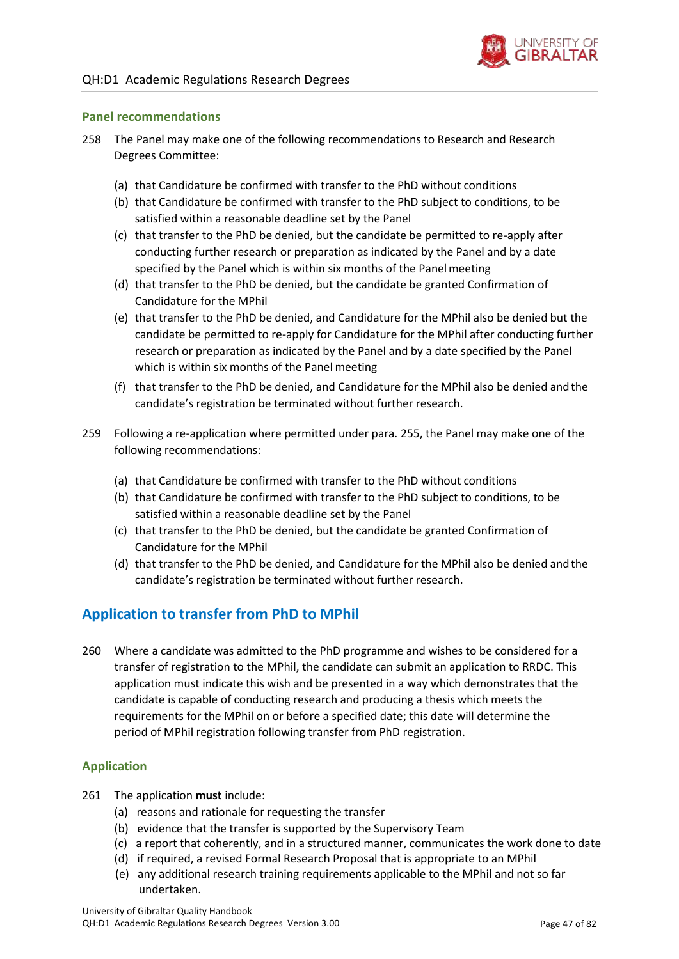

### **Panel recommendations**

- <span id="page-46-1"></span>258 The Panel may make one of the following recommendations to Research and Research Degrees Committee:
	- (a) that Candidature be confirmed with transfer to the PhD without conditions
	- (b) that Candidature be confirmed with transfer to the PhD subject to conditions, to be satisfied within a reasonable deadline set by the Panel
	- (c) that transfer to the PhD be denied, but the candidate be permitted to re-apply after conducting further research or preparation as indicated by the Panel and by a date specified by the Panel which is within six months of the Panel meeting
	- (d) that transfer to the PhD be denied, but the candidate be granted Confirmation of Candidature for the MPhil
	- (e) that transfer to the PhD be denied, and Candidature for the MPhil also be denied but the candidate be permitted to re-apply for Candidature for the MPhil after conducting further research or preparation as indicated by the Panel and by a date specified by the Panel which is within six months of the Panel meeting
	- (f) that transfer to the PhD be denied, and Candidature for the MPhil also be denied andthe candidate's registration be terminated without further research.
- <span id="page-46-0"></span>259 Following a re-application where permitted under para. [255, t](#page-46-1)he Panel may make one of the following recommendations:
	- (a) that Candidature be confirmed with transfer to the PhD without conditions
	- (b) that Candidature be confirmed with transfer to the PhD subject to conditions, to be satisfied within a reasonable deadline set by the Panel
	- (c) that transfer to the PhD be denied, but the candidate be granted Confirmation of Candidature for the MPhil
	- (d) that transfer to the PhD be denied, and Candidature for the MPhil also be denied and the candidate's registration be terminated without further research.

# **Application to transfer from PhD to MPhil**

260 Where a candidate was admitted to the PhD programme and wishes to be considered for a transfer of registration to the MPhil, the candidate can submit an application to RRDC. This application must indicate this wish and be presented in a way which demonstrates that the candidate is capable of conducting research and producing a thesis which meets the requirements for the MPhil on or before a specified date; this date will determine the period of MPhil registration following transfer from PhD registration.

### **Application**

- 261 The application **must** include:
	- (a) reasons and rationale for requesting the transfer
	- (b) evidence that the transfer is supported by the Supervisory Team
	- (c) a report that coherently, and in a structured manner, communicates the work done to date
	- (d) if required, a revised Formal Research Proposal that is appropriate to an MPhil
	- (e) any additional research training requirements applicable to the MPhil and not so far undertaken.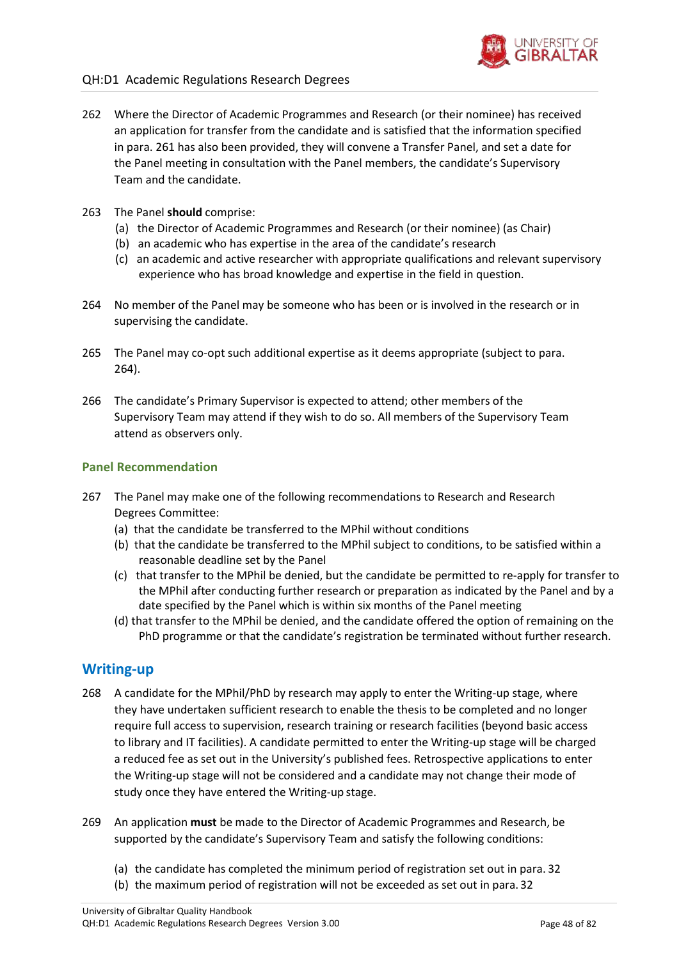

- 262 Where the Director of Academic Programmes and Research (or their nominee) has received an application for transfer from the candidate and is satisfied that the information specified in para. 261 has also been provided, they will convene a Transfer Panel, and set a date for the Panel meeting in consultation with the Panel members, the candidate's Supervisory Team and the candidate.
- 263 The Panel **should** comprise:
	- (a) the Director of Academic Programmes and Research (or their nominee) (as Chair)
	- (b) an academic who has expertise in the area of the candidate's research
	- (c) an academic and active researcher with appropriate qualifications and relevant supervisory experience who has broad knowledge and expertise in the field in question.
- 264 No member of the Panel may be someone who has been or is involved in the research or in supervising the candidate.
- 265 The Panel may co-opt such additional expertise as it deems appropriate (subject to para. 264).
- 266 The candidate's Primary Supervisor is expected to attend; other members of the Supervisory Team may attend if they wish to do so. All members of the Supervisory Team attend as observers only.

### **Panel Recommendation**

- 267 The Panel may make one of the following recommendations to Research and Research Degrees Committee:
	- (a) that the candidate be transferred to the MPhil without conditions
	- (b) that the candidate be transferred to the MPhil subject to conditions, to be satisfied within a reasonable deadline set by the Panel
	- (c) that transfer to the MPhil be denied, but the candidate be permitted to re-apply for transfer to the MPhil after conducting further research or preparation as indicated by the Panel and by a date specified by the Panel which is within six months of the Panel meeting
	- (d) that transfer to the MPhil be denied, and the candidate offered the option of remaining on the PhD programme or that the candidate's registration be terminated without further research.

## **Writing-up**

- 268 A candidate for the MPhil/PhD by research may apply to enter the Writing-up stage, where they have undertaken sufficient research to enable the thesis to be completed and no longer require full access to supervision, research training or research facilities (beyond basic access to library and IT facilities). A candidate permitted to enter the Writing-up stage will be charged a reduced fee as set out in the University's published fees. Retrospective applications to enter the Writing-up stage will not be considered and a candidate may not change their mode of study once they have entered the Writing-up stage.
- 269 An application **must** be made to the Director of Academic Programmes and Research, be supported by the candidate's Supervisory Team and satisfy the following conditions:
	- (a) the candidate has completed the minimum period of registration set out in para. [32](#page-9-0)
	- (b) the maximum period of registration will not be exceeded as set out in para. [32](#page-9-0)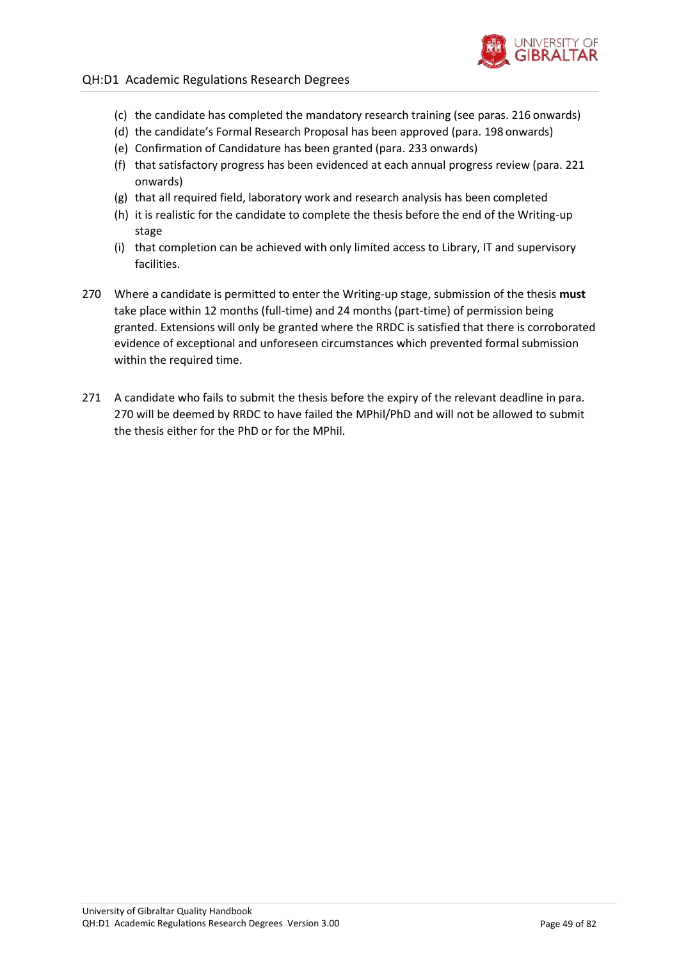

- (c) the candidate has completed the mandatory research training (see paras[. 216](#page-40-2) onwards)
- (d) the candidate's Formal Research Proposal has been approved (para. [198](#page-37-2) onwards)
- (e) Confirmation of Candidature has been granted (para. [233](#page-42-0) onwards)
- (f) that satisfactory progress has been evidenced at each annual progress review (para. [221](#page-40-0) onwards)
- (g) that all required field, laboratory work and research analysis has been completed
- (h) it is realistic for the candidate to complete the thesis before the end of the Writing-up stage
- (i) that completion can be achieved with only limited access to Library, IT and supervisory facilities.
- <span id="page-48-0"></span>270 Where a candidate is permitted to enter the Writing-up stage, submission of the thesis **must**  take place within 12 months (full-time) and 24 months (part-time) of permission being granted. Extensions will only be granted where the RRDC is satisfied that there is corroborated evidence of exceptional and unforeseen circumstances which prevented formal submission within the required time.
- 271 A candidate who fails to submit the thesis before the expiry of the relevant deadline in para[.](#page-48-0) [270](#page-48-0) will be deemed by RRDC to have failed the MPhil/PhD and will not be allowed to submit the thesis either for the PhD or for the MPhil.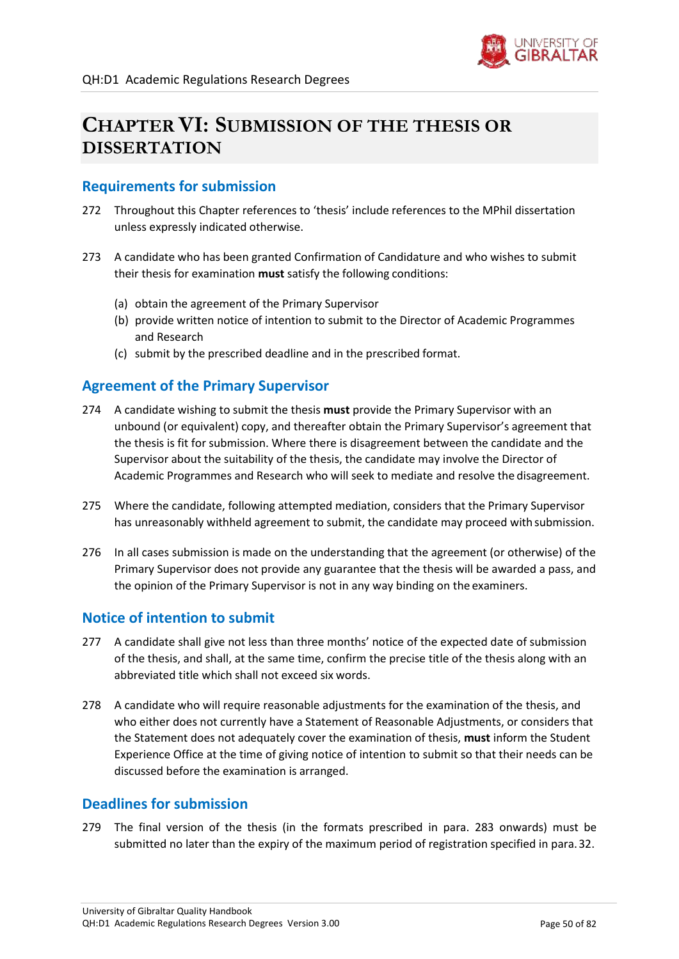

# **CHAPTER VI: SUBMISSION OF THE THESIS OR DISSERTATION**

## **Requirements for submission**

- 272 Throughout this Chapter references to 'thesis' include references to the MPhil dissertation unless expressly indicated otherwise.
- 273 A candidate who has been granted Confirmation of Candidature and who wishes to submit their thesis for examination **must** satisfy the following conditions:
	- (a) obtain the agreement of the Primary Supervisor
	- (b) provide written notice of intention to submit to the Director of Academic Programmes and Research
	- (c) submit by the prescribed deadline and in the prescribed format.

## **Agreement of the Primary Supervisor**

- 274 A candidate wishing to submit the thesis **must** provide the Primary Supervisor with an unbound (or equivalent) copy, and thereafter obtain the Primary Supervisor's agreement that the thesis is fit for submission. Where there is disagreement between the candidate and the Supervisor about the suitability of the thesis, the candidate may involve the Director of Academic Programmes and Research who will seek to mediate and resolve the disagreement.
- 275 Where the candidate, following attempted mediation, considers that the Primary Supervisor has unreasonably withheld agreement to submit, the candidate may proceed with submission.
- 276 In all cases submission is made on the understanding that the agreement (or otherwise) of the Primary Supervisor does not provide any guarantee that the thesis will be awarded a pass, and the opinion of the Primary Supervisor is not in any way binding on the examiners.

## **Notice of intention to submit**

- <span id="page-49-0"></span>277 A candidate shall give not less than three months' notice of the expected date of submission of the thesis, and shall, at the same time, confirm the precise title of the thesis along with an abbreviated title which shall not exceed six words.
- 278 A candidate who will require reasonable adjustments for the examination of the thesis, and who either does not currently have a Statement of Reasonable Adjustments, or considers that the Statement does not adequately cover the examination of thesis, **must** inform the Student Experience Office at the time of giving notice of intention to submit so that their needs can be discussed before the examination is arranged.

### **Deadlines for submission**

279 The final version of the thesis (in the formats prescribed in para. [283](#page-50-0) onwards) must be submitted no later than the expiry of the maximum period of registration specified in para[.32.](#page-9-0)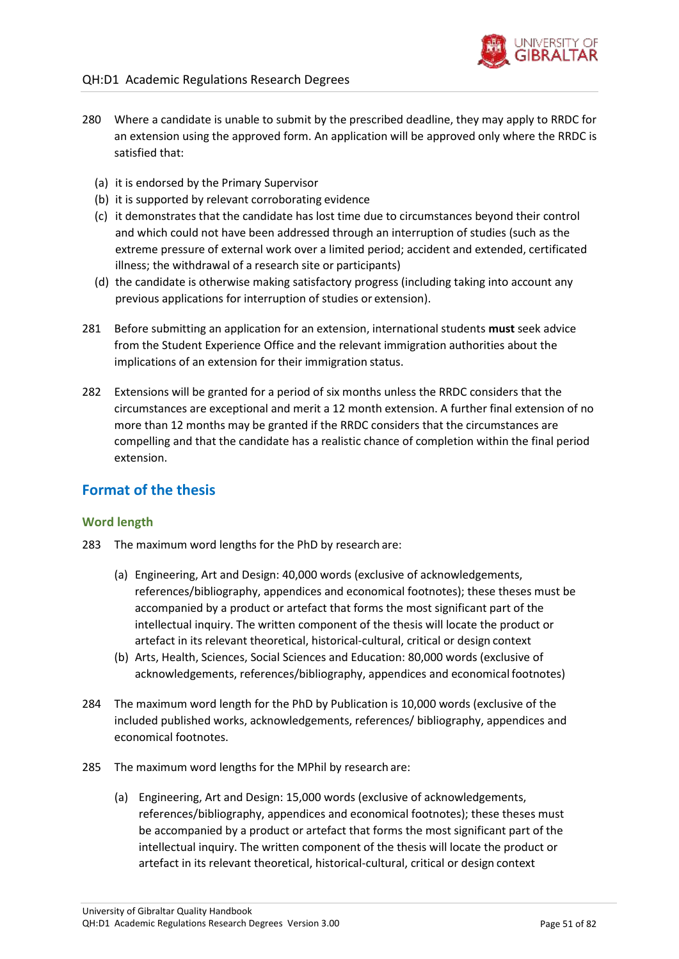

- 280 Where a candidate is unable to submit by the prescribed deadline, they may apply to RRDC for an extension using the approved form. An application will be approved only where the RRDC is satisfied that:
	- (a) it is endorsed by the Primary Supervisor
	- (b) it is supported by relevant corroborating evidence
	- (c) it demonstrates that the candidate has lost time due to circumstances beyond their control and which could not have been addressed through an interruption of studies (such as the extreme pressure of external work over a limited period; accident and extended, certificated illness; the withdrawal of a research site or participants)
	- (d) the candidate is otherwise making satisfactory progress (including taking into account any previous applications for interruption of studies or extension).
- 281 Before submitting an application for an extension, international students **must** seek advice from the Student Experience Office and the relevant immigration authorities about the implications of an extension for their immigration status.
- 282 Extensions will be granted for a period of six months unless the RRDC considers that the circumstances are exceptional and merit a 12 month extension. A further final extension of no more than 12 months may be granted if the RRDC considers that the circumstances are compelling and that the candidate has a realistic chance of completion within the final period extension.

# **Format of the thesis**

### **Word length**

- <span id="page-50-0"></span>283 The maximum word lengths for the PhD by research are:
	- (a) Engineering, Art and Design: 40,000 words (exclusive of acknowledgements, references/bibliography, appendices and economical footnotes); these theses must be accompanied by a product or artefact that forms the most significant part of the intellectual inquiry. The written component of the thesis will locate the product or artefact in its relevant theoretical, historical-cultural, critical or design context
	- (b) Arts, Health, Sciences, Social Sciences and Education: 80,000 words (exclusive of acknowledgements, references/bibliography, appendices and economical footnotes)
- 284 The maximum word length for the PhD by Publication is 10,000 words (exclusive of the included published works, acknowledgements, references/ bibliography, appendices and economical footnotes.
- 285 The maximum word lengths for the MPhil by research are:
	- (a) Engineering, Art and Design: 15,000 words (exclusive of acknowledgements, references/bibliography, appendices and economical footnotes); these theses must be accompanied by a product or artefact that forms the most significant part of the intellectual inquiry. The written component of the thesis will locate the product or artefact in its relevant theoretical, historical-cultural, critical or design context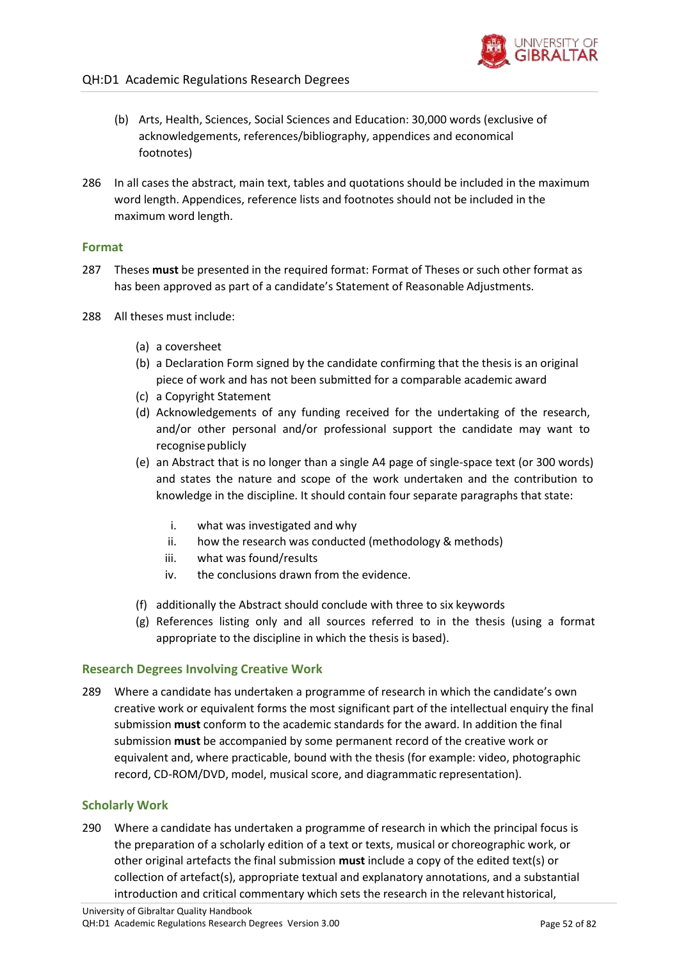- (b) Arts, Health, Sciences, Social Sciences and Education: 30,000 words (exclusive of acknowledgements, references/bibliography, appendices and economical footnotes)
- 286 In all cases the abstract, main text, tables and quotations should be included in the maximum word length. Appendices, reference lists and footnotes should not be included in the maximum word length.

### **Format**

- 287 Theses **must** be presented in the required format: Format of Theses or such other format as has been approved as part of a candidate's Statement of Reasonable Adjustments.
- 288 All theses must include:
	- (a) a coversheet
	- (b) a Declaration Form signed by the candidate confirming that the thesis is an original piece of work and has not been submitted for a comparable academic award
	- (c) a Copyright Statement
	- (d) Acknowledgements of any funding received for the undertaking of the research, and/or other personal and/or professional support the candidate may want to recognise publicly
	- (e) an Abstract that is no longer than a single A4 page of single-space text (or 300 words) and states the nature and scope of the work undertaken and the contribution to knowledge in the discipline. It should contain four separate paragraphs that state:
		- i. what was investigated and why
		- ii. how the research was conducted (methodology & methods)
		- iii. what was found/results
		- iv. the conclusions drawn from the evidence.
	- (f) additionally the Abstract should conclude with three to six keywords
	- (g) References listing only and all sources referred to in the thesis (using a format appropriate to the discipline in which the thesis is based).

### **Research Degrees Involving Creative Work**

289 Where a candidate has undertaken a programme of research in which the candidate's own creative work or equivalent forms the most significant part of the intellectual enquiry the final submission **must** conform to the academic standards for the award. In addition the final submission **must** be accompanied by some permanent record of the creative work or equivalent and, where practicable, bound with the thesis (for example: video, photographic record, CD-ROM/DVD, model, musical score, and diagrammatic representation).

### **Scholarly Work**

290 Where a candidate has undertaken a programme of research in which the principal focus is the preparation of a scholarly edition of a text or texts, musical or choreographic work, or other original artefacts the final submission **must** include a copy of the edited text(s) or collection of artefact(s), appropriate textual and explanatory annotations, and a substantial introduction and critical commentary which sets the research in the relevant historical,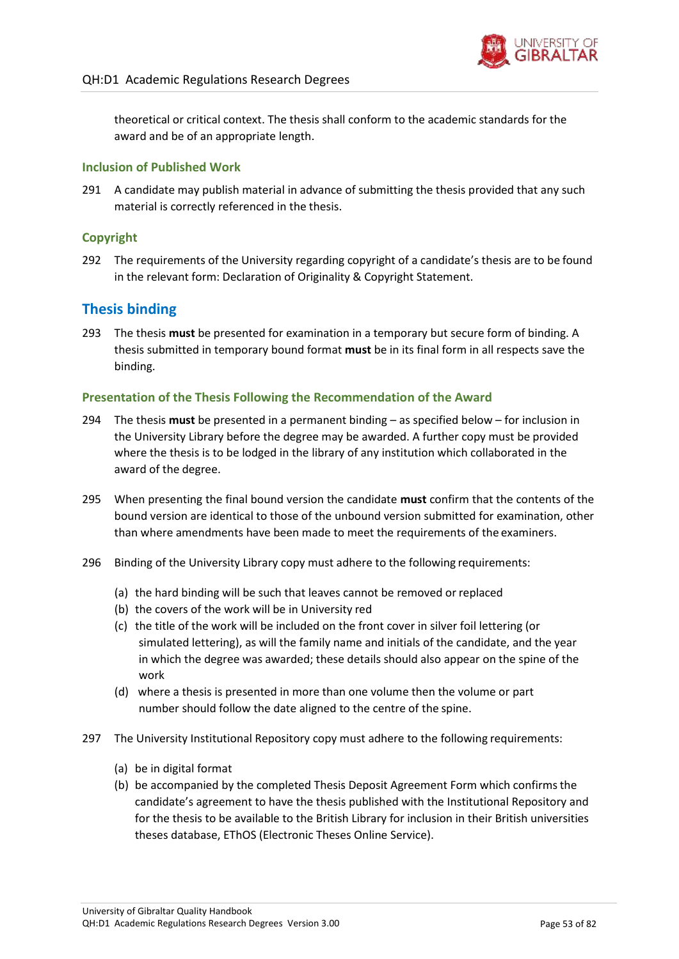

theoretical or critical context. The thesis shall conform to the academic standards for the award and be of an appropriate length.

### **Inclusion of Published Work**

291 A candidate may publish material in advance of submitting the thesis provided that any such material is correctly referenced in the thesis.

### **Copyright**

292 The requirements of the University regarding copyright of a candidate's thesis are to be found in the relevant form: Declaration of Originality & Copyright Statement.

# **Thesis binding**

293 The thesis **must** be presented for examination in a temporary but secure form of binding. A thesis submitted in temporary bound format **must** be in its final form in all respects save the binding.

### **Presentation of the Thesis Following the Recommendation of the Award**

- 294 The thesis **must** be presented in a permanent binding as specified below for inclusion in the University Library before the degree may be awarded. A further copy must be provided where the thesis is to be lodged in the library of any institution which collaborated in the award of the degree.
- 295 When presenting the final bound version the candidate **must** confirm that the contents of the bound version are identical to those of the unbound version submitted for examination, other than where amendments have been made to meet the requirements of the examiners.
- 296 Binding of the University Library copy must adhere to the following requirements:
	- (a) the hard binding will be such that leaves cannot be removed or replaced
	- (b) the covers of the work will be in University red
	- (c) the title of the work will be included on the front cover in silver foil lettering (or simulated lettering), as will the family name and initials of the candidate, and the year in which the degree was awarded; these details should also appear on the spine of the work
	- (d) where a thesis is presented in more than one volume then the volume or part number should follow the date aligned to the centre of the spine.
- 297 The University Institutional Repository copy must adhere to the following requirements:
	- (a) be in digital format
	- (b) be accompanied by the completed Thesis Deposit Agreement Form which confirmsthe candidate's agreement to have the thesis published with the Institutional Repository and for the thesis to be available to the British Library for inclusion in their British universities theses database, EThOS (Electronic Theses Online Service).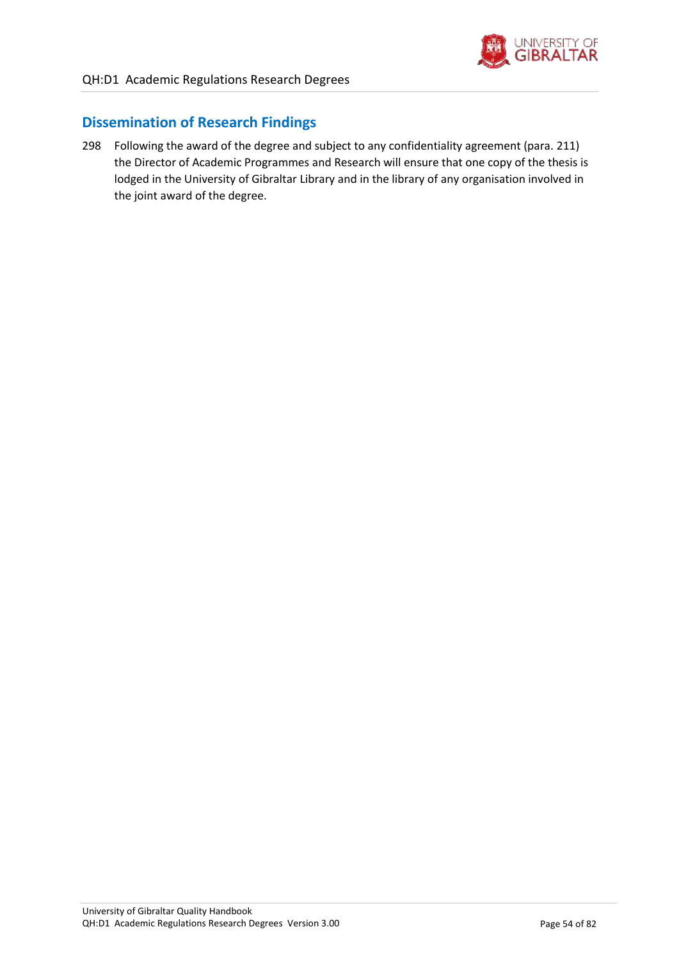

# **Dissemination of Research Findings**

298 Following the award of the degree and subject to any confidentiality agreement (para. [211\)](#page-39-1) the Director of Academic Programmes and Research will ensure that one copy of the thesis is lodged in the University of Gibraltar Library and in the library of any organisation involved in the joint award of the degree.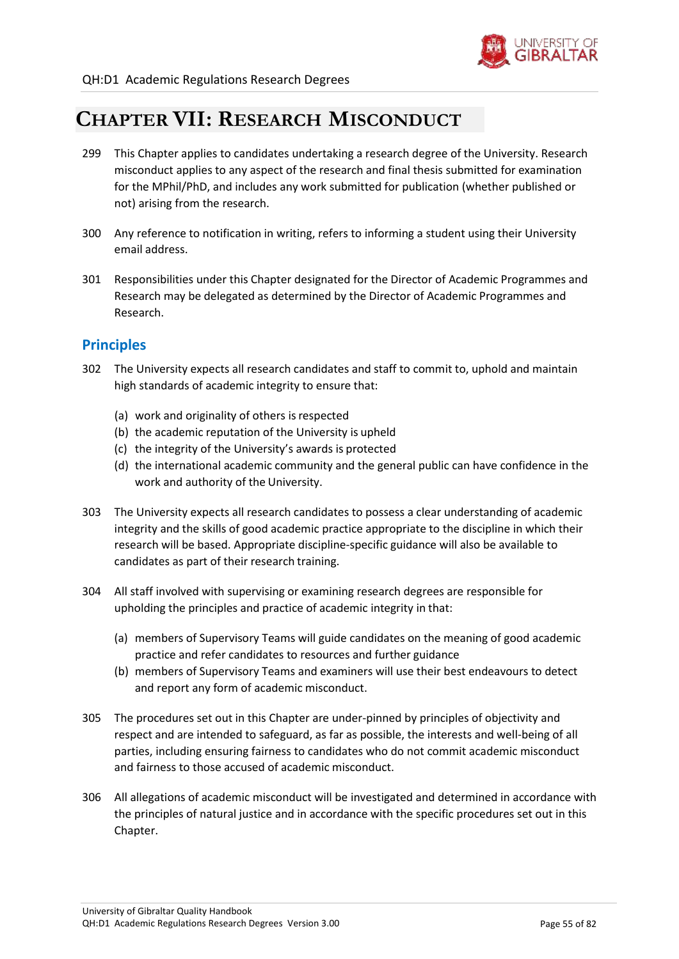

# **CHAPTER VII: RESEARCH MISCONDUCT**

- 299 This Chapter applies to candidates undertaking a research degree of the University. Research misconduct applies to any aspect of the research and final thesis submitted for examination for the MPhil/PhD, and includes any work submitted for publication (whether published or not) arising from the research.
- 300 Any reference to notification in writing, refers to informing a student using their University email address.
- 301 Responsibilities under this Chapter designated for the Director of Academic Programmes and Research may be delegated as determined by the Director of Academic Programmes and Research.

# **Principles**

- 302 The University expects all research candidates and staff to commit to, uphold and maintain high standards of academic integrity to ensure that:
	- (a) work and originality of others is respected
	- (b) the academic reputation of the University is upheld
	- (c) the integrity of the University's awards is protected
	- (d) the international academic community and the general public can have confidence in the work and authority of the University.
- 303 The University expects all research candidates to possess a clear understanding of academic integrity and the skills of good academic practice appropriate to the discipline in which their research will be based. Appropriate discipline-specific guidance will also be available to candidates as part of their research training.
- 304 All staff involved with supervising or examining research degrees are responsible for upholding the principles and practice of academic integrity in that:
	- (a) members of Supervisory Teams will guide candidates on the meaning of good academic practice and refer candidates to resources and further guidance
	- (b) members of Supervisory Teams and examiners will use their best endeavours to detect and report any form of academic misconduct.
- 305 The procedures set out in this Chapter are under-pinned by principles of objectivity and respect and are intended to safeguard, as far as possible, the interests and well-being of all parties, including ensuring fairness to candidates who do not commit academic misconduct and fairness to those accused of academic misconduct.
- 306 All allegations of academic misconduct will be investigated and determined in accordance with the principles of natural justice and in accordance with the specific procedures set out in this Chapter.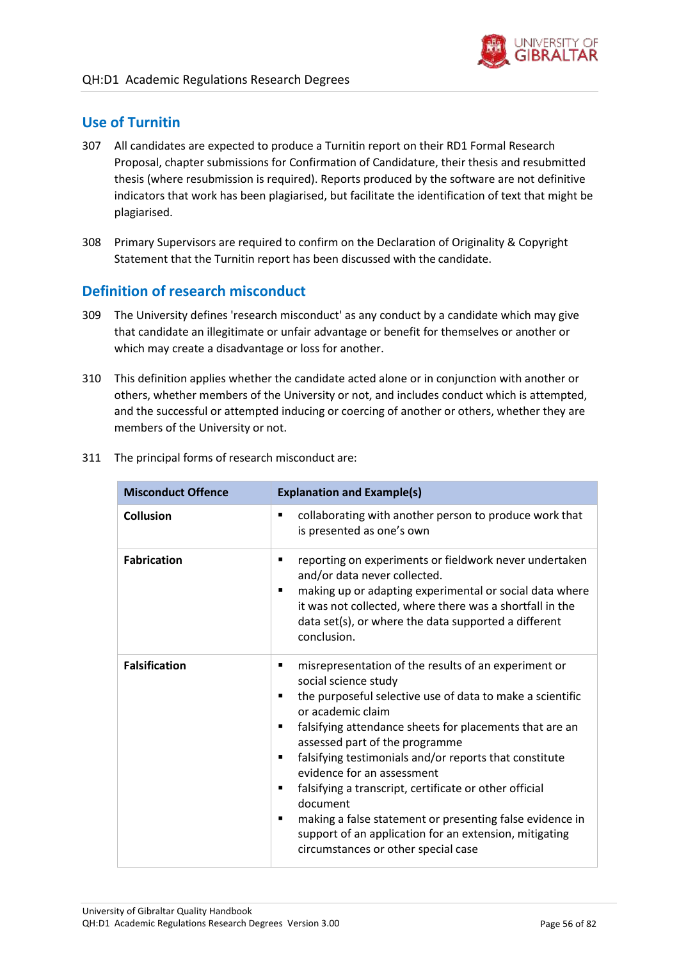# **Use of Turnitin**

- 307 All candidates are expected to produce a Turnitin report on their RD1 Formal Research Proposal, chapter submissions for Confirmation of Candidature, their thesis and resubmitted thesis (where resubmission is required). Reports produced by the software are not definitive indicators that work has been plagiarised, but facilitate the identification of text that might be plagiarised.
- 308 Primary Supervisors are required to confirm on the Declaration of Originality & Copyright Statement that the Turnitin report has been discussed with the candidate.

# **Definition of research misconduct**

- 309 The University defines 'research misconduct' as any conduct by a candidate which may give that candidate an illegitimate or unfair advantage or benefit for themselves or another or which may create a disadvantage or loss for another.
- 310 This definition applies whether the candidate acted alone or in conjunction with another or others, whether members of the University or not, and includes conduct which is attempted, and the successful or attempted inducing or coercing of another or others, whether they are members of the University or not.

| <b>Misconduct Offence</b> | <b>Explanation and Example(s)</b>                                                                                                                                                                                                                                                                                                                                                                                                                                                                                                                                                                                                 |
|---------------------------|-----------------------------------------------------------------------------------------------------------------------------------------------------------------------------------------------------------------------------------------------------------------------------------------------------------------------------------------------------------------------------------------------------------------------------------------------------------------------------------------------------------------------------------------------------------------------------------------------------------------------------------|
| <b>Collusion</b>          | collaborating with another person to produce work that<br>$\blacksquare$<br>is presented as one's own                                                                                                                                                                                                                                                                                                                                                                                                                                                                                                                             |
| <b>Fabrication</b>        | reporting on experiments or fieldwork never undertaken<br>п<br>and/or data never collected.<br>making up or adapting experimental or social data where<br>$\blacksquare$<br>it was not collected, where there was a shortfall in the<br>data set(s), or where the data supported a different<br>conclusion.                                                                                                                                                                                                                                                                                                                       |
| <b>Falsification</b>      | misrepresentation of the results of an experiment or<br>п<br>social science study<br>the purposeful selective use of data to make a scientific<br>٠<br>or academic claim<br>falsifying attendance sheets for placements that are an<br>٠<br>assessed part of the programme<br>falsifying testimonials and/or reports that constitute<br>$\blacksquare$<br>evidence for an assessment<br>falsifying a transcript, certificate or other official<br>٠<br>document<br>making a false statement or presenting false evidence in<br>٠<br>support of an application for an extension, mitigating<br>circumstances or other special case |

311 The principal forms of research misconduct are: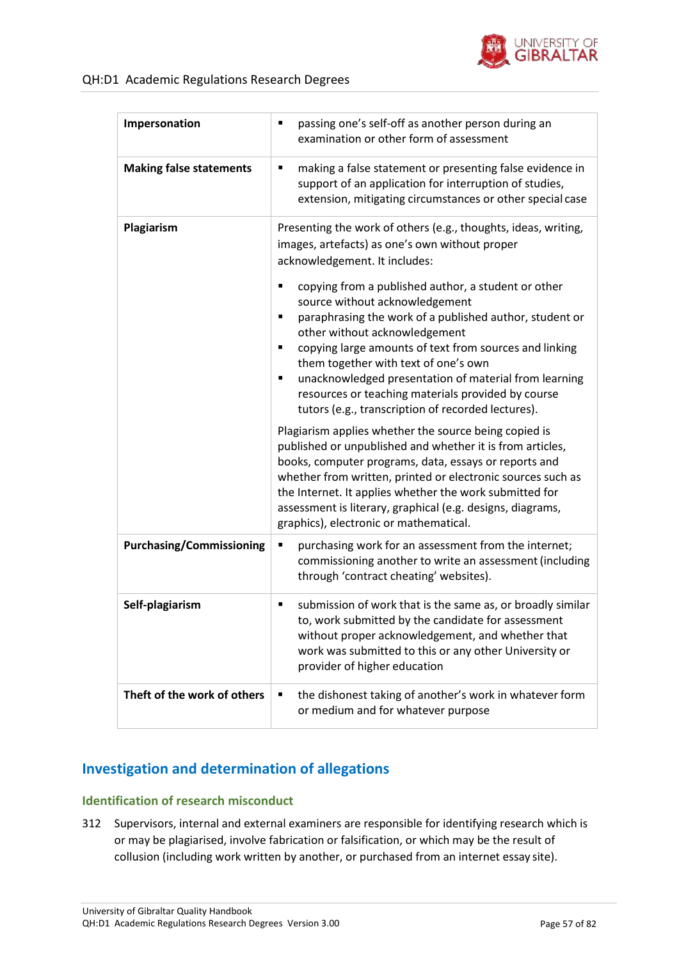

| Impersonation                   | passing one's self-off as another person during an<br>٠<br>examination or other form of assessment                                                                                                                                                                                                                                                                                                                                                                                                                                                                                                                                |
|---------------------------------|-----------------------------------------------------------------------------------------------------------------------------------------------------------------------------------------------------------------------------------------------------------------------------------------------------------------------------------------------------------------------------------------------------------------------------------------------------------------------------------------------------------------------------------------------------------------------------------------------------------------------------------|
| <b>Making false statements</b>  | making a false statement or presenting false evidence in<br>٠<br>support of an application for interruption of studies,<br>extension, mitigating circumstances or other special case                                                                                                                                                                                                                                                                                                                                                                                                                                              |
| Plagiarism                      | Presenting the work of others (e.g., thoughts, ideas, writing,<br>images, artefacts) as one's own without proper<br>acknowledgement. It includes:<br>copying from a published author, a student or other<br>п<br>source without acknowledgement<br>paraphrasing the work of a published author, student or<br>٠<br>other without acknowledgement<br>copying large amounts of text from sources and linking<br>٠<br>them together with text of one's own<br>unacknowledged presentation of material from learning<br>٠<br>resources or teaching materials provided by course<br>tutors (e.g., transcription of recorded lectures). |
|                                 | Plagiarism applies whether the source being copied is<br>published or unpublished and whether it is from articles,<br>books, computer programs, data, essays or reports and<br>whether from written, printed or electronic sources such as<br>the Internet. It applies whether the work submitted for<br>assessment is literary, graphical (e.g. designs, diagrams,<br>graphics), electronic or mathematical.                                                                                                                                                                                                                     |
| <b>Purchasing/Commissioning</b> | purchasing work for an assessment from the internet;<br>٠<br>commissioning another to write an assessment (including<br>through 'contract cheating' websites).                                                                                                                                                                                                                                                                                                                                                                                                                                                                    |
| Self-plagiarism                 | submission of work that is the same as, or broadly similar<br>٠<br>to, work submitted by the candidate for assessment<br>without proper acknowledgement, and whether that<br>work was submitted to this or any other University or<br>provider of higher education                                                                                                                                                                                                                                                                                                                                                                |
| Theft of the work of others     | the dishonest taking of another's work in whatever form<br>٠<br>or medium and for whatever purpose                                                                                                                                                                                                                                                                                                                                                                                                                                                                                                                                |

# **Investigation and determination of allegations**

### **Identification of research misconduct**

312 Supervisors, internal and external examiners are responsible for identifying research which is or may be plagiarised, involve fabrication or falsification, or which may be the result of collusion (including work written by another, or purchased from an internet essay site).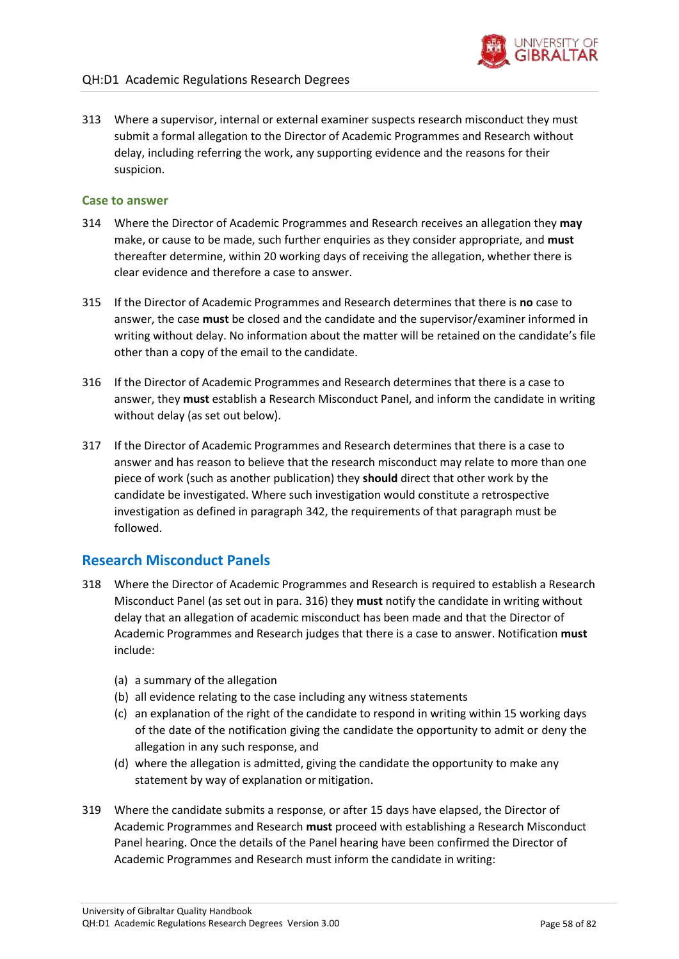

313 Where a supervisor, internal or external examiner suspects research misconduct they must submit a formal allegation to the Director of Academic Programmes and Research without delay, including referring the work, any supporting evidence and the reasons for their suspicion.

### **Case to answer**

- 314 Where the Director of Academic Programmes and Research receives an allegation they **may**  make, or cause to be made, such further enquiries as they consider appropriate, and **must**  thereafter determine, within 20 working days of receiving the allegation, whether there is clear evidence and therefore a case to answer.
- 315 If the Director of Academic Programmes and Research determines that there is **no** case to answer, the case **must** be closed and the candidate and the supervisor/examiner informed in writing without delay. No information about the matter will be retained on the candidate's file other than a copy of the email to the candidate.
- <span id="page-57-0"></span>316 If the Director of Academic Programmes and Research determines that there is a case to answer, they **must** establish a Research Misconduct Panel, and inform the candidate in writing without delay (as set out below).
- 317 If the Director of Academic Programmes and Research determines that there is a case to answer and has reason to believe that the research misconduct may relate to more than one piece of work (such as another publication) they **should** direct that other work by the candidate be investigated. Where such investigation would constitute a retrospective investigation as defined in paragraph [342, t](#page-60-0)he requirements of that paragraph must be followed.

## **Research Misconduct Panels**

- 318 Where the Director of Academic Programmes and Research is required to establish a Research Misconduct Panel (as set out in para[. 316\)](#page-57-0) they **must** notify the candidate in writing without delay that an allegation of academic misconduct has been made and that the Director of Academic Programmes and Research judges that there is a case to answer. Notification **must**  include:
	- (a) a summary of the allegation
	- (b) all evidence relating to the case including any witness statements
	- (c) an explanation of the right of the candidate to respond in writing within 15 working days of the date of the notification giving the candidate the opportunity to admit or deny the allegation in any such response, and
	- (d) where the allegation is admitted, giving the candidate the opportunity to make any statement by way of explanation or mitigation.
- 319 Where the candidate submits a response, or after 15 days have elapsed, the Director of Academic Programmes and Research **must** proceed with establishing a Research Misconduct Panel hearing. Once the details of the Panel hearing have been confirmed the Director of Academic Programmes and Research must inform the candidate in writing: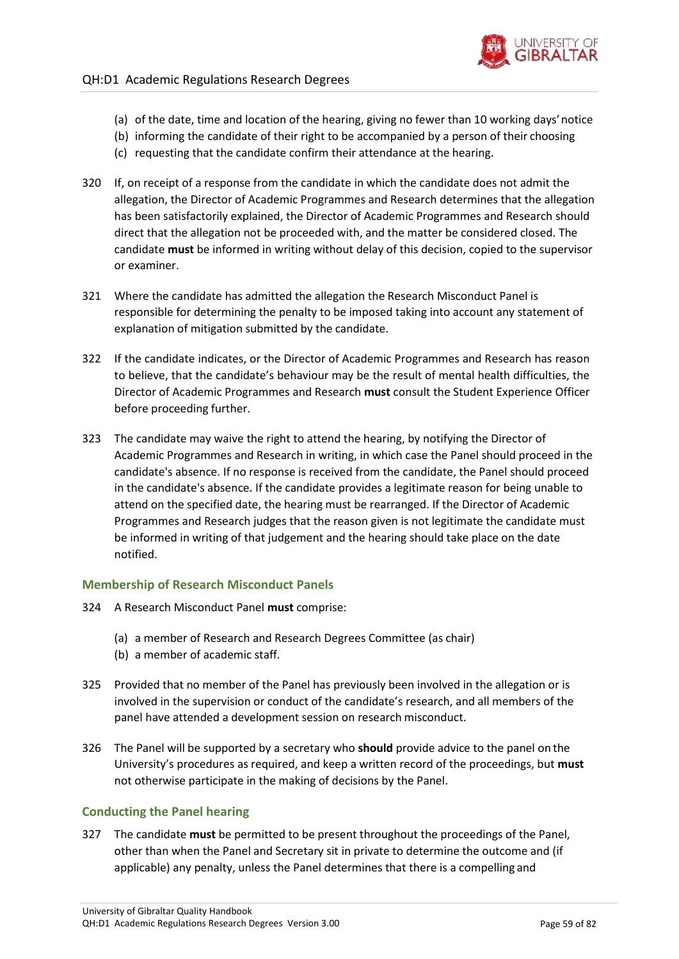

- (a) of the date, time and location of the hearing, giving no fewer than 10 working days'notice
- (b) informing the candidate of their right to be accompanied by a person of their choosing
- (c) requesting that the candidate confirm their attendance at the hearing.
- 320 If, on receipt of a response from the candidate in which the candidate does not admit the allegation, the Director of Academic Programmes and Research determines that the allegation has been satisfactorily explained, the Director of Academic Programmes and Research should direct that the allegation not be proceeded with, and the matter be considered closed. The candidate **must** be informed in writing without delay of this decision, copied to the supervisor or examiner.
- 321 Where the candidate has admitted the allegation the Research Misconduct Panel is responsible for determining the penalty to be imposed taking into account any statement of explanation of mitigation submitted by the candidate.
- 322 If the candidate indicates, or the Director of Academic Programmes and Research has reason to believe, that the candidate's behaviour may be the result of mental health difficulties, the Director of Academic Programmes and Research **must** consult the Student Experience Officer before proceeding further.
- 323 The candidate may waive the right to attend the hearing, by notifying the Director of Academic Programmes and Research in writing, in which case the Panel should proceed in the candidate's absence. If no response is received from the candidate, the Panel should proceed in the candidate's absence. If the candidate provides a legitimate reason for being unable to attend on the specified date, the hearing must be rearranged. If the Director of Academic Programmes and Research judges that the reason given is not legitimate the candidate must be informed in writing of that judgement and the hearing should take place on the date notified.

### **Membership of Research Misconduct Panels**

- 324 A Research Misconduct Panel **must** comprise:
	- (a) a member of Research and Research Degrees Committee (as chair)
	- (b) a member of academic staff.
- 325 Provided that no member of the Panel has previously been involved in the allegation or is involved in the supervision or conduct of the candidate's research, and all members of the panel have attended a development session on research misconduct.
- 326 The Panel will be supported by a secretary who **should** provide advice to the panel on the University's procedures as required, and keep a written record of the proceedings, but **must** not otherwise participate in the making of decisions by the Panel.

### **Conducting the Panel hearing**

327 The candidate **must** be permitted to be present throughout the proceedings of the Panel, other than when the Panel and Secretary sit in private to determine the outcome and (if applicable) any penalty, unless the Panel determines that there is a compelling and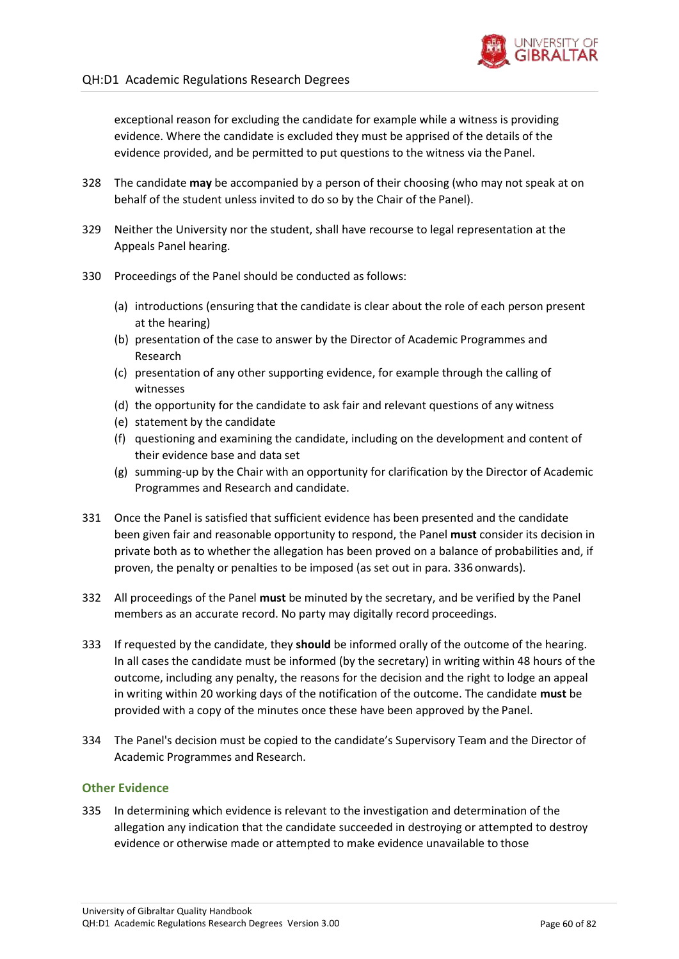exceptional reason for excluding the candidate for example while a witness is providing evidence. Where the candidate is excluded they must be apprised of the details of the evidence provided, and be permitted to put questions to the witness via the Panel.

- 328 The candidate **may** be accompanied by a person of their choosing (who may not speak at on behalf of the student unless invited to do so by the Chair of the Panel).
- 329 Neither the University nor the student, shall have recourse to legal representation at the Appeals Panel hearing.
- 330 Proceedings of the Panel should be conducted as follows:
	- (a) introductions (ensuring that the candidate is clear about the role of each person present at the hearing)
	- (b) presentation of the case to answer by the Director of Academic Programmes and Research
	- (c) presentation of any other supporting evidence, for example through the calling of witnesses
	- (d) the opportunity for the candidate to ask fair and relevant questions of any witness
	- (e) statement by the candidate
	- (f) questioning and examining the candidate, including on the development and content of their evidence base and data set
	- (g) summing-up by the Chair with an opportunity for clarification by the Director of Academic Programmes and Research and candidate.
- 331 Once the Panel is satisfied that sufficient evidence has been presented and the candidate been given fair and reasonable opportunity to respond, the Panel **must** consider its decision in private both as to whether the allegation has been proved on a balance of probabilities and, if proven, the penalty or penalties to be imposed (as set out in para. [336](#page-60-1) onwards).
- 332 All proceedings of the Panel **must** be minuted by the secretary, and be verified by the Panel members as an accurate record. No party may digitally record proceedings.
- 333 If requested by the candidate, they **should** be informed orally of the outcome of the hearing. In all cases the candidate must be informed (by the secretary) in writing within 48 hours of the outcome, including any penalty, the reasons for the decision and the right to lodge an appeal in writing within 20 working days of the notification of the outcome. The candidate **must** be provided with a copy of the minutes once these have been approved by the Panel.
- 334 The Panel's decision must be copied to the candidate's Supervisory Team and the Director of Academic Programmes and Research.

### **Other Evidence**

335 In determining which evidence is relevant to the investigation and determination of the allegation any indication that the candidate succeeded in destroying or attempted to destroy evidence or otherwise made or attempted to make evidence unavailable to those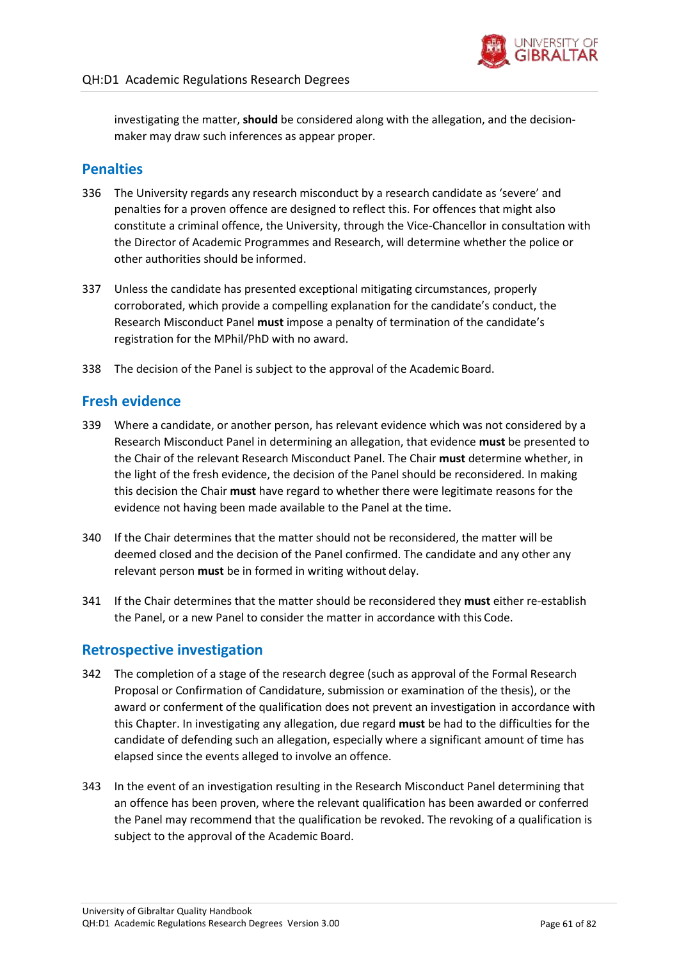

investigating the matter, **should** be considered along with the allegation, and the decisionmaker may draw such inferences as appear proper.

# **Penalties**

- <span id="page-60-1"></span>336 The University regards any research misconduct by a research candidate as 'severe' and penalties for a proven offence are designed to reflect this. For offences that might also constitute a criminal offence, the University, through the Vice-Chancellor in consultation with the Director of Academic Programmes and Research, will determine whether the police or other authorities should be informed.
- 337 Unless the candidate has presented exceptional mitigating circumstances, properly corroborated, which provide a compelling explanation for the candidate's conduct, the Research Misconduct Panel **must** impose a penalty of termination of the candidate's registration for the MPhil/PhD with no award.
- 338 The decision of the Panel is subject to the approval of the Academic Board.

## **Fresh evidence**

- 339 Where a candidate, or another person, has relevant evidence which was not considered by a Research Misconduct Panel in determining an allegation, that evidence **must** be presented to the Chair of the relevant Research Misconduct Panel. The Chair **must** determine whether, in the light of the fresh evidence, the decision of the Panel should be reconsidered. In making this decision the Chair **must** have regard to whether there were legitimate reasons for the evidence not having been made available to the Panel at the time.
- 340 If the Chair determines that the matter should not be reconsidered, the matter will be deemed closed and the decision of the Panel confirmed. The candidate and any other any relevant person **must** be in formed in writing without delay.
- 341 If the Chair determines that the matter should be reconsidered they **must** either re-establish the Panel, or a new Panel to consider the matter in accordance with this Code.

## **Retrospective investigation**

- <span id="page-60-0"></span>342 The completion of a stage of the research degree (such as approval of the Formal Research Proposal or Confirmation of Candidature, submission or examination of the thesis), or the award or conferment of the qualification does not prevent an investigation in accordance with this Chapter. In investigating any allegation, due regard **must** be had to the difficulties for the candidate of defending such an allegation, especially where a significant amount of time has elapsed since the events alleged to involve an offence.
- 343 In the event of an investigation resulting in the Research Misconduct Panel determining that an offence has been proven, where the relevant qualification has been awarded or conferred the Panel may recommend that the qualification be revoked. The revoking of a qualification is subject to the approval of the Academic Board.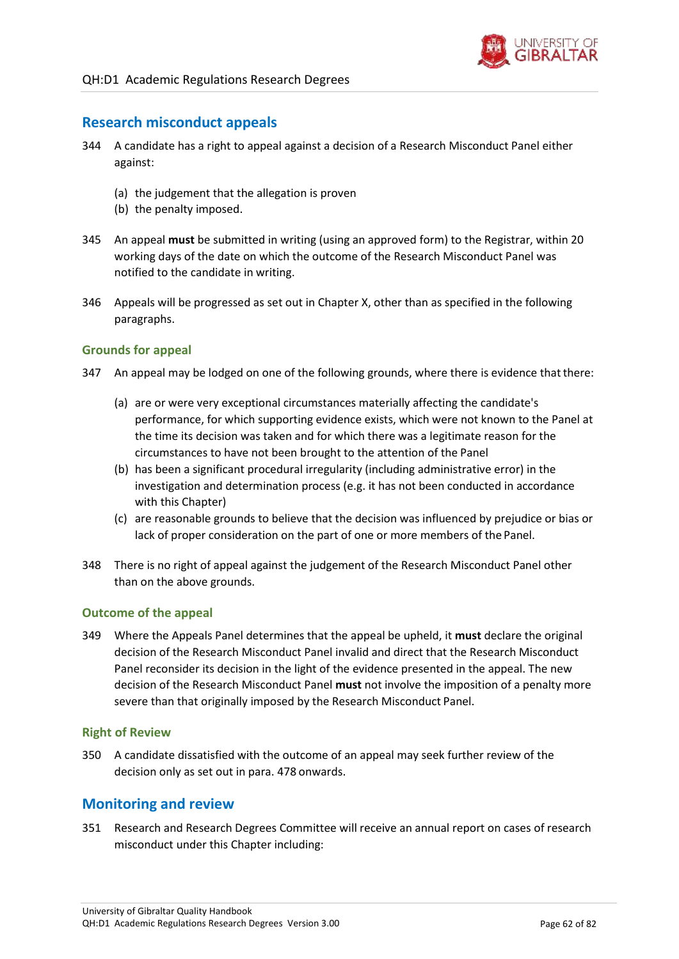

## **Research misconduct appeals**

- 344 A candidate has a right to appeal against a decision of a Research Misconduct Panel either against:
	- (a) the judgement that the allegation is proven
	- (b) the penalty imposed.
- 345 An appeal **must** be submitted in writing (using an approved form) to the Registrar, within 20 working days of the date on which the outcome of the Research Misconduct Panel was notified to the candidate in writing.
- 346 Appeals will be progressed as set out in Chapter X, other than as specified in the following paragraphs.

### **Grounds for appeal**

- 347 An appeal may be lodged on one of the following grounds, where there is evidence that there:
	- (a) are or were very exceptional circumstances materially affecting the candidate's performance, for which supporting evidence exists, which were not known to the Panel at the time its decision was taken and for which there was a legitimate reason for the circumstances to have not been brought to the attention of the Panel
	- (b) has been a significant procedural irregularity (including administrative error) in the investigation and determination process (e.g. it has not been conducted in accordance with this Chapter)
	- (c) are reasonable grounds to believe that the decision was influenced by prejudice or bias or lack of proper consideration on the part of one or more members of the Panel.
- 348 There is no right of appeal against the judgement of the Research Misconduct Panel other than on the above grounds.

### **Outcome of the appeal**

349 Where the Appeals Panel determines that the appeal be upheld, it **must** declare the original decision of the Research Misconduct Panel invalid and direct that the Research Misconduct Panel reconsider its decision in the light of the evidence presented in the appeal. The new decision of the Research Misconduct Panel **must** not involve the imposition of a penalty more severe than that originally imposed by the Research Misconduct Panel.

### **Right of Review**

350 A candidate dissatisfied with the outcome of an appeal may seek further review of the decision only as set out in para. [478](#page-81-0) onwards.

### **Monitoring and review**

351 Research and Research Degrees Committee will receive an annual report on cases of research misconduct under this Chapter including: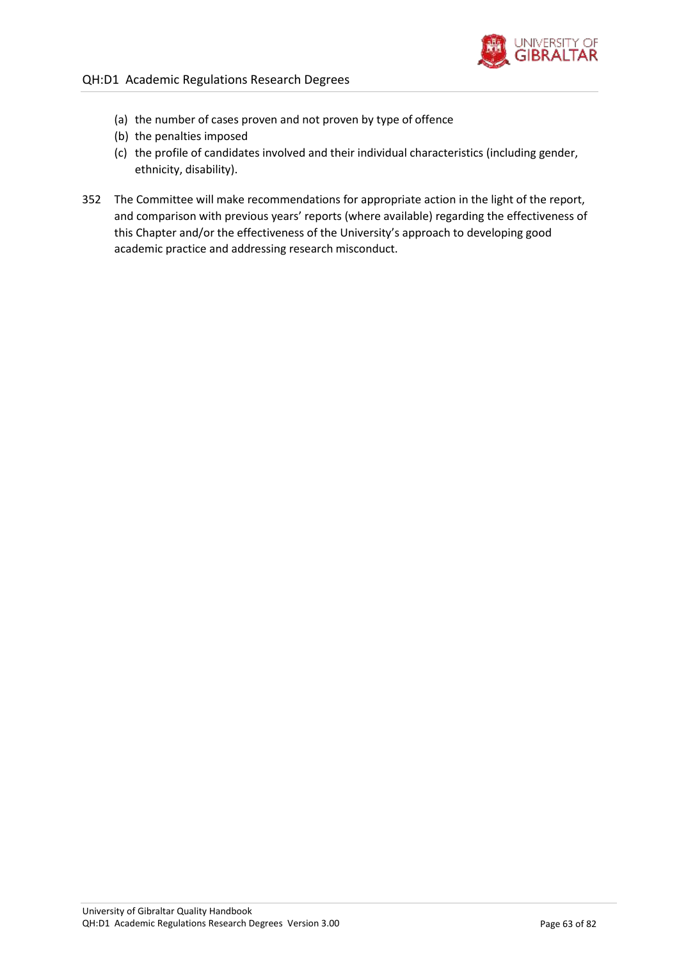

- (a) the number of cases proven and not proven by type of offence
- (b) the penalties imposed
- (c) the profile of candidates involved and their individual characteristics (including gender, ethnicity, disability).
- 352 The Committee will make recommendations for appropriate action in the light of the report, and comparison with previous years' reports (where available) regarding the effectiveness of this Chapter and/or the effectiveness of the University's approach to developing good academic practice and addressing research misconduct.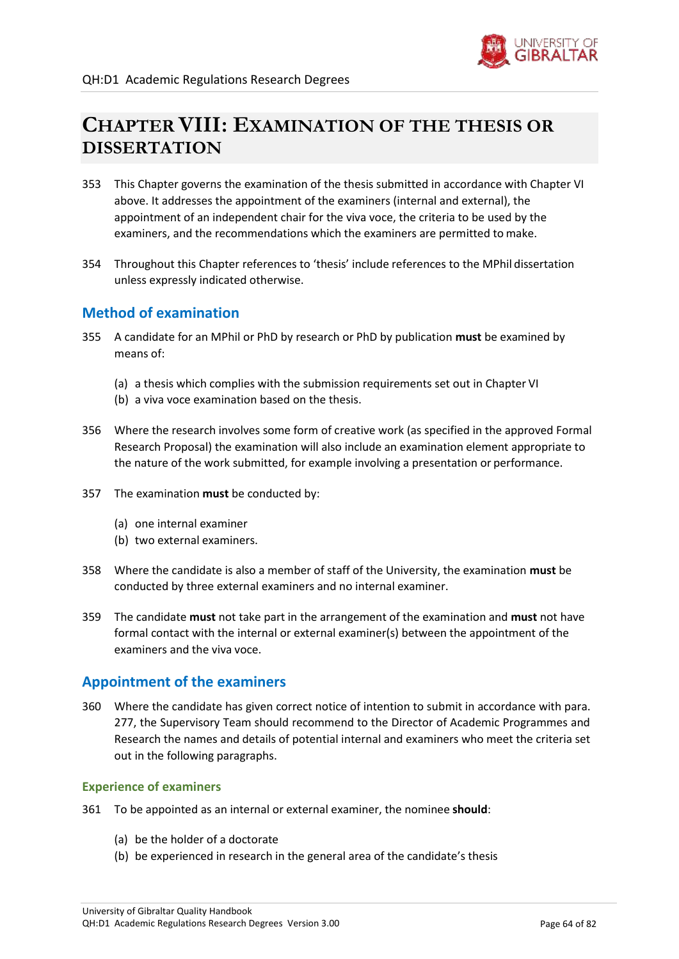

# **CHAPTER VIII: EXAMINATION OF THE THESIS OR DISSERTATION**

- 353 This Chapter governs the examination of the thesis submitted in accordance with Chapter VI above. It addresses the appointment of the examiners (internal and external), the appointment of an independent chair for the viva voce, the criteria to be used by the examiners, and the recommendations which the examiners are permitted to make.
- 354 Throughout this Chapter references to 'thesis' include references to the MPhil dissertation unless expressly indicated otherwise.

# **Method of examination**

- 355 A candidate for an MPhil or PhD by research or PhD by publication **must** be examined by means of:
	- (a) a thesis which complies with the submission requirements set out in Chapter VI
	- (b) a viva voce examination based on the thesis.
- 356 Where the research involves some form of creative work (as specified in the approved Formal Research Proposal) the examination will also include an examination element appropriate to the nature of the work submitted, for example involving a presentation or performance.
- 357 The examination **must** be conducted by:
	- (a) one internal examiner
	- (b) two external examiners.
- 358 Where the candidate is also a member of staff of the University, the examination **must** be conducted by three external examiners and no internal examiner.
- 359 The candidate **must** not take part in the arrangement of the examination and **must** not have formal contact with the internal or external examiner(s) between the appointment of the examiners and the viva voce.

# **Appointment of the examiners**

<span id="page-63-0"></span>360 Where the candidate has given correct notice of intention to submit in accordance with para[.](#page-49-0) [277, t](#page-49-0)he Supervisory Team should recommend to the Director of Academic Programmes and Research the names and details of potential internal and examiners who meet the criteria set out in the following paragraphs.

### **Experience of examiners**

- 361 To be appointed as an internal or external examiner, the nominee **should**:
	- (a) be the holder of a doctorate
	- (b) be experienced in research in the general area of the candidate's thesis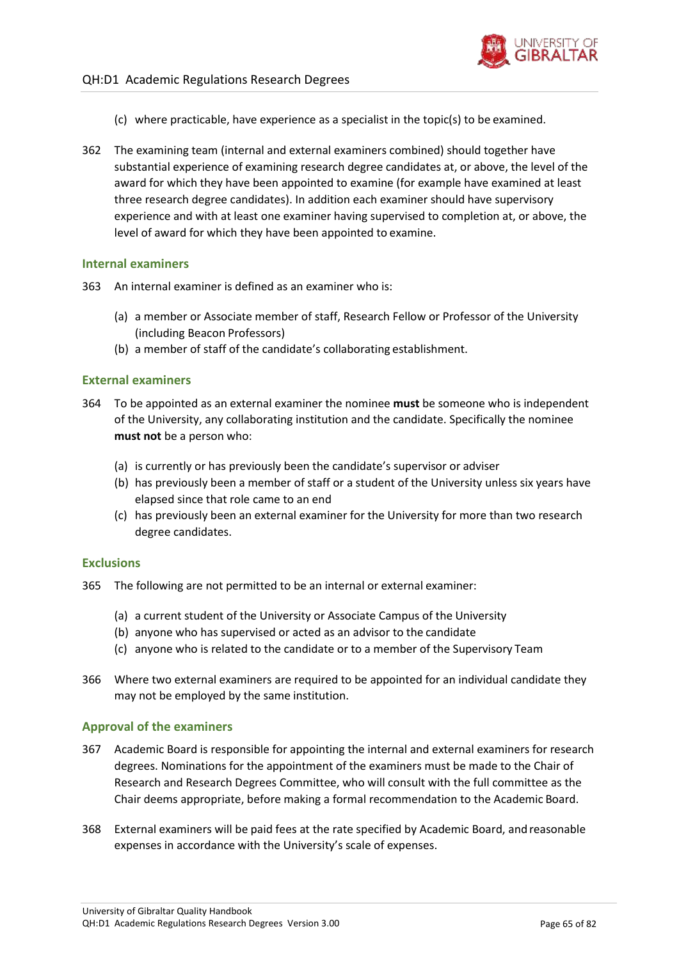

- (c) where practicable, have experience as a specialist in the topic(s) to be examined.
- 362 The examining team (internal and external examiners combined) should together have substantial experience of examining research degree candidates at, or above, the level of the award for which they have been appointed to examine (for example have examined at least three research degree candidates). In addition each examiner should have supervisory experience and with at least one examiner having supervised to completion at, or above, the level of award for which they have been appointed to examine.

### **Internal examiners**

- 363 An internal examiner is defined as an examiner who is:
	- (a) a member or Associate member of staff, Research Fellow or Professor of the University (including Beacon Professors)
	- (b) a member of staff of the candidate's collaborating establishment.

### **External examiners**

- 364 To be appointed as an external examiner the nominee **must** be someone who is independent of the University, any collaborating institution and the candidate. Specifically the nominee **must not** be a person who:
	- (a) is currently or has previously been the candidate's supervisor or adviser
	- (b) has previously been a member of staff or a student of the University unless six years have elapsed since that role came to an end
	- (c) has previously been an external examiner for the University for more than two research degree candidates.

### **Exclusions**

- 365 The following are not permitted to be an internal or external examiner:
	- (a) a current student of the University or Associate Campus of the University
	- (b) anyone who has supervised or acted as an advisor to the candidate
	- (c) anyone who is related to the candidate or to a member of the Supervisory Team
- 366 Where two external examiners are required to be appointed for an individual candidate they may not be employed by the same institution.

### **Approval of the examiners**

- 367 Academic Board is responsible for appointing the internal and external examiners for research degrees. Nominations for the appointment of the examiners must be made to the Chair of Research and Research Degrees Committee, who will consult with the full committee as the Chair deems appropriate, before making a formal recommendation to the Academic Board.
- 368 External examiners will be paid fees at the rate specified by Academic Board, and reasonable expenses in accordance with the University's scale of expenses.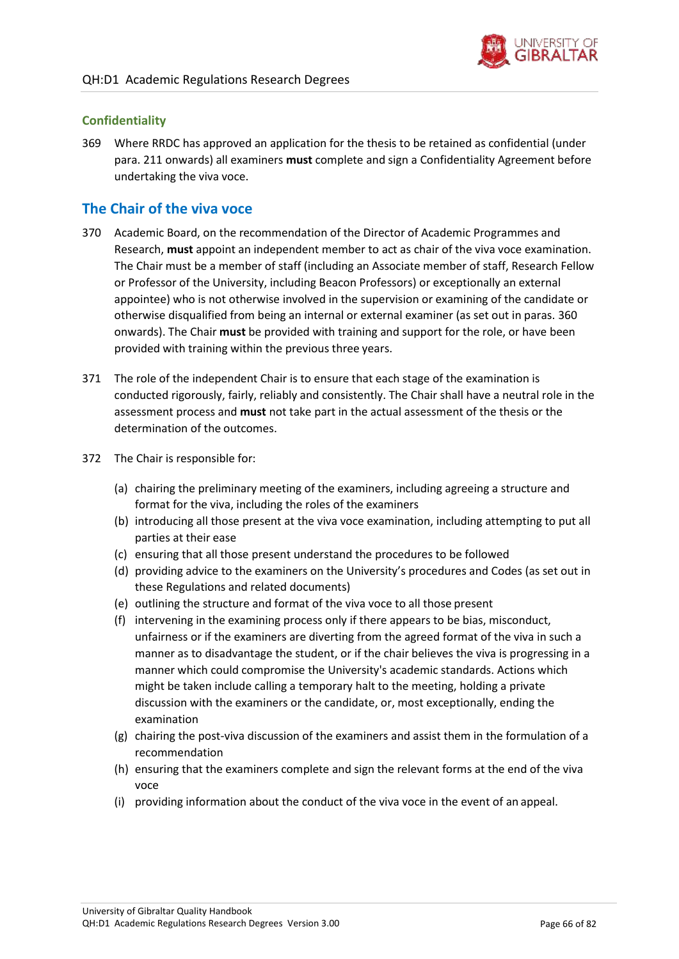

### **Confidentiality**

369 Where RRDC has approved an application for the thesis to be retained as confidential (under para[. 211 o](#page-39-1)nwards) all examiners **must** complete and sign a Confidentiality Agreement before undertaking the viva voce.

# **The Chair of the viva voce**

- 370 Academic Board, on the recommendation of the Director of Academic Programmes and Research, **must** appoint an independent member to act as chair of the viva voce examination. The Chair must be a member of staff (including an Associate member of staff, Research Fellow or Professor of the University, including Beacon Professors) or exceptionally an external appointee) who is not otherwise involved in the supervision or examining of the candidate or otherwise disqualified from being an internal or external examiner (as set out in paras[. 360](#page-63-0) onwards). The Chair **must** be provided with training and support for the role, or have been provided with training within the previous three years.
- 371 The role of the independent Chair is to ensure that each stage of the examination is conducted rigorously, fairly, reliably and consistently. The Chair shall have a neutral role in the assessment process and **must** not take part in the actual assessment of the thesis or the determination of the outcomes.
- 372 The Chair is responsible for:
	- (a) chairing the preliminary meeting of the examiners, including agreeing a structure and format for the viva, including the roles of the examiners
	- (b) introducing all those present at the viva voce examination, including attempting to put all parties at their ease
	- (c) ensuring that all those present understand the procedures to be followed
	- (d) providing advice to the examiners on the University's procedures and Codes (as set out in these Regulations and related documents)
	- (e) outlining the structure and format of the viva voce to all those present
	- (f) intervening in the examining process only if there appears to be bias, misconduct, unfairness or if the examiners are diverting from the agreed format of the viva in such a manner as to disadvantage the student, or if the chair believes the viva is progressing in a manner which could compromise the University's academic standards. Actions which might be taken include calling a temporary halt to the meeting, holding a private discussion with the examiners or the candidate, or, most exceptionally, ending the examination
	- (g) chairing the post-viva discussion of the examiners and assist them in the formulation of a recommendation
	- (h) ensuring that the examiners complete and sign the relevant forms at the end of the viva voce
	- (i) providing information about the conduct of the viva voce in the event of an appeal.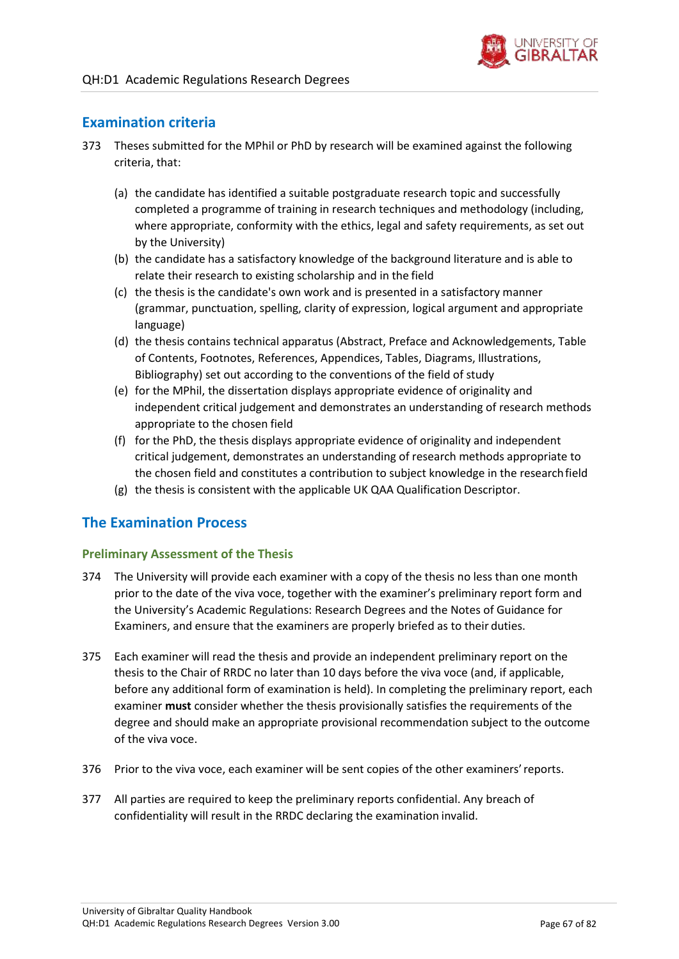

# **Examination criteria**

- <span id="page-66-0"></span>373 Theses submitted for the MPhil or PhD by research will be examined against the following criteria, that:
	- (a) the candidate has identified a suitable postgraduate research topic and successfully completed a programme of training in research techniques and methodology (including, where appropriate, conformity with the ethics, legal and safety requirements, as set out by the University)
	- (b) the candidate has a satisfactory knowledge of the background literature and is able to relate their research to existing scholarship and in the field
	- (c) the thesis is the candidate's own work and is presented in a satisfactory manner (grammar, punctuation, spelling, clarity of expression, logical argument and appropriate language)
	- (d) the thesis contains technical apparatus (Abstract, Preface and Acknowledgements, Table of Contents, Footnotes, References, Appendices, Tables, Diagrams, Illustrations, Bibliography) set out according to the conventions of the field of study
	- (e) for the MPhil, the dissertation displays appropriate evidence of originality and independent critical judgement and demonstrates an understanding of research methods appropriate to the chosen field
	- (f) for the PhD, the thesis displays appropriate evidence of originality and independent critical judgement, demonstrates an understanding of research methods appropriate to the chosen field and constitutes a contribution to subject knowledge in the researchfield
	- (g) the thesis is consistent with the applicable UK QAA Qualification Descriptor.

# **The Examination Process**

### **Preliminary Assessment of the Thesis**

- 374 The University will provide each examiner with a copy of the thesis no less than one month prior to the date of the viva voce, together with the examiner's preliminary report form and the University's Academic Regulations: Research Degrees and the Notes of Guidance for Examiners, and ensure that the examiners are properly briefed as to their duties.
- 375 Each examiner will read the thesis and provide an independent preliminary report on the thesis to the Chair of RRDC no later than 10 days before the viva voce (and, if applicable, before any additional form of examination is held). In completing the preliminary report, each examiner **must** consider whether the thesis provisionally satisfies the requirements of the degree and should make an appropriate provisional recommendation subject to the outcome of the viva voce.
- 376 Prior to the viva voce, each examiner will be sent copies of the other examiners'reports.
- 377 All parties are required to keep the preliminary reports confidential. Any breach of confidentiality will result in the RRDC declaring the examination invalid.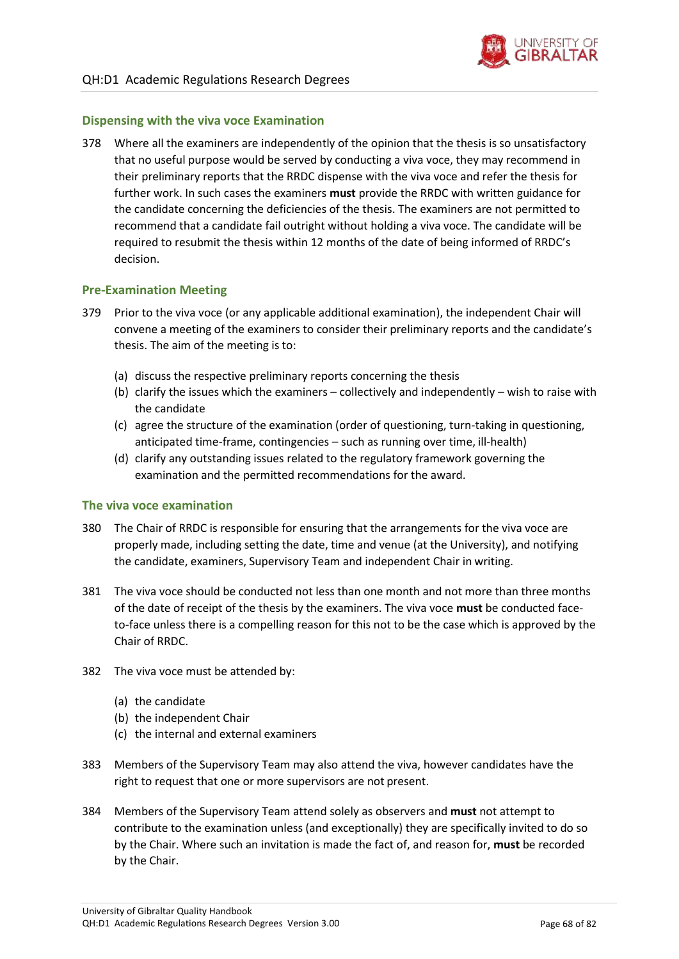

### **Dispensing with the viva voce Examination**

378 Where all the examiners are independently of the opinion that the thesis is so unsatisfactory that no useful purpose would be served by conducting a viva voce, they may recommend in their preliminary reports that the RRDC dispense with the viva voce and refer the thesis for further work. In such cases the examiners **must** provide the RRDC with written guidance for the candidate concerning the deficiencies of the thesis. The examiners are not permitted to recommend that a candidate fail outright without holding a viva voce. The candidate will be required to resubmit the thesis within 12 months of the date of being informed of RRDC's decision.

### **Pre-Examination Meeting**

- 379 Prior to the viva voce (or any applicable additional examination), the independent Chair will convene a meeting of the examiners to consider their preliminary reports and the candidate's thesis. The aim of the meeting is to:
	- (a) discuss the respective preliminary reports concerning the thesis
	- (b) clarify the issues which the examiners collectively and independently wish to raise with the candidate
	- (c) agree the structure of the examination (order of questioning, turn-taking in questioning, anticipated time-frame, contingencies – such as running over time, ill-health)
	- (d) clarify any outstanding issues related to the regulatory framework governing the examination and the permitted recommendations for the award.

### **The viva voce examination**

- 380 The Chair of RRDC is responsible for ensuring that the arrangements for the viva voce are properly made, including setting the date, time and venue (at the University), and notifying the candidate, examiners, Supervisory Team and independent Chair in writing.
- 381 The viva voce should be conducted not less than one month and not more than three months of the date of receipt of the thesis by the examiners. The viva voce **must** be conducted faceto-face unless there is a compelling reason for this not to be the case which is approved by the Chair of RRDC.
- 382 The viva voce must be attended by:
	- (a) the candidate
	- (b) the independent Chair
	- (c) the internal and external examiners
- 383 Members of the Supervisory Team may also attend the viva, however candidates have the right to request that one or more supervisors are not present.
- 384 Members of the Supervisory Team attend solely as observers and **must** not attempt to contribute to the examination unless (and exceptionally) they are specifically invited to do so by the Chair. Where such an invitation is made the fact of, and reason for, **must** be recorded by the Chair.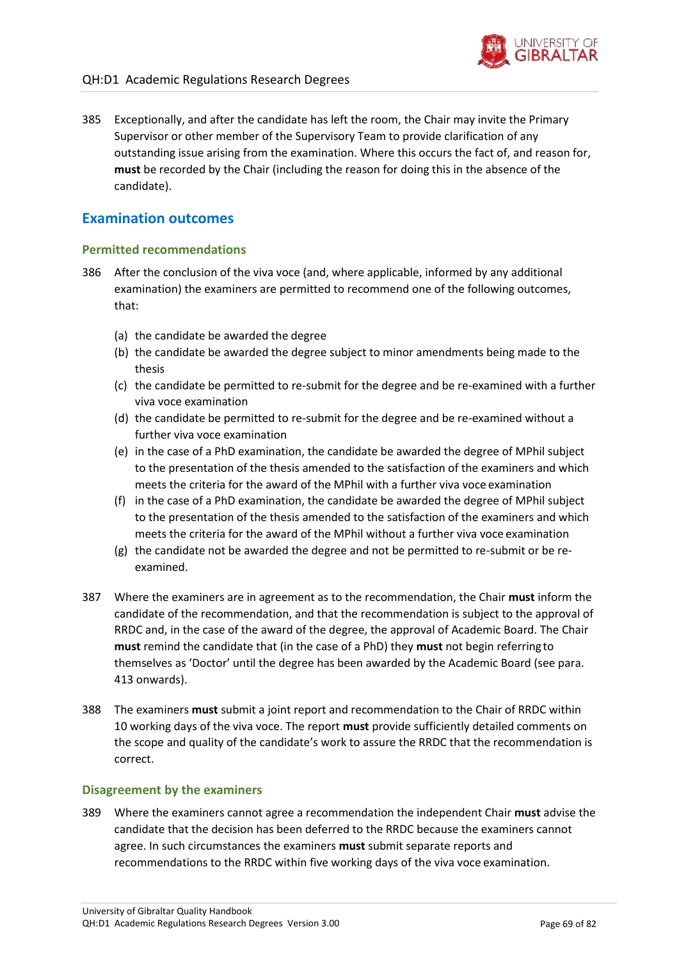

385 Exceptionally, and after the candidate has left the room, the Chair may invite the Primary Supervisor or other member of the Supervisory Team to provide clarification of any outstanding issue arising from the examination. Where this occurs the fact of, and reason for, **must** be recorded by the Chair (including the reason for doing this in the absence of the candidate).

### **Examination outcomes**

### **Permitted recommendations**

- <span id="page-68-0"></span>386 After the conclusion of the viva voce (and, where applicable, informed by any additional examination) the examiners are permitted to recommend one of the following outcomes, that:
	- (a) the candidate be awarded the degree
	- (b) the candidate be awarded the degree subject to minor amendments being made to the thesis
	- (c) the candidate be permitted to re-submit for the degree and be re-examined with a further viva voce examination
	- (d) the candidate be permitted to re-submit for the degree and be re-examined without a further viva voce examination
	- (e) in the case of a PhD examination, the candidate be awarded the degree of MPhil subject to the presentation of the thesis amended to the satisfaction of the examiners and which meets the criteria for the award of the MPhil with a further viva voce examination
	- (f) in the case of a PhD examination, the candidate be awarded the degree of MPhil subject to the presentation of the thesis amended to the satisfaction of the examiners and which meets the criteria for the award of the MPhil without a further viva voce examination
	- (g) the candidate not be awarded the degree and not be permitted to re-submit or be reexamined.
- 387 Where the examiners are in agreement as to the recommendation, the Chair **must** inform the candidate of the recommendation, and that the recommendation is subject to the approval of RRDC and, in the case of the award of the degree, the approval of Academic Board. The Chair **must** remind the candidate that (in the case of a PhD) they **must** not begin referring to themselves as 'Doctor' until the degree has been awarded by the Academic Board (see para[.](#page-72-0) [413](#page-72-0) onwards).
- 388 The examiners **must** submit a joint report and recommendation to the Chair of RRDC within 10 working days of the viva voce. The report **must** provide sufficiently detailed comments on the scope and quality of the candidate's work to assure the RRDC that the recommendation is correct.

### **Disagreement by the examiners**

<span id="page-68-1"></span>389 Where the examiners cannot agree a recommendation the independent Chair **must** advise the candidate that the decision has been deferred to the RRDC because the examiners cannot agree. In such circumstances the examiners **must** submit separate reports and recommendations to the RRDC within five working days of the viva voce examination.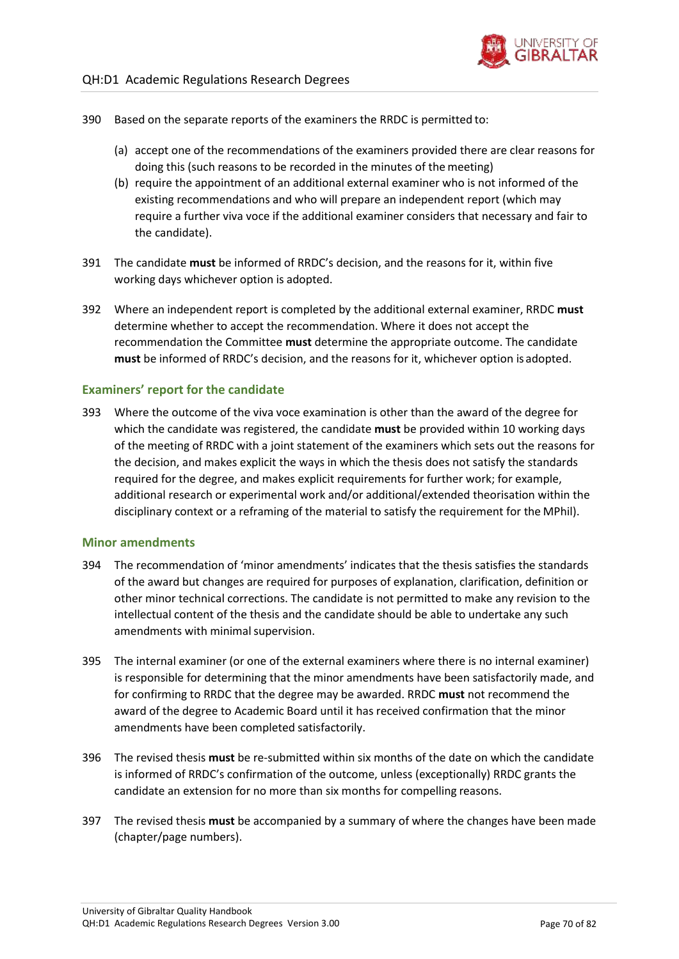

- 390 Based on the separate reports of the examiners the RRDC is permitted to:
	- (a) accept one of the recommendations of the examiners provided there are clear reasons for doing this (such reasons to be recorded in the minutes of the meeting)
	- (b) require the appointment of an additional external examiner who is not informed of the existing recommendations and who will prepare an independent report (which may require a further viva voce if the additional examiner considers that necessary and fair to the candidate).
- 391 The candidate **must** be informed of RRDC's decision, and the reasons for it, within five working days whichever option is adopted.
- 392 Where an independent report is completed by the additional external examiner, RRDC **must**  determine whether to accept the recommendation. Where it does not accept the recommendation the Committee **must** determine the appropriate outcome. The candidate **must** be informed of RRDC's decision, and the reasons for it, whichever option is adopted.

### **Examiners' report for the candidate**

393 Where the outcome of the viva voce examination is other than the award of the degree for which the candidate was registered, the candidate **must** be provided within 10 working days of the meeting of RRDC with a joint statement of the examiners which sets out the reasons for the decision, and makes explicit the ways in which the thesis does not satisfy the standards required for the degree, and makes explicit requirements for further work; for example, additional research or experimental work and/or additional/extended theorisation within the disciplinary context or a reframing of the material to satisfy the requirement for the MPhil).

### **Minor amendments**

- 394 The recommendation of 'minor amendments' indicates that the thesis satisfies the standards of the award but changes are required for purposes of explanation, clarification, definition or other minor technical corrections. The candidate is not permitted to make any revision to the intellectual content of the thesis and the candidate should be able to undertake any such amendments with minimal supervision.
- 395 The internal examiner (or one of the external examiners where there is no internal examiner) is responsible for determining that the minor amendments have been satisfactorily made, and for confirming to RRDC that the degree may be awarded. RRDC **must** not recommend the award of the degree to Academic Board until it has received confirmation that the minor amendments have been completed satisfactorily.
- 396 The revised thesis **must** be re-submitted within six months of the date on which the candidate is informed of RRDC's confirmation of the outcome, unless (exceptionally) RRDC grants the candidate an extension for no more than six months for compelling reasons.
- 397 The revised thesis **must** be accompanied by a summary of where the changes have been made (chapter/page numbers).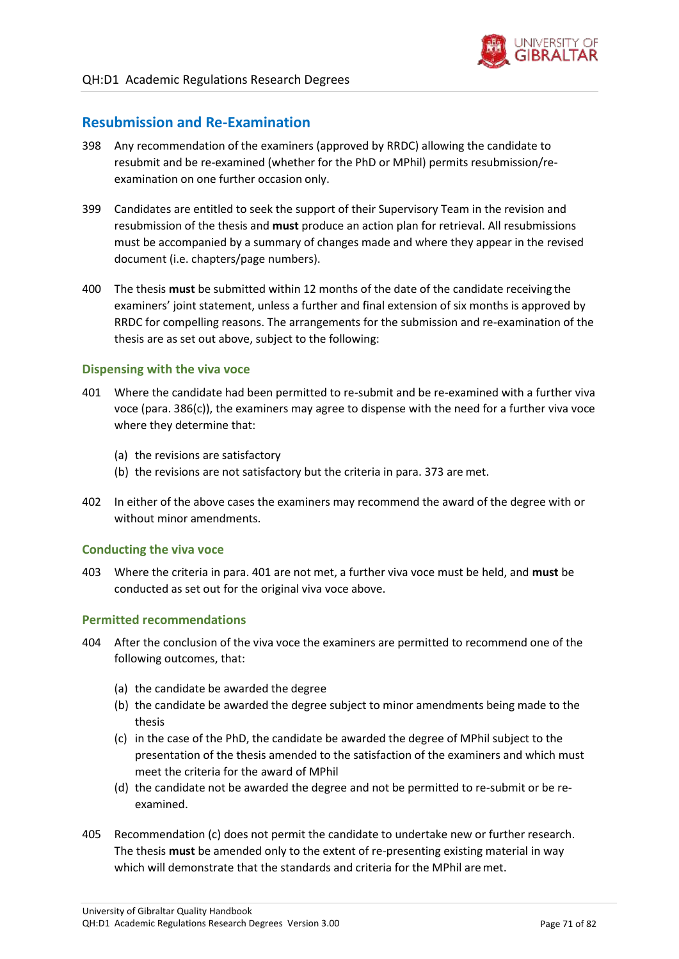

## **Resubmission and Re-Examination**

- 398 Any recommendation of the examiners (approved by RRDC) allowing the candidate to resubmit and be re-examined (whether for the PhD or MPhil) permits resubmission/reexamination on one further occasion only.
- 399 Candidates are entitled to seek the support of their Supervisory Team in the revision and resubmission of the thesis and **must** produce an action plan for retrieval. All resubmissions must be accompanied by a summary of changes made and where they appear in the revised document (i.e. chapters/page numbers).
- 400 The thesis **must** be submitted within 12 months of the date of the candidate receiving the examiners' joint statement, unless a further and final extension of six months is approved by RRDC for compelling reasons. The arrangements for the submission and re-examination of the thesis are as set out above, subject to the following:

### **Dispensing with the viva voce**

- 401 Where the candidate had been permitted to re-submit and be re-examined with a further viva voce (para[. 386\(c\)\)](#page-68-0), the examiners may agree to dispense with the need for a further viva voce where they determine that:
	- (a) the revisions are satisfactory
	- (b) the revisions are not satisfactory but the criteria in para. [373](#page-66-0) are met.
- 402 In either of the above cases the examiners may recommend the award of the degree with or without minor amendments.

### **Conducting the viva voce**

403 Where the criteria in para. 401 are not met, a further viva voce must be held, and **must** be conducted as set out for the original viva voce above.

### **Permitted recommendations**

- <span id="page-70-0"></span>404 After the conclusion of the viva voce the examiners are permitted to recommend one of the following outcomes, that:
	- (a) the candidate be awarded the degree
	- (b) the candidate be awarded the degree subject to minor amendments being made to the thesis
	- (c) in the case of the PhD, the candidate be awarded the degree of MPhil subject to the presentation of the thesis amended to the satisfaction of the examiners and which must meet the criteria for the award of MPhil
	- (d) the candidate not be awarded the degree and not be permitted to re-submit or be reexamined.
- 405 Recommendatio[n \(c\) d](#page-70-0)oes not permit the candidate to undertake new or further research. The thesis **must** be amended only to the extent of re-presenting existing material in way which will demonstrate that the standards and criteria for the MPhil are met.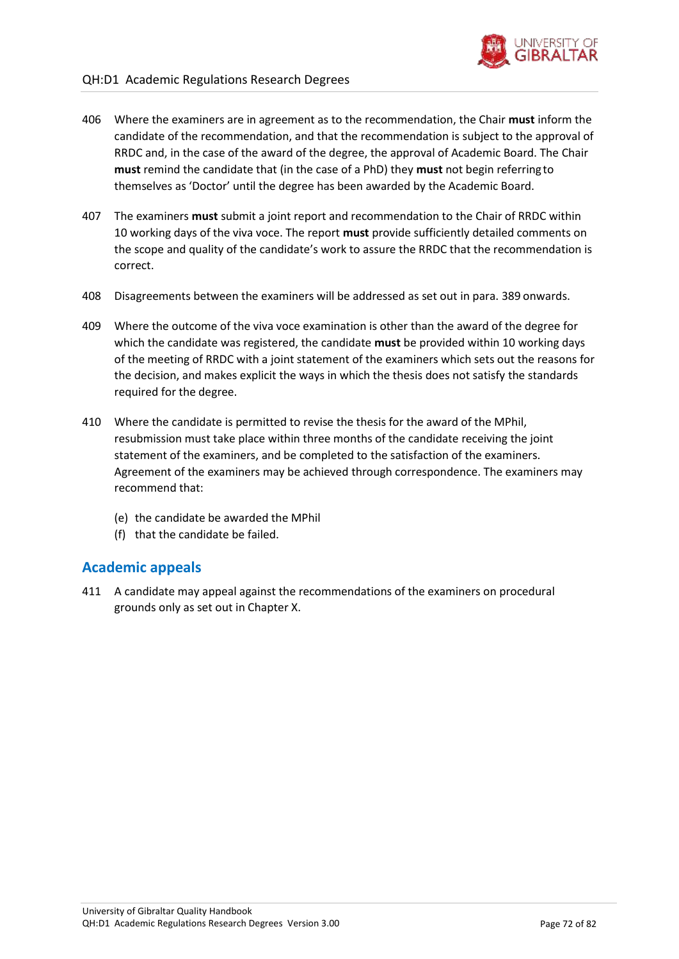

- 406 Where the examiners are in agreement as to the recommendation, the Chair **must** inform the candidate of the recommendation, and that the recommendation is subject to the approval of RRDC and, in the case of the award of the degree, the approval of Academic Board. The Chair **must** remind the candidate that (in the case of a PhD) they **must** not begin referring to themselves as 'Doctor' until the degree has been awarded by the Academic Board.
- 407 The examiners **must** submit a joint report and recommendation to the Chair of RRDC within 10 working days of the viva voce. The report **must** provide sufficiently detailed comments on the scope and quality of the candidate's work to assure the RRDC that the recommendation is correct.
- 408 Disagreements between the examiners will be addressed as set out in para. [389](#page-68-1) onwards.
- 409 Where the outcome of the viva voce examination is other than the award of the degree for which the candidate was registered, the candidate **must** be provided within 10 working days of the meeting of RRDC with a joint statement of the examiners which sets out the reasons for the decision, and makes explicit the ways in which the thesis does not satisfy the standards required for the degree.
- 410 Where the candidate is permitted to revise the thesis for the award of the MPhil, resubmission must take place within three months of the candidate receiving the joint statement of the examiners, and be completed to the satisfaction of the examiners. Agreement of the examiners may be achieved through correspondence. The examiners may recommend that:
	- (e) the candidate be awarded the MPhil
	- (f) that the candidate be failed.

## **Academic appeals**

411 A candidate may appeal against the recommendations of the examiners on procedural grounds only as set out in Chapter X.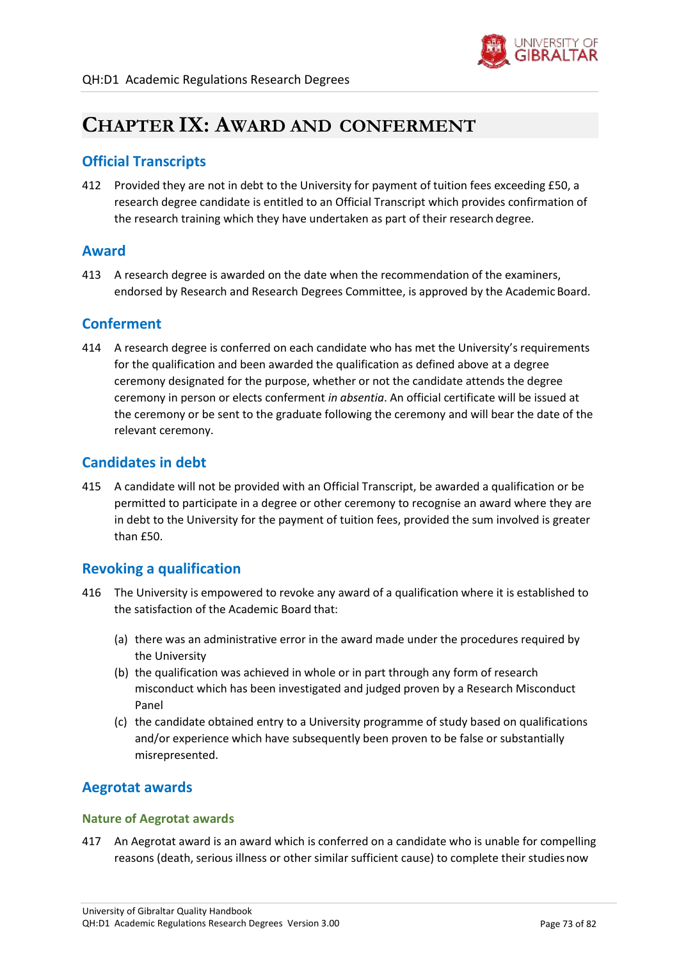

## **CHAPTER IX: AWARD AND CONFERMENT**

## **Official Transcripts**

412 Provided they are not in debt to the University for payment of tuition fees exceeding £50, a research degree candidate is entitled to an Official Transcript which provides confirmation of the research training which they have undertaken as part of their research degree.

## **Award**

413 A research degree is awarded on the date when the recommendation of the examiners, endorsed by Research and Research Degrees Committee, is approved by the Academic Board.

## **Conferment**

414 A research degree is conferred on each candidate who has met the University's requirements for the qualification and been awarded the qualification as defined above at a degree ceremony designated for the purpose, whether or not the candidate attends the degree ceremony in person or elects conferment *in absentia*. An official certificate will be issued at the ceremony or be sent to the graduate following the ceremony and will bear the date of the relevant ceremony.

## **Candidates in debt**

415 A candidate will not be provided with an Official Transcript, be awarded a qualification or be permitted to participate in a degree or other ceremony to recognise an award where they are in debt to the University for the payment of tuition fees, provided the sum involved is greater than £50.

## **Revoking a qualification**

- 416 The University is empowered to revoke any award of a qualification where it is established to the satisfaction of the Academic Board that:
	- (a) there was an administrative error in the award made under the procedures required by the University
	- (b) the qualification was achieved in whole or in part through any form of research misconduct which has been investigated and judged proven by a Research Misconduct Panel
	- (c) the candidate obtained entry to a University programme of study based on qualifications and/or experience which have subsequently been proven to be false or substantially misrepresented.

## **Aegrotat awards**

#### **Nature of Aegrotat awards**

417 An Aegrotat award is an award which is conferred on a candidate who is unable for compelling reasons (death, serious illness or other similar sufficient cause) to complete their studiesnow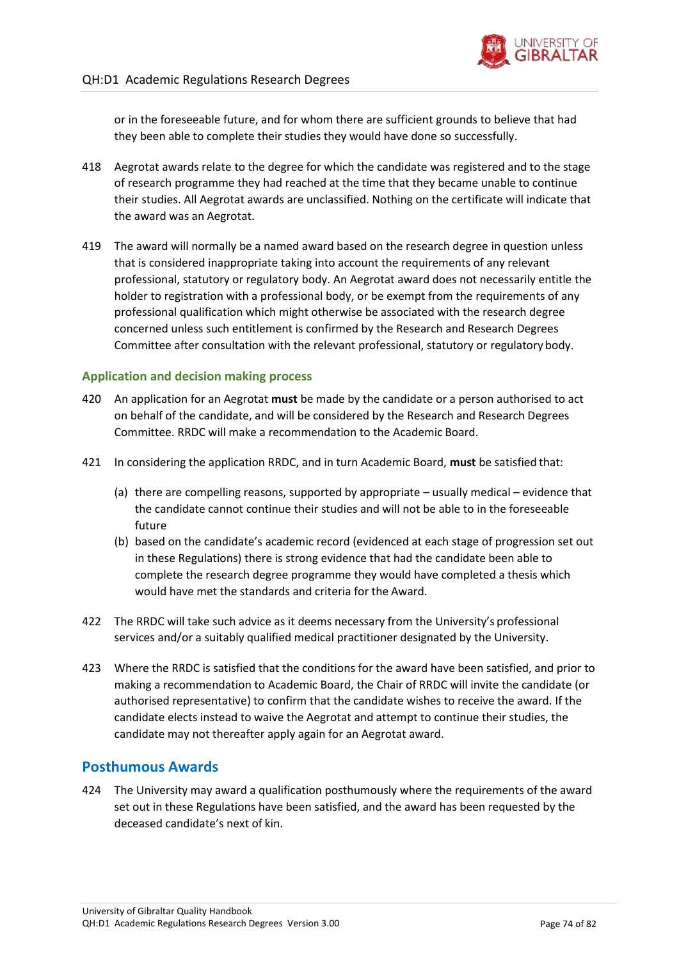

or in the foreseeable future, and for whom there are sufficient grounds to believe that had they been able to complete their studies they would have done so successfully.

- 418 Aegrotat awards relate to the degree for which the candidate was registered and to the stage of research programme they had reached at the time that they became unable to continue their studies. All Aegrotat awards are unclassified. Nothing on the certificate will indicate that the award was an Aegrotat.
- 419 The award will normally be a named award based on the research degree in question unless that is considered inappropriate taking into account the requirements of any relevant professional, statutory or regulatory body. An Aegrotat award does not necessarily entitle the holder to registration with a professional body, or be exempt from the requirements of any professional qualification which might otherwise be associated with the research degree concerned unless such entitlement is confirmed by the Research and Research Degrees Committee after consultation with the relevant professional, statutory or regulatory body.

#### **Application and decision making process**

- <span id="page-73-0"></span>420 An application for an Aegrotat **must** be made by the candidate or a person authorised to act on behalf of the candidate, and will be considered by the Research and Research Degrees Committee. RRDC will make a recommendation to the Academic Board.
- 421 In considering the application RRDC, and in turn Academic Board, **must** be satisfied that:
	- (a) there are compelling reasons, supported by appropriate usually medical evidence that the candidate cannot continue their studies and will not be able to in the foreseeable future
	- (b) based on the candidate's academic record (evidenced at each stage of progression set out in these Regulations) there is strong evidence that had the candidate been able to complete the research degree programme they would have completed a thesis which would have met the standards and criteria for the Award.
- 422 The RRDC will take such advice as it deems necessary from the University's professional services and/or a suitably qualified medical practitioner designated by the University.
- <span id="page-73-1"></span>423 Where the RRDC is satisfied that the conditions for the award have been satisfied, and prior to making a recommendation to Academic Board, the Chair of RRDC will invite the candidate (or authorised representative) to confirm that the candidate wishes to receive the award. If the candidate elects instead to waive the Aegrotat and attempt to continue their studies, the candidate may not thereafter apply again for an Aegrotat award.

## **Posthumous Awards**

424 The University may award a qualification posthumously where the requirements of the award set out in these Regulations have been satisfied, and the award has been requested by the deceased candidate's next of kin.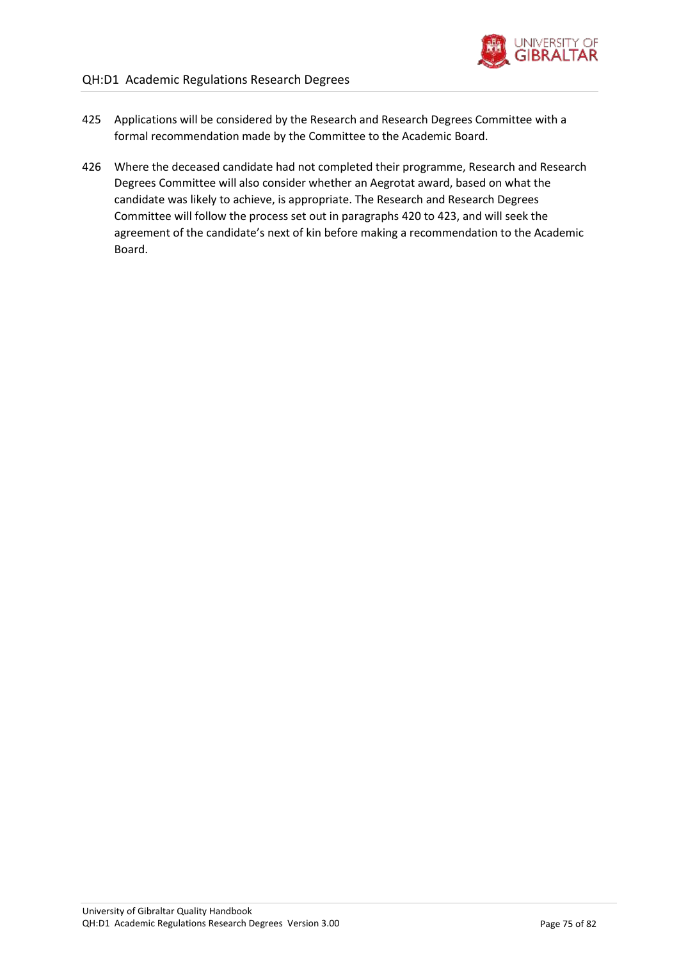

- 425 Applications will be considered by the Research and Research Degrees Committee with a formal recommendation made by the Committee to the Academic Board.
- 426 Where the deceased candidate had not completed their programme, Research and Research Degrees Committee will also consider whether an Aegrotat award, based on what the candidate was likely to achieve, is appropriate. The Research and Research Degrees Committee will follow the process set out in paragraphs [420](#page-73-0) t[o 423](#page-73-1), and will seek the agreement of the candidate's next of kin before making a recommendation to the Academic Board.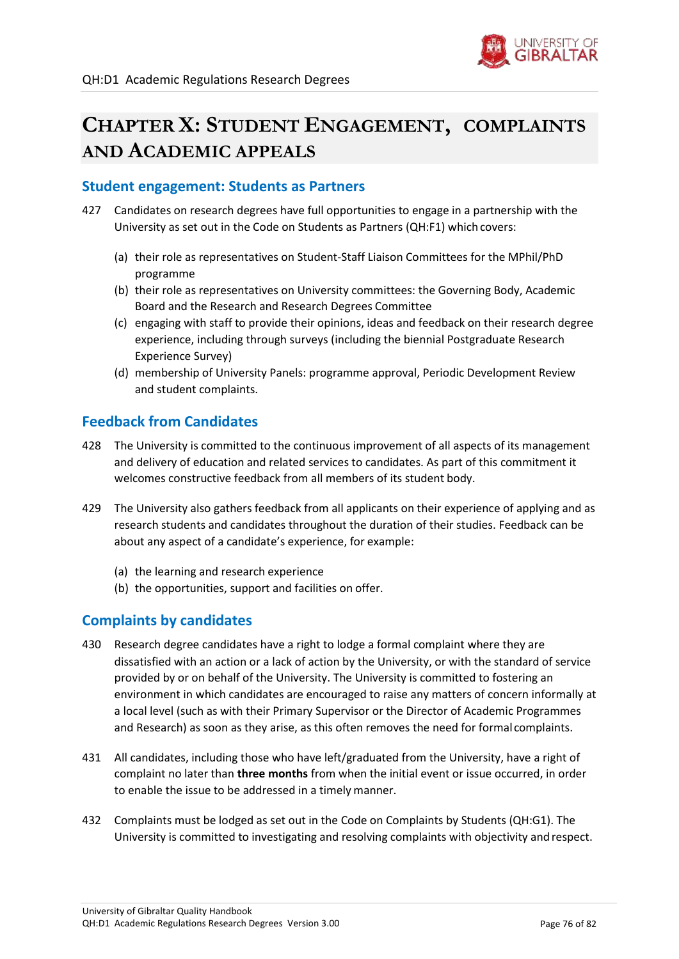

# **CHAPTER X: STUDENT ENGAGEMENT, COMPLAINTS AND ACADEMIC APPEALS**

## **Student engagement: Students as Partners**

- 427 Candidates on research degrees have full opportunities to engage in a partnership with the University as set out in the Code on Students as Partners (QH:F1) which covers:
	- (a) their role as representatives on Student-Staff Liaison Committees for the MPhil/PhD programme
	- (b) their role as representatives on University committees: the Governing Body, Academic Board and the Research and Research Degrees Committee
	- (c) engaging with staff to provide their opinions, ideas and feedback on their research degree experience, including through surveys (including the biennial Postgraduate Research Experience Survey)
	- (d) membership of University Panels: programme approval, Periodic Development Review and student complaints.

## **Feedback from Candidates**

- 428 The University is committed to the continuous improvement of all aspects of its management and delivery of education and related services to candidates. As part of this commitment it welcomes constructive feedback from all members of its student body.
- 429 The University also gathers feedback from all applicants on their experience of applying and as research students and candidates throughout the duration of their studies. Feedback can be about any aspect of a candidate's experience, for example:
	- (a) the learning and research experience
	- (b) the opportunities, support and facilities on offer.

## **Complaints by candidates**

- 430 Research degree candidates have a right to lodge a formal complaint where they are dissatisfied with an action or a lack of action by the University, or with the standard of service provided by or on behalf of the University. The University is committed to fostering an environment in which candidates are encouraged to raise any matters of concern informally at a local level (such as with their Primary Supervisor or the Director of Academic Programmes and Research) as soon as they arise, as this often removes the need for formal complaints.
- 431 All candidates, including those who have left/graduated from the University, have a right of complaint no later than **three months** from when the initial event or issue occurred, in order to enable the issue to be addressed in a timely manner.
- 432 Complaints must be lodged as set out in the Code on Complaints by Students (QH:G1). The University is committed to investigating and resolving complaints with objectivity and respect.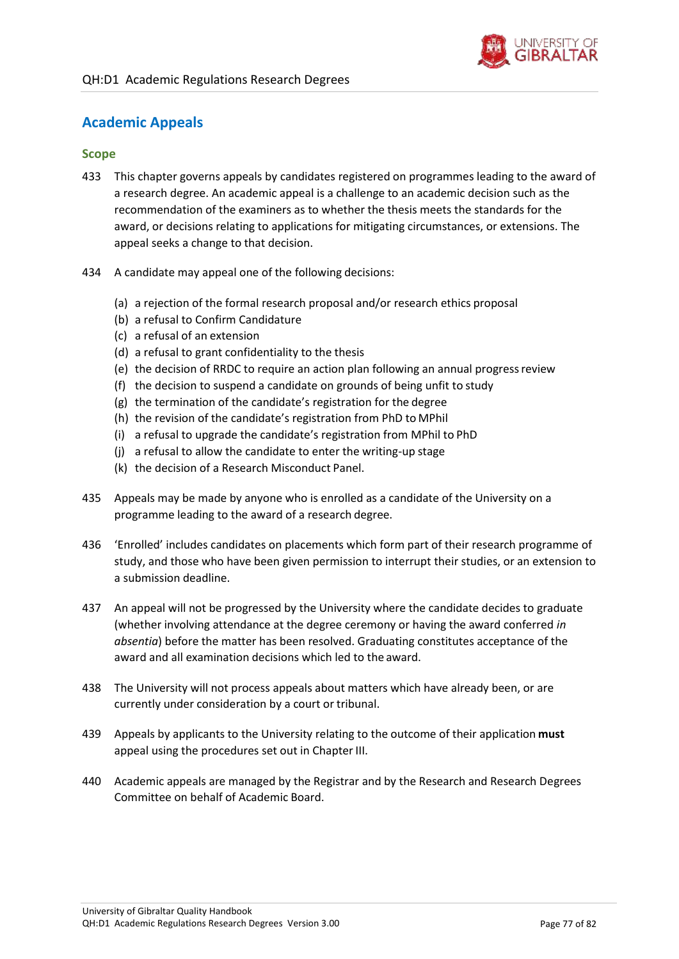

## **Academic Appeals**

#### **Scope**

- 433 This chapter governs appeals by candidates registered on programmes leading to the award of a research degree. An academic appeal is a challenge to an academic decision such as the recommendation of the examiners as to whether the thesis meets the standards for the award, or decisions relating to applications for mitigating circumstances, or extensions. The appeal seeks a change to that decision.
- 434 A candidate may appeal one of the following decisions:
	- (a) a rejection of the formal research proposal and/or research ethics proposal
	- (b) a refusal to Confirm Candidature
	- (c) a refusal of an extension
	- (d) a refusal to grant confidentiality to the thesis
	- (e) the decision of RRDC to require an action plan following an annual progressreview
	- (f) the decision to suspend a candidate on grounds of being unfit to study
	- (g) the termination of the candidate's registration for the degree
	- (h) the revision of the candidate's registration from PhD to MPhil
	- (i) a refusal to upgrade the candidate's registration from MPhil to PhD
	- (j) a refusal to allow the candidate to enter the writing-up stage
	- (k) the decision of a Research Misconduct Panel.
- 435 Appeals may be made by anyone who is enrolled as a candidate of the University on a programme leading to the award of a research degree.
- 436 'Enrolled' includes candidates on placements which form part of their research programme of study, and those who have been given permission to interrupt their studies, or an extension to a submission deadline.
- 437 An appeal will not be progressed by the University where the candidate decides to graduate (whether involving attendance at the degree ceremony or having the award conferred *in absentia*) before the matter has been resolved. Graduating constitutes acceptance of the award and all examination decisions which led to the award.
- 438 The University will not process appeals about matters which have already been, or are currently under consideration by a court or tribunal.
- 439 Appeals by applicants to the University relating to the outcome of their application **must** appeal using the procedures set out in Chapter III.
- 440 Academic appeals are managed by the Registrar and by the Research and Research Degrees Committee on behalf of Academic Board.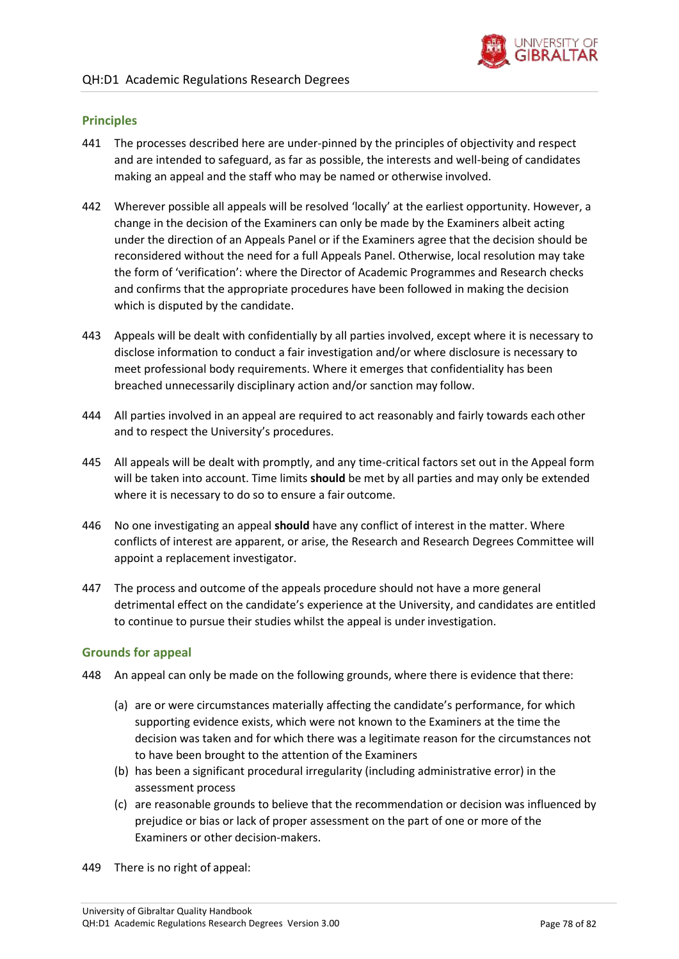

#### **Principles**

- 441 The processes described here are under-pinned by the principles of objectivity and respect and are intended to safeguard, as far as possible, the interests and well-being of candidates making an appeal and the staff who may be named or otherwise involved.
- 442 Wherever possible all appeals will be resolved 'locally' at the earliest opportunity. However, a change in the decision of the Examiners can only be made by the Examiners albeit acting under the direction of an Appeals Panel or if the Examiners agree that the decision should be reconsidered without the need for a full Appeals Panel. Otherwise, local resolution may take the form of 'verification': where the Director of Academic Programmes and Research checks and confirms that the appropriate procedures have been followed in making the decision which is disputed by the candidate.
- 443 Appeals will be dealt with confidentially by all parties involved, except where it is necessary to disclose information to conduct a fair investigation and/or where disclosure is necessary to meet professional body requirements. Where it emerges that confidentiality has been breached unnecessarily disciplinary action and/or sanction may follow.
- 444 All parties involved in an appeal are required to act reasonably and fairly towards each other and to respect the University's procedures.
- 445 All appeals will be dealt with promptly, and any time-critical factors set out in the Appeal form will be taken into account. Time limits **should** be met by all parties and may only be extended where it is necessary to do so to ensure a fair outcome.
- 446 No one investigating an appeal **should** have any conflict of interest in the matter. Where conflicts of interest are apparent, or arise, the Research and Research Degrees Committee will appoint a replacement investigator.
- 447 The process and outcome of the appeals procedure should not have a more general detrimental effect on the candidate's experience at the University, and candidates are entitled to continue to pursue their studies whilst the appeal is under investigation.

#### **Grounds for appeal**

- <span id="page-77-0"></span>448 An appeal can only be made on the following grounds, where there is evidence that there:
	- (a) are or were circumstances materially affecting the candidate's performance, for which supporting evidence exists, which were not known to the Examiners at the time the decision was taken and for which there was a legitimate reason for the circumstances not to have been brought to the attention of the Examiners
	- (b) has been a significant procedural irregularity (including administrative error) in the assessment process
	- (c) are reasonable grounds to believe that the recommendation or decision was influenced by prejudice or bias or lack of proper assessment on the part of one or more of the Examiners or other decision-makers.
- 449 There is no right of appeal: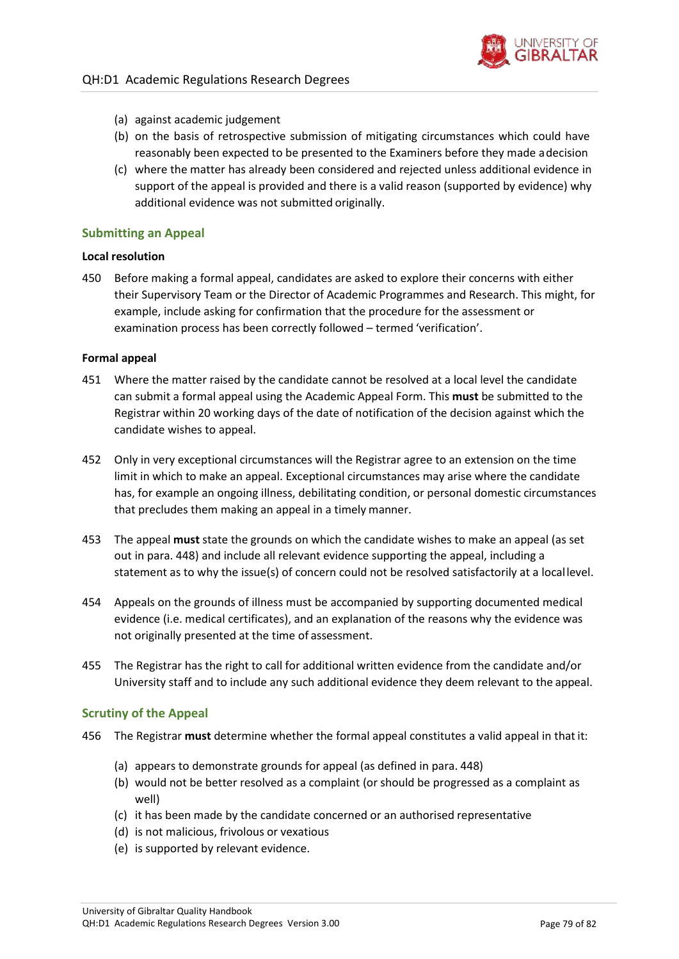

- (a) against academic judgement
- (b) on the basis of retrospective submission of mitigating circumstances which could have reasonably been expected to be presented to the Examiners before they made adecision
- (c) where the matter has already been considered and rejected unless additional evidence in support of the appeal is provided and there is a valid reason (supported by evidence) why additional evidence was not submitted originally.

#### **Submitting an Appeal**

#### **Local resolution**

450 Before making a formal appeal, candidates are asked to explore their concerns with either their Supervisory Team or the Director of Academic Programmes and Research. This might, for example, include asking for confirmation that the procedure for the assessment or examination process has been correctly followed – termed 'verification'.

#### **Formal appeal**

- 451 Where the matter raised by the candidate cannot be resolved at a local level the candidate can submit a formal appeal using the Academic Appeal Form. This **must** be submitted to the Registrar within 20 working days of the date of notification of the decision against which the candidate wishes to appeal.
- 452 Only in very exceptional circumstances will the Registrar agree to an extension on the time limit in which to make an appeal. Exceptional circumstances may arise where the candidate has, for example an ongoing illness, debilitating condition, or personal domestic circumstances that precludes them making an appeal in a timely manner.
- 453 The appeal **must** state the grounds on which the candidate wishes to make an appeal (as set out in para. [448\)](#page-77-0) and include all relevant evidence supporting the appeal, including a statement as to why the issue(s) of concern could not be resolved satisfactorily at a locallevel.
- 454 Appeals on the grounds of illness must be accompanied by supporting documented medical evidence (i.e. medical certificates), and an explanation of the reasons why the evidence was not originally presented at the time of assessment.
- 455 The Registrar has the right to call for additional written evidence from the candidate and/or University staff and to include any such additional evidence they deem relevant to the appeal.

#### **Scrutiny of the Appeal**

- 456 The Registrar **must** determine whether the formal appeal constitutes a valid appeal in that it:
	- (a) appears to demonstrate grounds for appeal (as defined in para. [448\)](#page-77-0)
	- (b) would not be better resolved as a complaint (or should be progressed as a complaint as well)
	- (c) it has been made by the candidate concerned or an authorised representative
	- (d) is not malicious, frivolous or vexatious
	- (e) is supported by relevant evidence.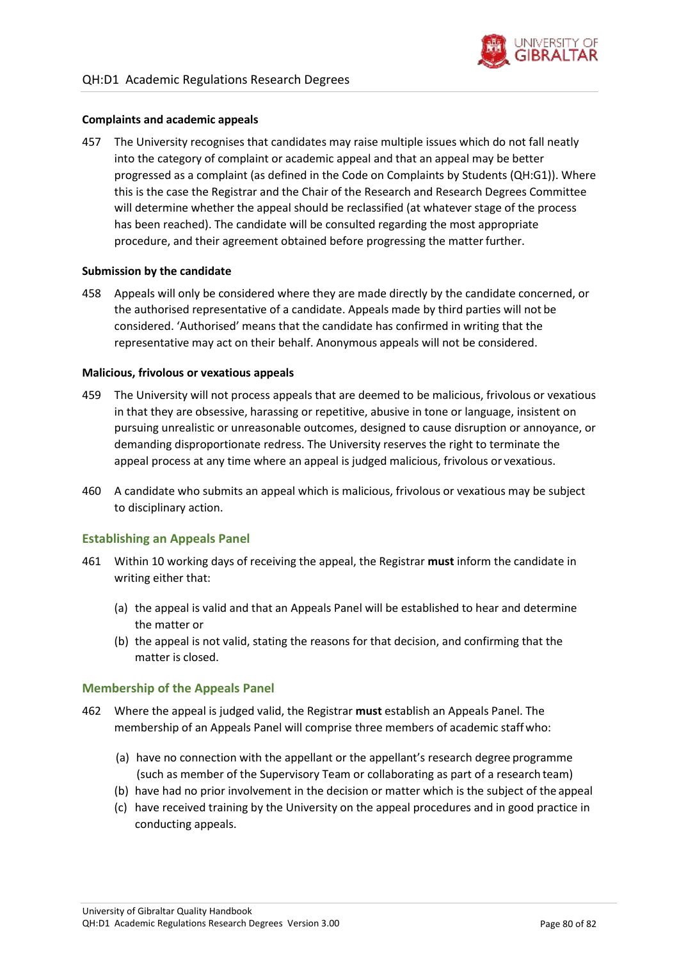

#### **Complaints and academic appeals**

457 The University recognises that candidates may raise multiple issues which do not fall neatly into the category of complaint or academic appeal and that an appeal may be better progressed as a complaint (as defined in the Code on Complaints by Students (QH:G1)). Where this is the case the Registrar and the Chair of the Research and Research Degrees Committee will determine whether the appeal should be reclassified (at whatever stage of the process has been reached). The candidate will be consulted regarding the most appropriate procedure, and their agreement obtained before progressing the matterfurther.

#### **Submission by the candidate**

458 Appeals will only be considered where they are made directly by the candidate concerned, or the authorised representative of a candidate. Appeals made by third parties will not be considered. 'Authorised' means that the candidate has confirmed in writing that the representative may act on their behalf. Anonymous appeals will not be considered.

#### **Malicious, frivolous or vexatious appeals**

- 459 The University will not process appeals that are deemed to be malicious, frivolous or vexatious in that they are obsessive, harassing or repetitive, abusive in tone or language, insistent on pursuing unrealistic or unreasonable outcomes, designed to cause disruption or annoyance, or demanding disproportionate redress. The University reserves the right to terminate the appeal process at any time where an appeal is judged malicious, frivolous or vexatious.
- 460 A candidate who submits an appeal which is malicious, frivolous or vexatious may be subject to disciplinary action.

#### **Establishing an Appeals Panel**

- 461 Within 10 working days of receiving the appeal, the Registrar **must** inform the candidate in writing either that:
	- (a) the appeal is valid and that an Appeals Panel will be established to hear and determine the matter or
	- (b) the appeal is not valid, stating the reasons for that decision, and confirming that the matter is closed.

#### **Membership of the Appeals Panel**

- <span id="page-79-0"></span>462 Where the appeal is judged valid, the Registrar **must** establish an Appeals Panel. The membership of an Appeals Panel will comprise three members of academic staffwho:
	- (a) have no connection with the appellant or the appellant's research degree programme (such as member of the Supervisory Team or collaborating as part of a research team)
	- (b) have had no prior involvement in the decision or matter which is the subject of the appeal
	- (c) have received training by the University on the appeal procedures and in good practice in conducting appeals.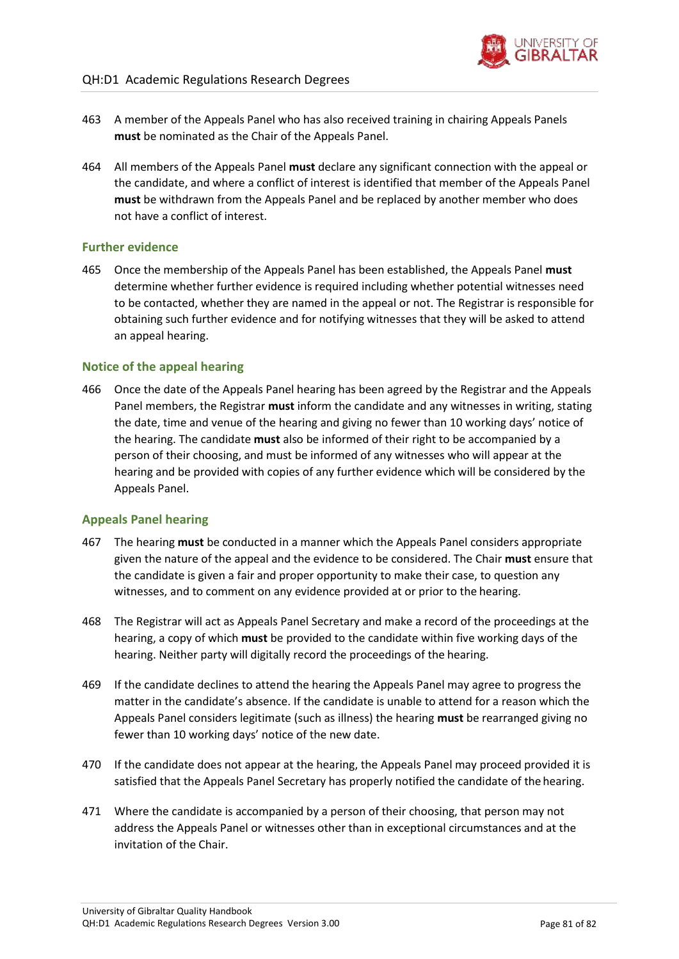

- 463 A member of the Appeals Panel who has also received training in chairing Appeals Panels **must** be nominated as the Chair of the Appeals Panel.
- 464 All members of the Appeals Panel **must** declare any significant connection with the appeal or the candidate, and where a conflict of interest is identified that member of the Appeals Panel **must** be withdrawn from the Appeals Panel and be replaced by another member who does not have a conflict of interest.

#### **Further evidence**

465 Once the membership of the Appeals Panel has been established, the Appeals Panel **must**  determine whether further evidence is required including whether potential witnesses need to be contacted, whether they are named in the appeal or not. The Registrar is responsible for obtaining such further evidence and for notifying witnesses that they will be asked to attend an appeal hearing.

### **Notice of the appeal hearing**

466 Once the date of the Appeals Panel hearing has been agreed by the Registrar and the Appeals Panel members, the Registrar **must** inform the candidate and any witnesses in writing, stating the date, time and venue of the hearing and giving no fewer than 10 working days' notice of the hearing. The candidate **must** also be informed of their right to be accompanied by a person of their choosing, and must be informed of any witnesses who will appear at the hearing and be provided with copies of any further evidence which will be considered by the Appeals Panel.

#### **Appeals Panel hearing**

- 467 The hearing **must** be conducted in a manner which the Appeals Panel considers appropriate given the nature of the appeal and the evidence to be considered. The Chair **must** ensure that the candidate is given a fair and proper opportunity to make their case, to question any witnesses, and to comment on any evidence provided at or prior to the hearing.
- 468 The Registrar will act as Appeals Panel Secretary and make a record of the proceedings at the hearing, a copy of which **must** be provided to the candidate within five working days of the hearing. Neither party will digitally record the proceedings of the hearing.
- 469 If the candidate declines to attend the hearing the Appeals Panel may agree to progress the matter in the candidate's absence. If the candidate is unable to attend for a reason which the Appeals Panel considers legitimate (such as illness) the hearing **must** be rearranged giving no fewer than 10 working days' notice of the new date.
- 470 If the candidate does not appear at the hearing, the Appeals Panel may proceed provided it is satisfied that the Appeals Panel Secretary has properly notified the candidate of the hearing.
- 471 Where the candidate is accompanied by a person of their choosing, that person may not address the Appeals Panel or witnesses other than in exceptional circumstances and at the invitation of the Chair.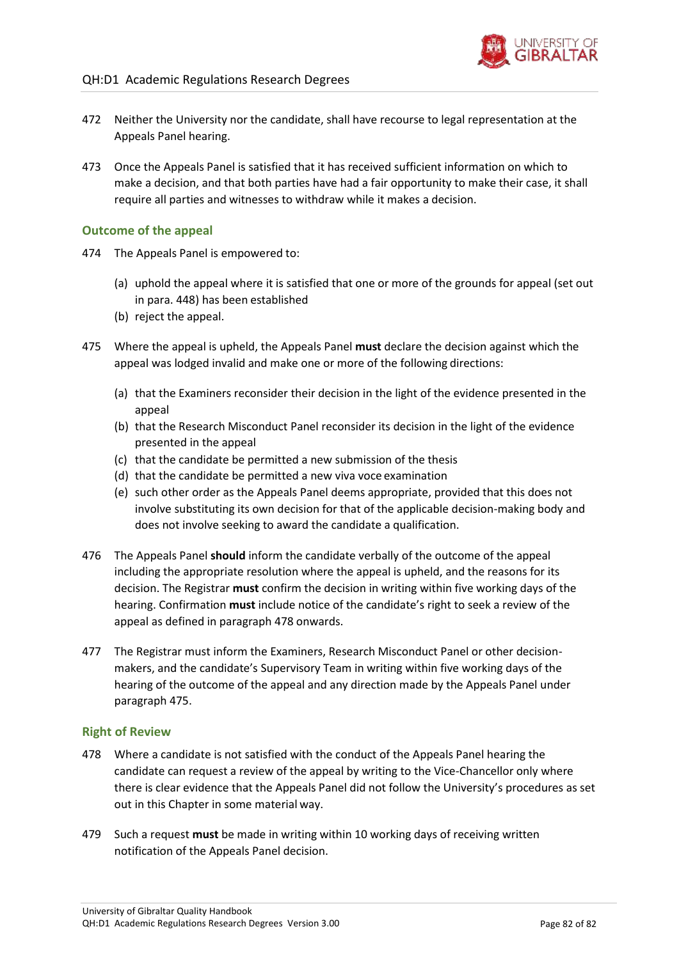- 472 Neither the University nor the candidate, shall have recourse to legal representation at the Appeals Panel hearing.
- 473 Once the Appeals Panel is satisfied that it has received sufficient information on which to make a decision, and that both parties have had a fair opportunity to make their case, it shall require all parties and witnesses to withdraw while it makes a decision.

#### **Outcome of the appeal**

- 474 The Appeals Panel is empowered to:
	- (a) uphold the appeal where it is satisfied that one or more of the grounds for appeal (set out in para[. 448\)](#page-77-0) has been established
	- (b) reject the appeal.
- <span id="page-81-1"></span>475 Where the appeal is upheld, the Appeals Panel **must** declare the decision against which the appeal was lodged invalid and make one or more of the following directions:
	- (a) that the Examiners reconsider their decision in the light of the evidence presented in the appeal
	- (b) that the Research Misconduct Panel reconsider its decision in the light of the evidence presented in the appeal
	- (c) that the candidate be permitted a new submission of the thesis
	- (d) that the candidate be permitted a new viva voce examination
	- (e) such other order as the Appeals Panel deems appropriate, provided that this does not involve substituting its own decision for that of the applicable decision-making body and does not involve seeking to award the candidate a qualification.
- 476 The Appeals Panel **should** inform the candidate verbally of the outcome of the appeal including the appropriate resolution where the appeal is upheld, and the reasons for its decision. The Registrar **must** confirm the decision in writing within five working days of the hearing. Confirmation **must** include notice of the candidate's right to seek a review of the appeal as defined in paragraph [478](#page-81-0) onwards.
- 477 The Registrar must inform the Examiners, Research Misconduct Panel or other decisionmakers, and the candidate's Supervisory Team in writing within five working days of the hearing of the outcome of the appeal and any direction made by the Appeals Panel under paragraph [475.](#page-81-1)

#### **Right of Review**

- <span id="page-81-0"></span>478 Where a candidate is not satisfied with the conduct of the Appeals Panel hearing the candidate can request a review of the appeal by writing to the Vice-Chancellor only where there is clear evidence that the Appeals Panel did not follow the University's procedures as set out in this Chapter in some material way.
- 479 Such a request **must** be made in writing within 10 working days of receiving written notification of the Appeals Panel decision.